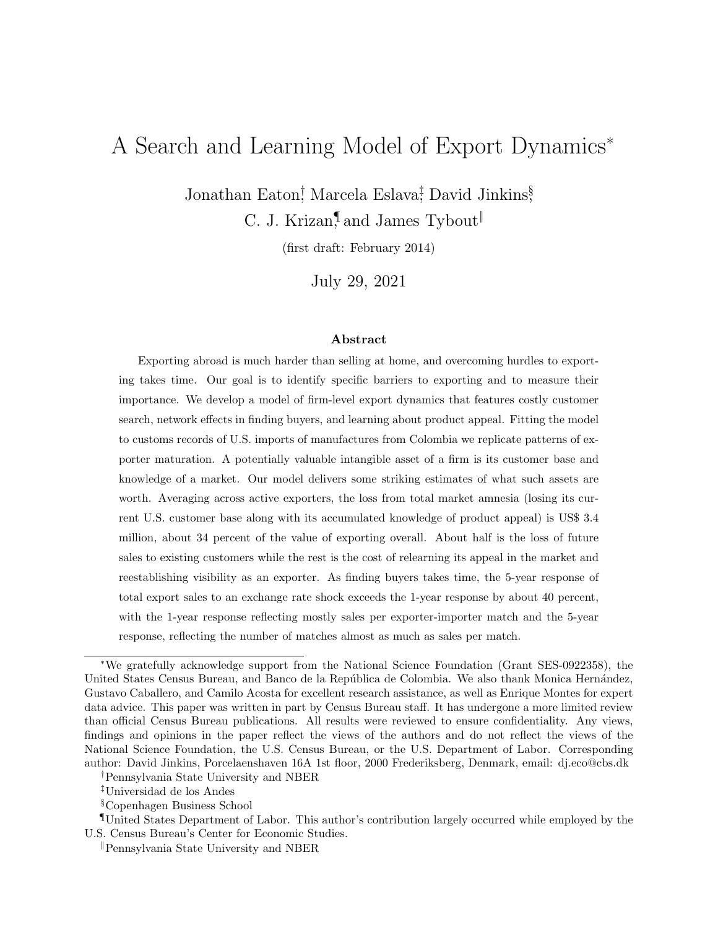# <span id="page-0-0"></span>A Search and Learning Model of Export Dynamics<sup>∗</sup>

Jonathan Eaton<sup>†</sup> Marcela Eslava<sup>‡</sup>, David Jinkins<sup>§</sup> C. J. Krizan,<sup>I</sup> and James Tybout

(first draft: February 2014)

July 29, 2021

#### Abstract

Exporting abroad is much harder than selling at home, and overcoming hurdles to exporting takes time. Our goal is to identify specific barriers to exporting and to measure their importance. We develop a model of firm-level export dynamics that features costly customer search, network effects in finding buyers, and learning about product appeal. Fitting the model to customs records of U.S. imports of manufactures from Colombia we replicate patterns of exporter maturation. A potentially valuable intangible asset of a firm is its customer base and knowledge of a market. Our model delivers some striking estimates of what such assets are worth. Averaging across active exporters, the loss from total market amnesia (losing its current U.S. customer base along with its accumulated knowledge of product appeal) is US\$ 3.4 million, about 34 percent of the value of exporting overall. About half is the loss of future sales to existing customers while the rest is the cost of relearning its appeal in the market and reestablishing visibility as an exporter. As finding buyers takes time, the 5-year response of total export sales to an exchange rate shock exceeds the 1-year response by about 40 percent, with the 1-year response reflecting mostly sales per exporter-importer match and the 5-year response, reflecting the number of matches almost as much as sales per match.

<sup>∗</sup>We gratefully acknowledge support from the National Science Foundation (Grant SES-0922358), the United States Census Bureau, and Banco de la República de Colombia. We also thank Monica Hernández, Gustavo Caballero, and Camilo Acosta for excellent research assistance, as well as Enrique Montes for expert data advice. This paper was written in part by Census Bureau staff. It has undergone a more limited review than official Census Bureau publications. All results were reviewed to ensure confidentiality. Any views, findings and opinions in the paper reflect the views of the authors and do not reflect the views of the National Science Foundation, the U.S. Census Bureau, or the U.S. Department of Labor. Corresponding author: David Jinkins, Porcelaenshaven 16A 1st floor, 2000 Frederiksberg, Denmark, email: dj.eco@cbs.dk

<sup>†</sup>Pennsylvania State University and NBER

<sup>‡</sup>Universidad de los Andes

<sup>§</sup>Copenhagen Business School

<sup>¶</sup>United States Department of Labor. This author's contribution largely occurred while employed by the U.S. Census Bureau's Center for Economic Studies.

<sup>‖</sup>Pennsylvania State University and NBER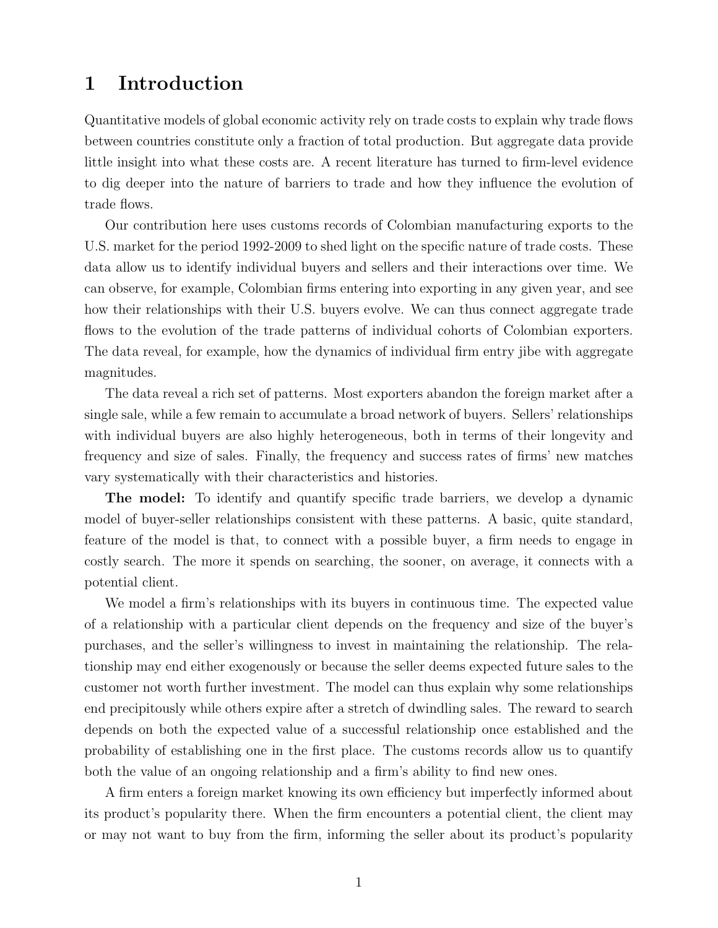## 1 Introduction

Quantitative models of global economic activity rely on trade costs to explain why trade flows between countries constitute only a fraction of total production. But aggregate data provide little insight into what these costs are. A recent literature has turned to firm-level evidence to dig deeper into the nature of barriers to trade and how they influence the evolution of trade flows.

Our contribution here uses customs records of Colombian manufacturing exports to the U.S. market for the period 1992-2009 to shed light on the specific nature of trade costs. These data allow us to identify individual buyers and sellers and their interactions over time. We can observe, for example, Colombian firms entering into exporting in any given year, and see how their relationships with their U.S. buyers evolve. We can thus connect aggregate trade flows to the evolution of the trade patterns of individual cohorts of Colombian exporters. The data reveal, for example, how the dynamics of individual firm entry jibe with aggregate magnitudes.

The data reveal a rich set of patterns. Most exporters abandon the foreign market after a single sale, while a few remain to accumulate a broad network of buyers. Sellers' relationships with individual buyers are also highly heterogeneous, both in terms of their longevity and frequency and size of sales. Finally, the frequency and success rates of firms' new matches vary systematically with their characteristics and histories.

The model: To identify and quantify specific trade barriers, we develop a dynamic model of buyer-seller relationships consistent with these patterns. A basic, quite standard, feature of the model is that, to connect with a possible buyer, a firm needs to engage in costly search. The more it spends on searching, the sooner, on average, it connects with a potential client.

We model a firm's relationships with its buyers in continuous time. The expected value of a relationship with a particular client depends on the frequency and size of the buyer's purchases, and the seller's willingness to invest in maintaining the relationship. The relationship may end either exogenously or because the seller deems expected future sales to the customer not worth further investment. The model can thus explain why some relationships end precipitously while others expire after a stretch of dwindling sales. The reward to search depends on both the expected value of a successful relationship once established and the probability of establishing one in the first place. The customs records allow us to quantify both the value of an ongoing relationship and a firm's ability to find new ones.

A firm enters a foreign market knowing its own efficiency but imperfectly informed about its product's popularity there. When the firm encounters a potential client, the client may or may not want to buy from the firm, informing the seller about its product's popularity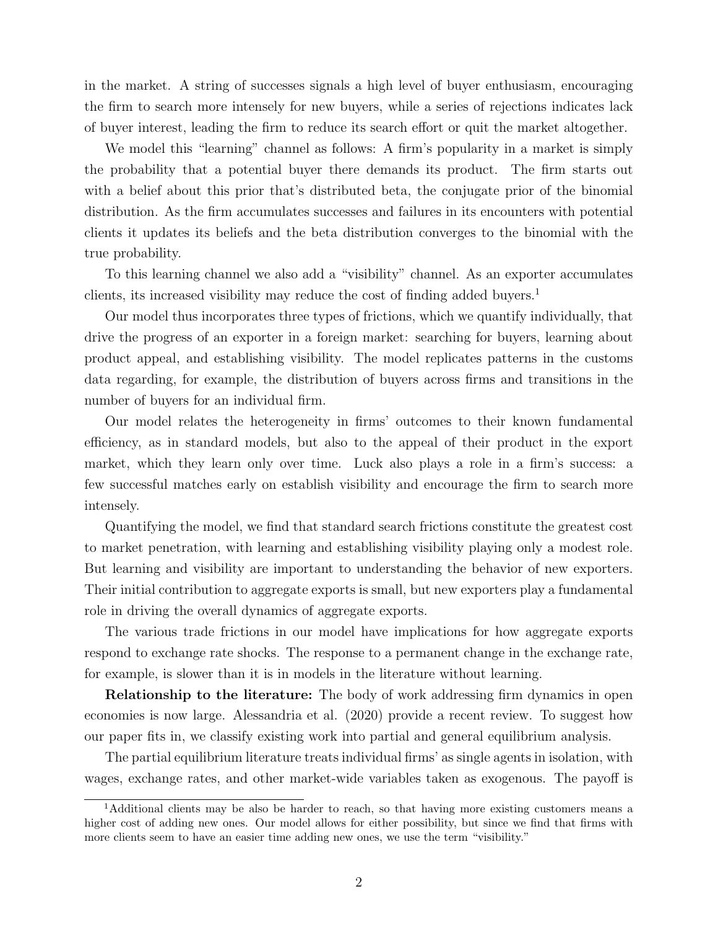in the market. A string of successes signals a high level of buyer enthusiasm, encouraging the firm to search more intensely for new buyers, while a series of rejections indicates lack of buyer interest, leading the firm to reduce its search effort or quit the market altogether.

We model this "learning" channel as follows: A firm's popularity in a market is simply the probability that a potential buyer there demands its product. The firm starts out with a belief about this prior that's distributed beta, the conjugate prior of the binomial distribution. As the firm accumulates successes and failures in its encounters with potential clients it updates its beliefs and the beta distribution converges to the binomial with the true probability.

To this learning channel we also add a "visibility" channel. As an exporter accumulates clients, its increased visibility may reduce the cost of finding added buyers.<sup>[1](#page-0-0)</sup>

Our model thus incorporates three types of frictions, which we quantify individually, that drive the progress of an exporter in a foreign market: searching for buyers, learning about product appeal, and establishing visibility. The model replicates patterns in the customs data regarding, for example, the distribution of buyers across firms and transitions in the number of buyers for an individual firm.

Our model relates the heterogeneity in firms' outcomes to their known fundamental efficiency, as in standard models, but also to the appeal of their product in the export market, which they learn only over time. Luck also plays a role in a firm's success: a few successful matches early on establish visibility and encourage the firm to search more intensely.

Quantifying the model, we find that standard search frictions constitute the greatest cost to market penetration, with learning and establishing visibility playing only a modest role. But learning and visibility are important to understanding the behavior of new exporters. Their initial contribution to aggregate exports is small, but new exporters play a fundamental role in driving the overall dynamics of aggregate exports.

The various trade frictions in our model have implications for how aggregate exports respond to exchange rate shocks. The response to a permanent change in the exchange rate, for example, is slower than it is in models in the literature without learning.

**Relationship to the literature:** The body of work addressing firm dynamics in open economies is now large. Alessandria et al. (2020) provide a recent review. To suggest how our paper fits in, we classify existing work into partial and general equilibrium analysis.

The partial equilibrium literature treats individual firms' as single agents in isolation, with wages, exchange rates, and other market-wide variables taken as exogenous. The payoff is

<sup>&</sup>lt;sup>1</sup>Additional clients may be also be harder to reach, so that having more existing customers means a higher cost of adding new ones. Our model allows for either possibility, but since we find that firms with more clients seem to have an easier time adding new ones, we use the term "visibility."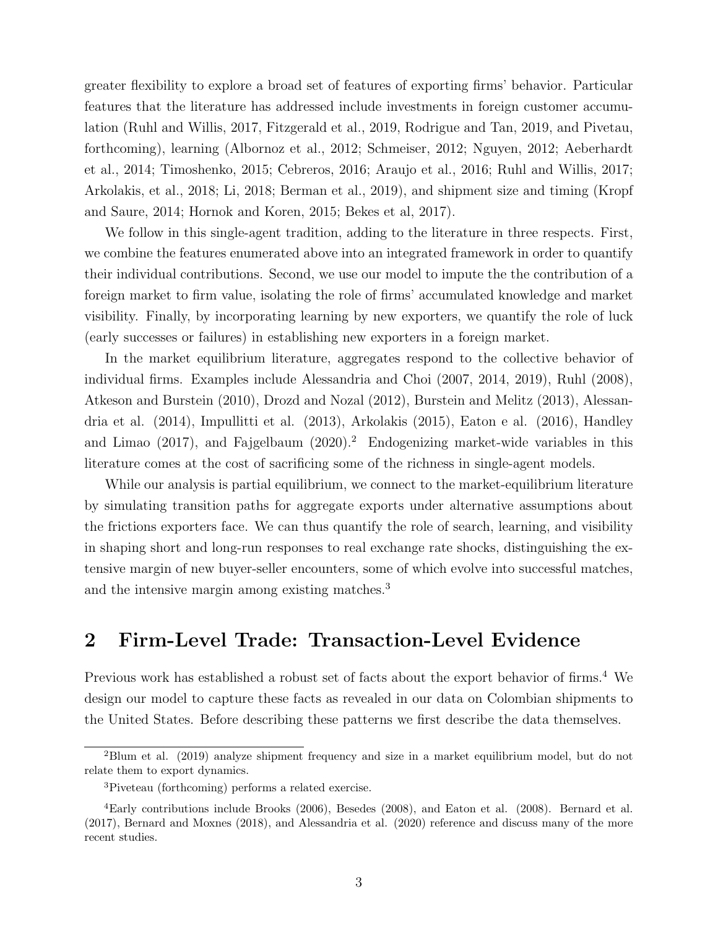greater flexibility to explore a broad set of features of exporting firms' behavior. Particular features that the literature has addressed include investments in foreign customer accumulation (Ruhl and Willis, 2017, Fitzgerald et al., 2019, Rodrigue and Tan, 2019, and Pivetau, forthcoming), learning (Albornoz et al., 2012; Schmeiser, 2012; Nguyen, 2012; Aeberhardt et al., 2014; Timoshenko, 2015; Cebreros, 2016; Araujo et al., 2016; Ruhl and Willis, 2017; Arkolakis, et al., 2018; Li, 2018; Berman et al., 2019), and shipment size and timing (Kropf and Saure, 2014; Hornok and Koren, 2015; Bekes et al, 2017).

We follow in this single-agent tradition, adding to the literature in three respects. First, we combine the features enumerated above into an integrated framework in order to quantify their individual contributions. Second, we use our model to impute the the contribution of a foreign market to firm value, isolating the role of firms' accumulated knowledge and market visibility. Finally, by incorporating learning by new exporters, we quantify the role of luck (early successes or failures) in establishing new exporters in a foreign market.

In the market equilibrium literature, aggregates respond to the collective behavior of individual firms. Examples include Alessandria and Choi (2007, 2014, 2019), Ruhl (2008), Atkeson and Burstein (2010), Drozd and Nozal (2012), Burstein and Melitz (2013), Alessandria et al. (2014), Impullitti et al. (2013), Arkolakis (2015), Eaton e al. (2016), Handley and Limao  $(2017)$  $(2017)$  $(2017)$ , and Fajgelbaum  $(2020)$ .<sup>2</sup> Endogenizing market-wide variables in this literature comes at the cost of sacrificing some of the richness in single-agent models.

While our analysis is partial equilibrium, we connect to the market-equilibrium literature by simulating transition paths for aggregate exports under alternative assumptions about the frictions exporters face. We can thus quantify the role of search, learning, and visibility in shaping short and long-run responses to real exchange rate shocks, distinguishing the extensive margin of new buyer-seller encounters, some of which evolve into successful matches, and the intensive margin among existing matches.<sup>[3](#page-0-0)</sup>

### 2 Firm-Level Trade: Transaction-Level Evidence

Previous work has established a robust set of facts about the export behavior of firms.<sup>[4](#page-0-0)</sup> We design our model to capture these facts as revealed in our data on Colombian shipments to the United States. Before describing these patterns we first describe the data themselves.

<sup>2</sup>Blum et al. (2019) analyze shipment frequency and size in a market equilibrium model, but do not relate them to export dynamics.

<sup>3</sup>Piveteau (forthcoming) performs a related exercise.

<sup>4</sup>Early contributions include Brooks (2006), Besedes (2008), and Eaton et al. (2008). Bernard et al. (2017), Bernard and Moxnes (2018), and Alessandria et al. (2020) reference and discuss many of the more recent studies.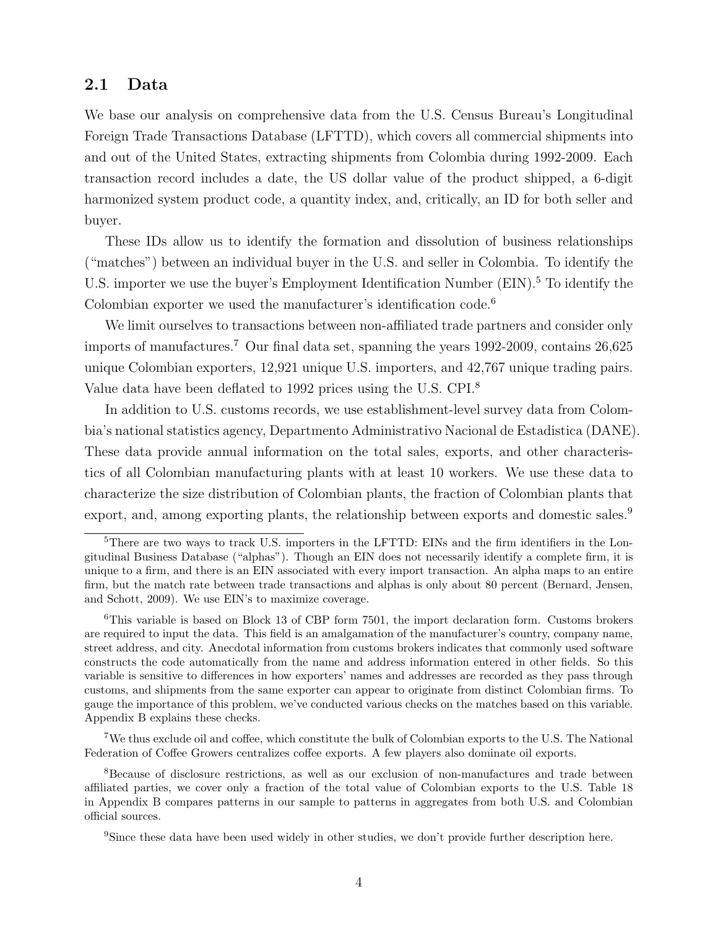### <span id="page-4-0"></span>2.1 Data

We base our analysis on comprehensive data from the U.S. Census Bureau's Longitudinal Foreign Trade Transactions Database (LFTTD), which covers all commercial shipments into and out of the United States, extracting shipments from Colombia during 1992-2009. Each transaction record includes a date, the US dollar value of the product shipped, a 6-digit harmonized system product code, a quantity index, and, critically, an ID for both seller and buyer.

These IDs allow us to identify the formation and dissolution of business relationships ("matches") between an individual buyer in the U.S. and seller in Colombia. To identify the U.S. importer we use the buyer's Employment Identification Number (EIN).<sup>[5](#page-0-0)</sup> To identify the Colombian exporter we used the manufacturer's identification code.<sup>[6](#page-0-0)</sup>

We limit ourselves to transactions between non-affiliated trade partners and consider only imports of manufactures.[7](#page-0-0) Our final data set, spanning the years 1992-2009, contains 26,625 unique Colombian exporters, 12,921 unique U.S. importers, and 42,767 unique trading pairs. Value data have been deflated to 1992 prices using the U.S. CPI.[8](#page-0-0)

In addition to U.S. customs records, we use establishment-level survey data from Colombia's national statistics agency, Departmento Administrativo Nacional de Estadistica (DANE). These data provide annual information on the total sales, exports, and other characteristics of all Colombian manufacturing plants with at least 10 workers. We use these data to characterize the size distribution of Colombian plants, the fraction of Colombian plants that export, and, among exporting plants, the relationship between exports and domestic sales.<sup>[9](#page-0-0)</sup>

<sup>7</sup>We thus exclude oil and coffee, which constitute the bulk of Colombian exports to the U.S. The National Federation of Coffee Growers centralizes coffee exports. A few players also dominate oil exports.

<sup>&</sup>lt;sup>5</sup>There are two ways to track U.S. importers in the LFTTD: EINs and the firm identifiers in the Longitudinal Business Database ("alphas"). Though an EIN does not necessarily identify a complete firm, it is unique to a firm, and there is an EIN associated with every import transaction. An alpha maps to an entire firm, but the match rate between trade transactions and alphas is only about 80 percent (Bernard, Jensen, and Schott, 2009). We use EIN's to maximize coverage.

<sup>6</sup>This variable is based on Block 13 of CBP form 7501, the import declaration form. Customs brokers are required to input the data. This field is an amalgamation of the manufacturer's country, company name, street address, and city. Anecdotal information from customs brokers indicates that commonly used software constructs the code automatically from the name and address information entered in other fields. So this variable is sensitive to differences in how exporters' names and addresses are recorded as they pass through customs, and shipments from the same exporter can appear to originate from distinct Colombian firms. To gauge the importance of this problem, we've conducted various checks on the matches based on this variable. Appendix [B](#page-47-0) explains these checks.

<sup>8</sup>Because of disclosure restrictions, as well as our exclusion of non-manufactures and trade between affiliated parties, we cover only a fraction of the total value of Colombian exports to the U.S. Table [18](#page-47-1) in Appendix [B](#page-47-0) compares patterns in our sample to patterns in aggregates from both U.S. and Colombian official sources.

<sup>&</sup>lt;sup>9</sup>Since these data have been used widely in other studies, we don't provide further description here.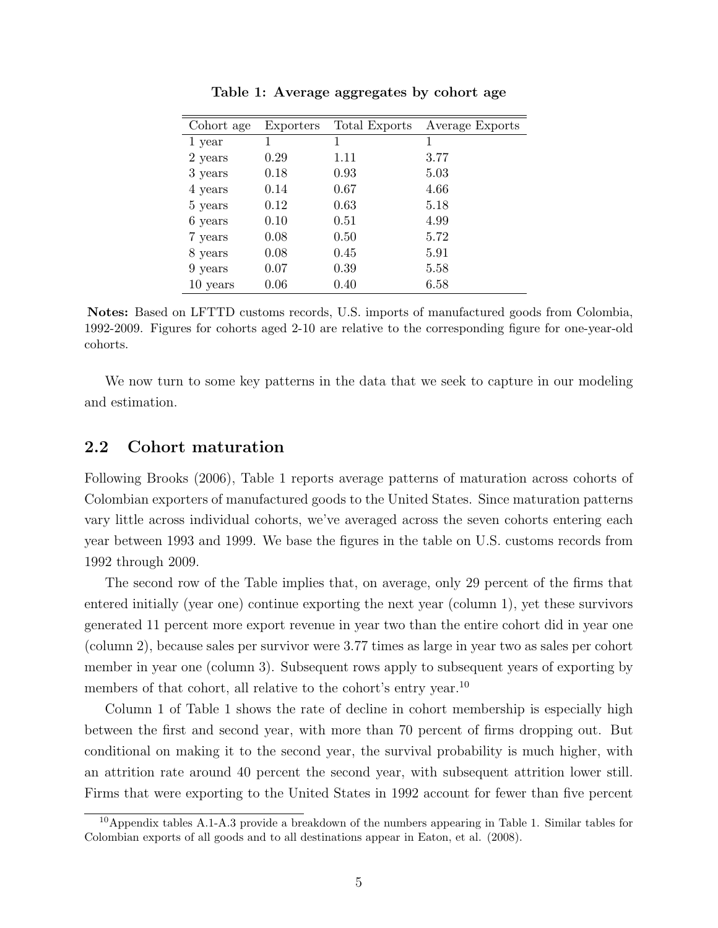<span id="page-5-0"></span>

| Cohort age | Exporters | Total Exports | Average Exports |
|------------|-----------|---------------|-----------------|
| 1 year     |           | 1             | 1               |
| 2 years    | 0.29      | 1.11          | 3.77            |
| 3 years    | 0.18      | 0.93          | 5.03            |
| 4 years    | 0.14      | 0.67          | 4.66            |
| 5 years    | 0.12      | 0.63          | 5.18            |
| 6 years    | 0.10      | 0.51          | 4.99            |
| 7 years    | 0.08      | 0.50          | 5.72            |
| 8 years    | 0.08      | 0.45          | 5.91            |
| 9 years    | 0.07      | 0.39          | 5.58            |
| 10 years   | 0.06      | 0.40          | 6.58            |
|            |           |               |                 |

Table 1: Average aggregates by cohort age

Notes: Based on LFTTD customs records, U.S. imports of manufactured goods from Colombia, 1992-2009. Figures for cohorts aged 2-10 are relative to the corresponding figure for one-year-old cohorts.

We now turn to some key patterns in the data that we seek to capture in our modeling and estimation.

### 2.2 Cohort maturation

Following Brooks (2006), Table [1](#page-5-0) reports average patterns of maturation across cohorts of Colombian exporters of manufactured goods to the United States. Since maturation patterns vary little across individual cohorts, we've averaged across the seven cohorts entering each year between 1993 and 1999. We base the figures in the table on U.S. customs records from 1992 through 2009.

The second row of the Table implies that, on average, only 29 percent of the firms that entered initially (year one) continue exporting the next year (column 1), yet these survivors generated 11 percent more export revenue in year two than the entire cohort did in year one (column 2), because sales per survivor were 3.77 times as large in year two as sales per cohort member in year one (column 3). Subsequent rows apply to subsequent years of exporting by members of that cohort, all relative to the cohort's entry year.<sup>[10](#page-0-0)</sup>

Column 1 of Table [1](#page-5-0) shows the rate of decline in cohort membership is especially high between the first and second year, with more than 70 percent of firms dropping out. But conditional on making it to the second year, the survival probability is much higher, with an attrition rate around 40 percent the second year, with subsequent attrition lower still. Firms that were exporting to the United States in 1992 account for fewer than five percent

<sup>&</sup>lt;sup>10</sup>Appendix tables A.1-A.3 provide a breakdown of the numbers appearing in Table [1.](#page-5-0) Similar tables for Colombian exports of all goods and to all destinations appear in Eaton, et al. (2008).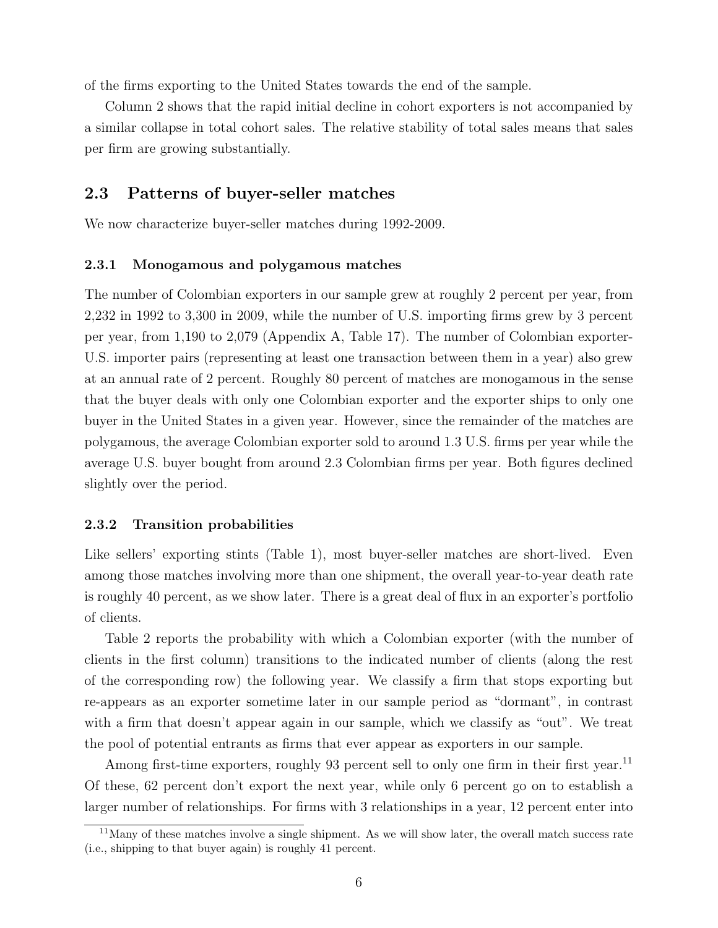of the firms exporting to the United States towards the end of the sample.

Column 2 shows that the rapid initial decline in cohort exporters is not accompanied by a similar collapse in total cohort sales. The relative stability of total sales means that sales per firm are growing substantially.

### 2.3 Patterns of buyer-seller matches

We now characterize buyer-seller matches during 1992-2009.

#### 2.3.1 Monogamous and polygamous matches

The number of Colombian exporters in our sample grew at roughly 2 percent per year, from 2,232 in 1992 to 3,300 in 2009, while the number of U.S. importing firms grew by 3 percent per year, from 1,190 to 2,079 (Appendix [A,](#page-42-0) Table [17\)](#page-46-0). The number of Colombian exporter-U.S. importer pairs (representing at least one transaction between them in a year) also grew at an annual rate of 2 percent. Roughly 80 percent of matches are monogamous in the sense that the buyer deals with only one Colombian exporter and the exporter ships to only one buyer in the United States in a given year. However, since the remainder of the matches are polygamous, the average Colombian exporter sold to around 1.3 U.S. firms per year while the average U.S. buyer bought from around 2.3 Colombian firms per year. Both figures declined slightly over the period.

#### 2.3.2 Transition probabilities

Like sellers' exporting stints (Table [1\)](#page-5-0), most buyer-seller matches are short-lived. Even among those matches involving more than one shipment, the overall year-to-year death rate is roughly 40 percent, as we show later. There is a great deal of flux in an exporter's portfolio of clients.

Table [2](#page-8-0) reports the probability with which a Colombian exporter (with the number of clients in the first column) transitions to the indicated number of clients (along the rest of the corresponding row) the following year. We classify a firm that stops exporting but re-appears as an exporter sometime later in our sample period as "dormant", in contrast with a firm that doesn't appear again in our sample, which we classify as "out". We treat the pool of potential entrants as firms that ever appear as exporters in our sample.

Among first-time exporters, roughly 93 percent sell to only one firm in their first year.<sup>[11](#page-0-0)</sup> Of these, 62 percent don't export the next year, while only 6 percent go on to establish a larger number of relationships. For firms with 3 relationships in a year, 12 percent enter into

<sup>&</sup>lt;sup>11</sup>Many of these matches involve a single shipment. As we will show later, the overall match success rate (i.e., shipping to that buyer again) is roughly 41 percent.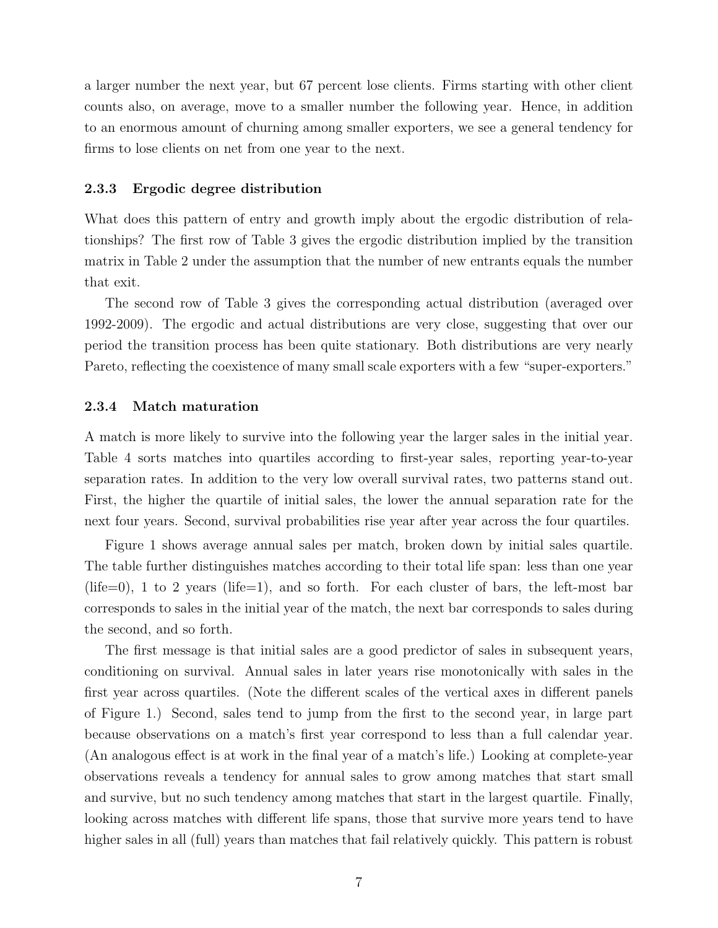a larger number the next year, but 67 percent lose clients. Firms starting with other client counts also, on average, move to a smaller number the following year. Hence, in addition to an enormous amount of churning among smaller exporters, we see a general tendency for firms to lose clients on net from one year to the next.

#### 2.3.3 Ergodic degree distribution

What does this pattern of entry and growth imply about the ergodic distribution of relationships? The first row of Table [3](#page-8-1) gives the ergodic distribution implied by the transition matrix in Table [2](#page-8-0) under the assumption that the number of new entrants equals the number that exit.

The second row of Table [3](#page-8-1) gives the corresponding actual distribution (averaged over 1992-2009). The ergodic and actual distributions are very close, suggesting that over our period the transition process has been quite stationary. Both distributions are very nearly Pareto, reflecting the coexistence of many small scale exporters with a few "super-exporters."

#### 2.3.4 Match maturation

A match is more likely to survive into the following year the larger sales in the initial year. Table [4](#page-8-2) sorts matches into quartiles according to first-year sales, reporting year-to-year separation rates. In addition to the very low overall survival rates, two patterns stand out. First, the higher the quartile of initial sales, the lower the annual separation rate for the next four years. Second, survival probabilities rise year after year across the four quartiles.

Figure [1](#page-9-0) shows average annual sales per match, broken down by initial sales quartile. The table further distinguishes matches according to their total life span: less than one year (life=0), 1 to 2 years (life=1), and so forth. For each cluster of bars, the left-most bar corresponds to sales in the initial year of the match, the next bar corresponds to sales during the second, and so forth.

The first message is that initial sales are a good predictor of sales in subsequent years, conditioning on survival. Annual sales in later years rise monotonically with sales in the first year across quartiles. (Note the different scales of the vertical axes in different panels of Figure [1.](#page-9-0)) Second, sales tend to jump from the first to the second year, in large part because observations on a match's first year correspond to less than a full calendar year. (An analogous effect is at work in the final year of a match's life.) Looking at complete-year observations reveals a tendency for annual sales to grow among matches that start small and survive, but no such tendency among matches that start in the largest quartile. Finally, looking across matches with different life spans, those that survive more years tend to have higher sales in all (full) years than matches that fail relatively quickly. This pattern is robust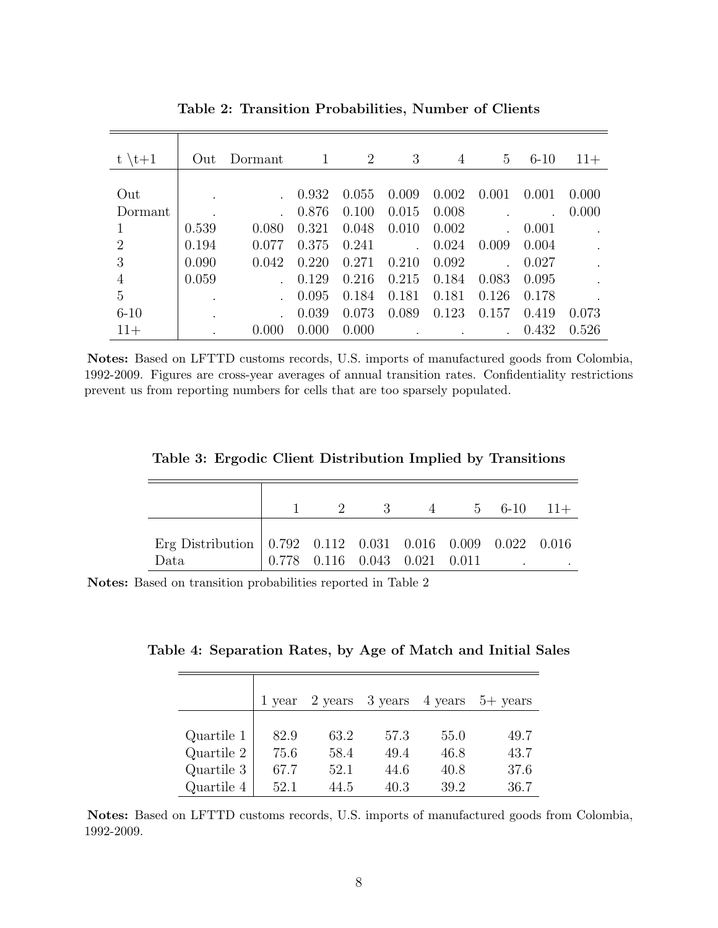<span id="page-8-0"></span>

| $\setminus t+1$ | Out   | Dormant | 1     | 2     | 3     | 4     | 5     | $6 - 10$ | $11+$ |
|-----------------|-------|---------|-------|-------|-------|-------|-------|----------|-------|
|                 |       |         |       |       |       |       |       |          |       |
| Out             |       |         | 0.932 | 0.055 | 0.009 | 0.002 | 0.001 | 0.001    | 0.000 |
| Dormant         |       |         | 0.876 | 0.100 | 0.015 | 0.008 |       |          | 0.000 |
|                 | 0.539 | 0.080   | 0.321 | 0.048 | 0.010 | 0.002 |       | 0.001    |       |
| $\overline{2}$  | 0.194 | 0.077   | 0.375 | 0.241 |       | 0.024 | 0.009 | 0.004    |       |
| 3               | 0.090 | 0.042   | 0.220 | 0.271 | 0.210 | 0.092 |       | 0.027    |       |
| 4               | 0.059 |         | 0.129 | 0.216 | 0.215 | 0.184 | 0.083 | 0.095    |       |
| 5               |       |         | 0.095 | 0.184 | 0.181 | 0.181 | 0.126 | 0.178    |       |
| $6 - 10$        |       |         | 0.039 | 0.073 | 0.089 | 0.123 | 0.157 | 0.419    | 0.073 |
| $11+$           |       |         | 0.000 | 0.000 |       |       |       | 0.432    | 0.526 |

Table 2: Transition Probabilities, Number of Clients

Notes: Based on LFTTD customs records, U.S. imports of manufactured goods from Colombia, 1992-2009. Figures are cross-year averages of annual transition rates. Confidentiality restrictions prevent us from reporting numbers for cells that are too sparsely populated.

<span id="page-8-1"></span>

|  | Table 3: Ergodic Client Distribution Implied by Transitions |  |  |
|--|-------------------------------------------------------------|--|--|
|  |                                                             |  |  |

|                                                                                                                |  | 2 3 4 5 6-10 11+                        |  |  |
|----------------------------------------------------------------------------------------------------------------|--|-----------------------------------------|--|--|
| Erg Distribution $\vert 0.792 \quad 0.112 \quad 0.031 \quad 0.016 \quad 0.009 \quad 0.022 \quad 0.016$<br>Data |  | $0.778$ $0.116$ $0.043$ $0.021$ $0.011$ |  |  |

<span id="page-8-2"></span>Notes: Based on transition probabilities reported in Table [2](#page-8-0)

| Table 4: Separation Rates, by Age of Match and Initial Sales |  |  |  |  |
|--------------------------------------------------------------|--|--|--|--|
|                                                              |  |  |  |  |

|            | 1 year | 2 years | 3 years | 4 years | $5+$ years |
|------------|--------|---------|---------|---------|------------|
|            |        |         |         |         |            |
| Quartile 1 | 82.9   | 63.2    | 57.3    | 55.0    | 49.7       |
| Quartile 2 | 75.6   | 58.4    | 49.4    | 46.8    | 43.7       |
| Quartile 3 | 67.7   | 52.1    | 44.6    | 40.8    | 37.6       |
| Quartile 4 | 52.1   | 44.5    | 40.3    | 39.2    | 36.7       |

Notes: Based on LFTTD customs records, U.S. imports of manufactured goods from Colombia, 1992-2009.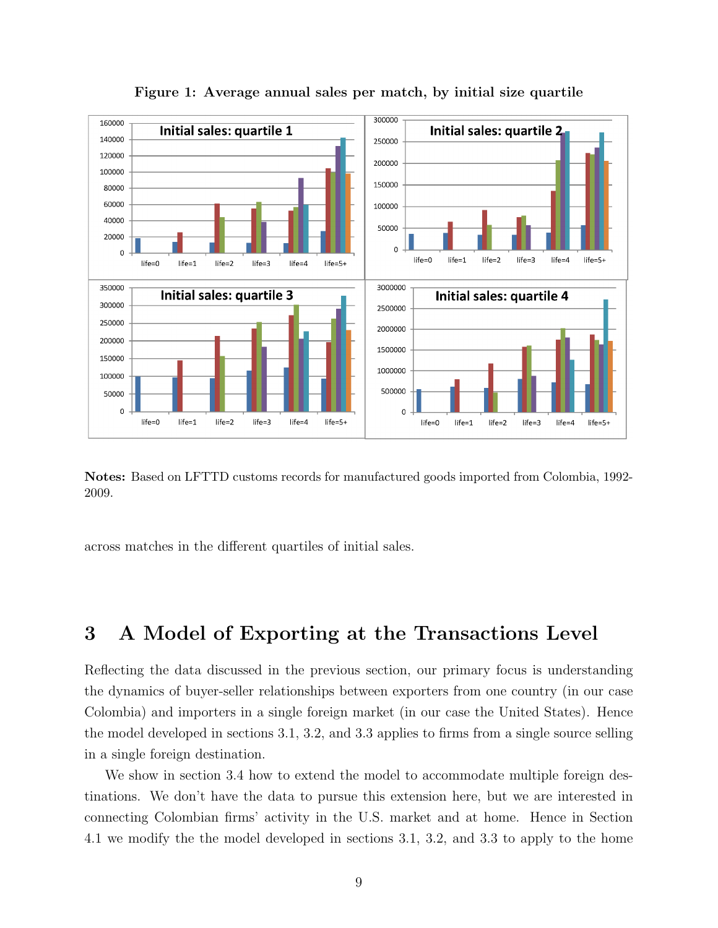<span id="page-9-0"></span>

Figure 1: Average annual sales per match, by initial size quartile

Notes: Based on LFTTD customs records for manufactured goods imported from Colombia, 1992- 2009.

across matches in the different quartiles of initial sales.

## 3 A Model of Exporting at the Transactions Level

Reflecting the data discussed in the previous section, our primary focus is understanding the dynamics of buyer-seller relationships between exporters from one country (in our case Colombia) and importers in a single foreign market (in our case the United States). Hence the model developed in sections [3.1,](#page-10-0) [3.2,](#page-13-0) and [3.3](#page-14-0) applies to firms from a single source selling in a single foreign destination.

We show in section [3.4](#page-15-0) how to extend the model to accommodate multiple foreign destinations. We don't have the data to pursue this extension here, but we are interested in connecting Colombian firms' activity in the U.S. market and at home. Hence in Section [4.1](#page-16-0) we modify the the model developed in sections [3.1,](#page-10-0) [3.2,](#page-13-0) and [3.3](#page-14-0) to apply to the home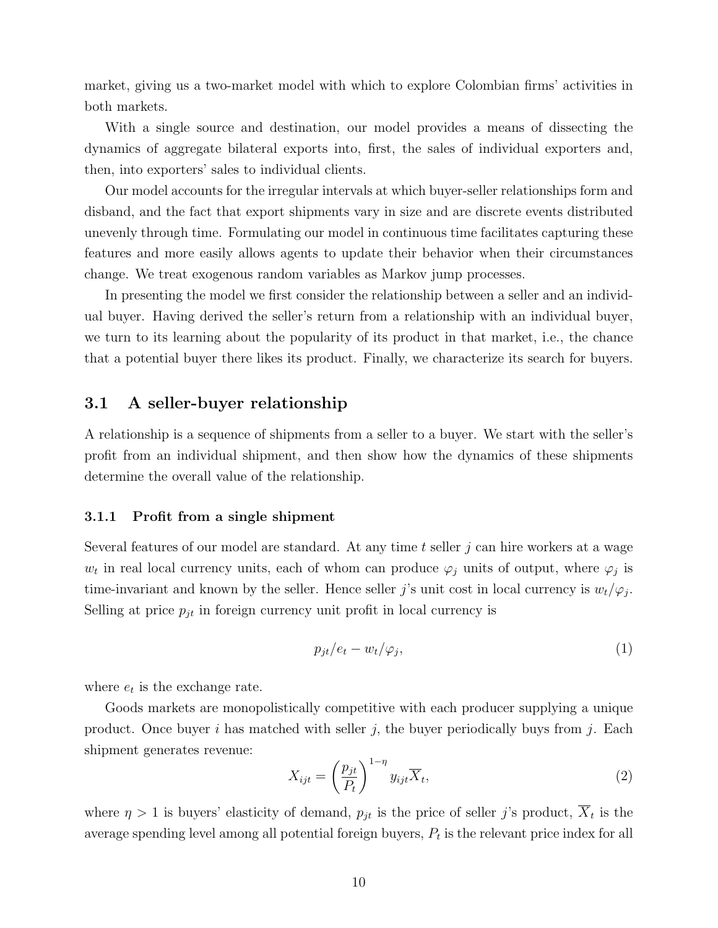market, giving us a two-market model with which to explore Colombian firms' activities in both markets.

With a single source and destination, our model provides a means of dissecting the dynamics of aggregate bilateral exports into, first, the sales of individual exporters and, then, into exporters' sales to individual clients.

Our model accounts for the irregular intervals at which buyer-seller relationships form and disband, and the fact that export shipments vary in size and are discrete events distributed unevenly through time. Formulating our model in continuous time facilitates capturing these features and more easily allows agents to update their behavior when their circumstances change. We treat exogenous random variables as Markov jump processes.

In presenting the model we first consider the relationship between a seller and an individual buyer. Having derived the seller's return from a relationship with an individual buyer, we turn to its learning about the popularity of its product in that market, i.e., the chance that a potential buyer there likes its product. Finally, we characterize its search for buyers.

#### <span id="page-10-0"></span>3.1 A seller-buyer relationship

A relationship is a sequence of shipments from a seller to a buyer. We start with the seller's profit from an individual shipment, and then show how the dynamics of these shipments determine the overall value of the relationship.

#### 3.1.1 Profit from a single shipment

Several features of our model are standard. At any time  $t$  seller  $j$  can hire workers at a wage  $w_t$  in real local currency units, each of whom can produce  $\varphi_j$  units of output, where  $\varphi_j$  is time-invariant and known by the seller. Hence seller j's unit cost in local currency is  $w_t/\varphi_j$ . Selling at price  $p_{jt}$  in foreign currency unit profit in local currency is

<span id="page-10-1"></span>
$$
p_{jt}/e_t - w_t/\varphi_j,\tag{1}
$$

where  $e_t$  is the exchange rate.

Goods markets are monopolistically competitive with each producer supplying a unique product. Once buyer i has matched with seller j, the buyer periodically buys from j. Each shipment generates revenue:

<span id="page-10-2"></span>
$$
X_{ijt} = \left(\frac{p_{jt}}{P_t}\right)^{1-\eta} y_{ijt} \overline{X}_t,
$$
\n(2)

where  $\eta > 1$  is buyers' elasticity of demand,  $p_{jt}$  is the price of seller j's product,  $X_t$  is the average spending level among all potential foreign buyers,  $P_t$  is the relevant price index for all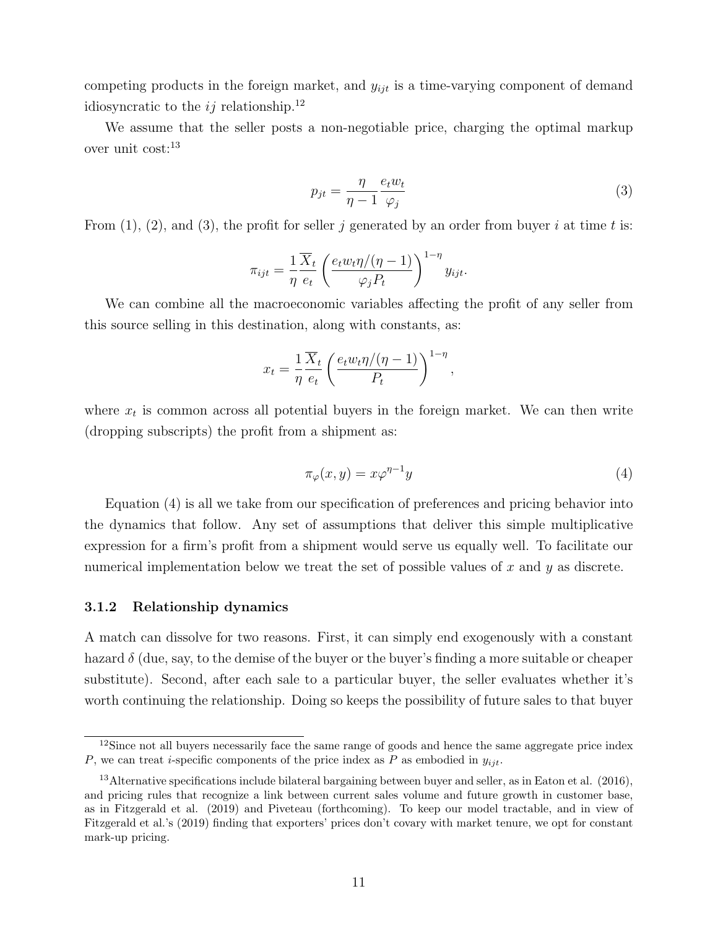competing products in the foreign market, and  $y_{ijt}$  is a time-varying component of demand idiosyncratic to the  $ij$  relationship.<sup>[12](#page-0-0)</sup>

We assume that the seller posts a non-negotiable price, charging the optimal markup over unit cost:[13](#page-0-0)

<span id="page-11-0"></span>
$$
p_{jt} = \frac{\eta}{\eta - 1} \frac{e_t w_t}{\varphi_j} \tag{3}
$$

From  $(1)$ ,  $(2)$ , and  $(3)$ , the profit for seller j generated by an order from buyer i at time t is:

$$
\pi_{ijt} = \frac{1}{\eta} \frac{\overline{X}_t}{e_t} \left( \frac{e_t w_t \eta / (\eta - 1)}{\varphi_j P_t} \right)^{1 - \eta} y_{ijt}.
$$

We can combine all the macroeconomic variables affecting the profit of any seller from this source selling in this destination, along with constants, as:

$$
x_t = \frac{1}{\eta} \frac{\overline{X}_t}{e_t} \left( \frac{e_t w_t \eta / (\eta - 1)}{P_t} \right)^{1 - \eta},
$$

where  $x_t$  is common across all potential buyers in the foreign market. We can then write (dropping subscripts) the profit from a shipment as:

<span id="page-11-1"></span>
$$
\pi_{\varphi}(x, y) = x\varphi^{\eta - 1}y\tag{4}
$$

Equation [\(4\)](#page-11-1) is all we take from our specification of preferences and pricing behavior into the dynamics that follow. Any set of assumptions that deliver this simple multiplicative expression for a firm's profit from a shipment would serve us equally well. To facilitate our numerical implementation below we treat the set of possible values of  $x$  and  $y$  as discrete.

#### 3.1.2 Relationship dynamics

A match can dissolve for two reasons. First, it can simply end exogenously with a constant hazard  $\delta$  (due, say, to the demise of the buyer or the buyer's finding a more suitable or cheaper substitute). Second, after each sale to a particular buyer, the seller evaluates whether it's worth continuing the relationship. Doing so keeps the possibility of future sales to that buyer

<sup>&</sup>lt;sup>12</sup>Since not all buyers necessarily face the same range of goods and hence the same aggregate price index P, we can treat *i*-specific components of the price index as P as embodied in  $y_{ijt}$ .

<sup>13</sup>Alternative specifications include bilateral bargaining between buyer and seller, as in Eaton et al. (2016), and pricing rules that recognize a link between current sales volume and future growth in customer base, as in Fitzgerald et al. (2019) and Piveteau (forthcoming). To keep our model tractable, and in view of Fitzgerald et al.'s (2019) finding that exporters' prices don't covary with market tenure, we opt for constant mark-up pricing.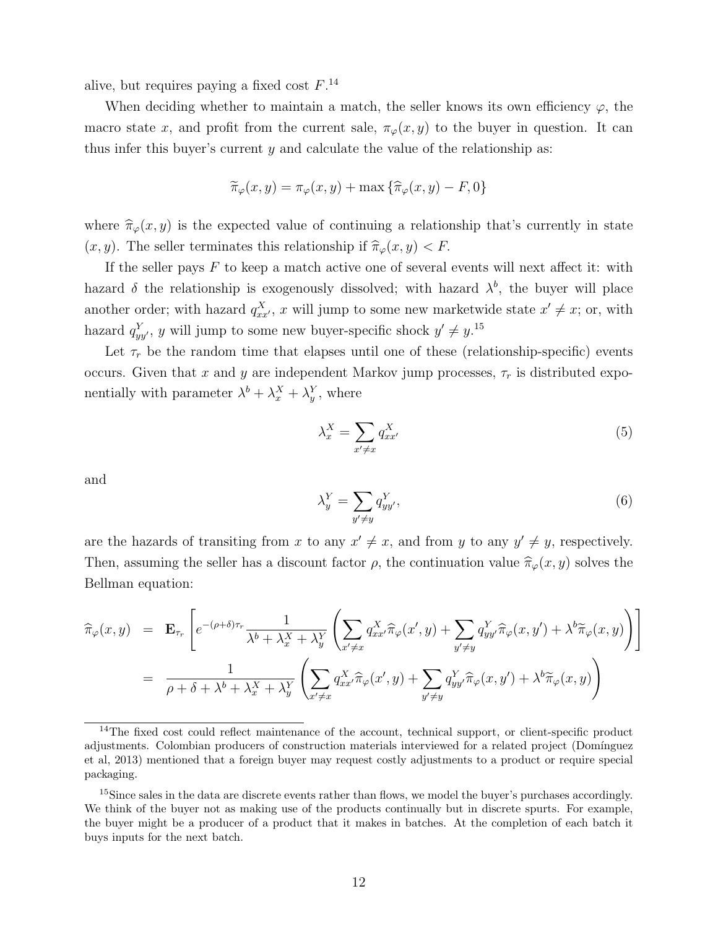alive, but requires paying a fixed cost  $F^{14}$  $F^{14}$  $F^{14}$ 

When deciding whether to maintain a match, the seller knows its own efficiency  $\varphi$ , the macro state x, and profit from the current sale,  $\pi_{\varphi}(x, y)$  to the buyer in question. It can thus infer this buyer's current  $y$  and calculate the value of the relationship as:

$$
\widetilde{\pi}_{\varphi}(x, y) = \pi_{\varphi}(x, y) + \max \{ \widehat{\pi}_{\varphi}(x, y) - F, 0 \}
$$

where  $\hat{\pi}_{\varphi}(x, y)$  is the expected value of continuing a relationship that's currently in state  $(x, y)$ . The seller terminates this relationship if  $\hat{\pi}_{\varphi}(x, y) < F$ .

If the seller pays  $F$  to keep a match active one of several events will next affect it: with hazard  $\delta$  the relationship is exogenously dissolved; with hazard  $\lambda^b$ , the buyer will place another order; with hazard  $q_{xx}^X$ , x will jump to some new marketwide state  $x' \neq x$ ; or, with hazard  $q_{yy}^Y$ , y will jump to some new buyer-specific shock  $y' \neq y$ .<sup>[15](#page-0-0)</sup>

Let  $\tau_r$  be the random time that elapses until one of these (relationship-specific) events occurs. Given that x and y are independent Markov jump processes,  $\tau_r$  is distributed exponentially with parameter  $\lambda^b + \lambda^X_x + \lambda^Y_y$ , where

<span id="page-12-0"></span>
$$
\lambda_x^X = \sum_{x' \neq x} q_{xx'}^X \tag{5}
$$

and

$$
\lambda_y^Y = \sum_{y' \neq y} q_{yy'}^Y,\tag{6}
$$

are the hazards of transiting from x to any  $x' \neq x$ , and from y to any  $y' \neq y$ , respectively. Then, assuming the seller has a discount factor  $\rho$ , the continuation value  $\hat{\pi}_{\varphi}(x, y)$  solves the Bellman equation:

$$
\widehat{\pi}_{\varphi}(x,y) = \mathbf{E}_{\tau_r} \left[ e^{-(\rho+\delta)\tau_r} \frac{1}{\lambda^b + \lambda_x^X + \lambda_y^Y} \left( \sum_{x' \neq x} q_{xx'}^X \widehat{\pi}_{\varphi}(x',y) + \sum_{y' \neq y} q_{yy'}^Y \widehat{\pi}_{\varphi}(x,y') + \lambda^b \widetilde{\pi}_{\varphi}(x,y) \right) \right]
$$
\n
$$
= \frac{1}{\rho + \delta + \lambda^b + \lambda_x^X + \lambda_y^Y} \left( \sum_{x' \neq x} q_{xx'}^X \widehat{\pi}_{\varphi}(x',y) + \sum_{y' \neq y} q_{yy'}^Y \widehat{\pi}_{\varphi}(x,y') + \lambda^b \widetilde{\pi}_{\varphi}(x,y) \right)
$$

 $14$ The fixed cost could reflect maintenance of the account, technical support, or client-specific product adjustments. Colombian producers of construction materials interviewed for a related project (Domínguez et al, 2013) mentioned that a foreign buyer may request costly adjustments to a product or require special packaging.

<sup>&</sup>lt;sup>15</sup>Since sales in the data are discrete events rather than flows, we model the buyer's purchases accordingly. We think of the buyer not as making use of the products continually but in discrete spurts. For example, the buyer might be a producer of a product that it makes in batches. At the completion of each batch it buys inputs for the next batch.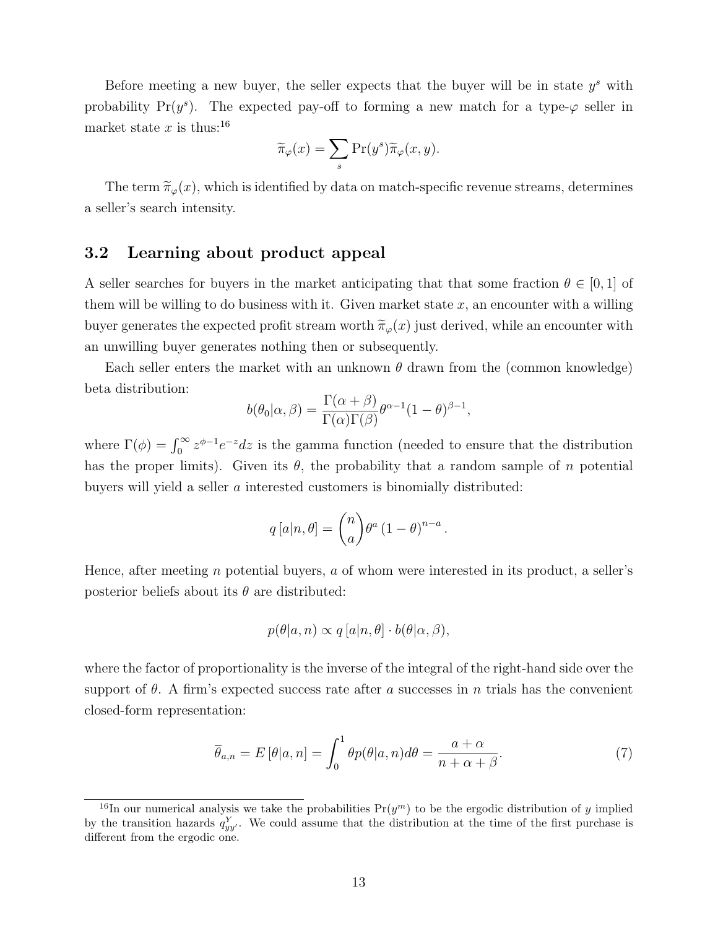Before meeting a new buyer, the seller expects that the buyer will be in state  $y^s$  with probability Pr( $y^s$ ). The expected pay-off to forming a new match for a type- $\varphi$  seller in market state x is thus:<sup>[16](#page-0-0)</sup>

$$
\widetilde{\pi}_{\varphi}(x) = \sum_{s} \Pr(y^s) \widetilde{\pi}_{\varphi}(x, y).
$$

The term  $\tilde{\pi}_{\varphi}(x)$ , which is identified by data on match-specific revenue streams, determines a seller's search intensity.

### <span id="page-13-0"></span>3.2 Learning about product appeal

A seller searches for buyers in the market anticipating that that some fraction  $\theta \in [0,1]$  of them will be willing to do business with it. Given market state  $x$ , an encounter with a willing buyer generates the expected profit stream worth  $\tilde{\pi}_{\varphi}(x)$  just derived, while an encounter with an unwilling buyer generates nothing then or subsequently.

Each seller enters the market with an unknown  $\theta$  drawn from the (common knowledge) beta distribution:

$$
b(\theta_0|\alpha,\beta) = \frac{\Gamma(\alpha+\beta)}{\Gamma(\alpha)\Gamma(\beta)} \theta^{\alpha-1} (1-\theta)^{\beta-1},
$$

where  $\Gamma(\phi) = \int_0^\infty z^{\phi-1} e^{-z} dz$  is the gamma function (needed to ensure that the distribution has the proper limits). Given its  $\theta$ , the probability that a random sample of n potential buyers will yield a seller a interested customers is binomially distributed:

$$
q[a|n,\theta] = {n \choose a} \theta^a (1-\theta)^{n-a}.
$$

Hence, after meeting n potential buyers, a of whom were interested in its product, a seller's posterior beliefs about its  $\theta$  are distributed:

$$
p(\theta|a, n) \propto q[a|n, \theta] \cdot b(\theta|\alpha, \beta),
$$

where the factor of proportionality is the inverse of the integral of the right-hand side over the support of  $\theta$ . A firm's expected success rate after a successes in n trials has the convenient closed-form representation:

$$
\overline{\theta}_{a,n} = E\left[\theta|a,n\right] = \int_0^1 \theta p(\theta|a,n) d\theta = \frac{a+\alpha}{n+\alpha+\beta}.\tag{7}
$$

<sup>&</sup>lt;sup>16</sup>In our numerical analysis we take the probabilities  $Pr(y^m)$  to be the ergodic distribution of y implied by the transition hazards  $q_{yy}^Y$ . We could assume that the distribution at the time of the first purchase is different from the ergodic one.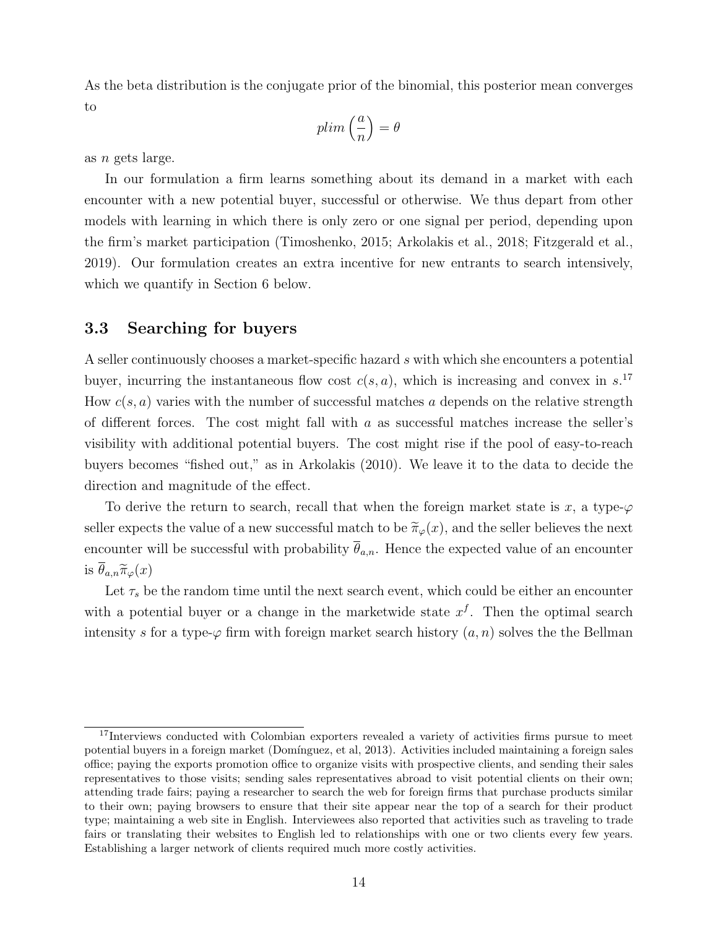As the beta distribution is the conjugate prior of the binomial, this posterior mean converges to

$$
plim\left(\frac{a}{n}\right)=\theta
$$

as n gets large.

In our formulation a firm learns something about its demand in a market with each encounter with a new potential buyer, successful or otherwise. We thus depart from other models with learning in which there is only zero or one signal per period, depending upon the firm's market participation (Timoshenko, 2015; Arkolakis et al., 2018; Fitzgerald et al., 2019). Our formulation creates an extra incentive for new entrants to search intensively, which we quantify in Section 6 below.

### <span id="page-14-0"></span>3.3 Searching for buyers

A seller continuously chooses a market-specific hazard s with which she encounters a potential buyer, incurring the instantaneous flow cost  $c(s, a)$ , which is increasing and convex in s.<sup>[17](#page-0-0)</sup> How  $c(s, a)$  varies with the number of successful matches a depends on the relative strength of different forces. The cost might fall with  $a$  as successful matches increase the seller's visibility with additional potential buyers. The cost might rise if the pool of easy-to-reach buyers becomes "fished out," as in Arkolakis (2010). We leave it to the data to decide the direction and magnitude of the effect.

To derive the return to search, recall that when the foreign market state is x, a type- $\varphi$ seller expects the value of a new successful match to be  $\tilde{\pi}_{\varphi}(x)$ , and the seller believes the next encounter will be successful with probability  $\overline{\theta}_{a,n}$ . Hence the expected value of an encounter is  $\theta_{a,n}\tilde{\pi}_{\varphi}(x)$ 

Let  $\tau_s$  be the random time until the next search event, which could be either an encounter with a potential buyer or a change in the marketwide state  $x<sup>f</sup>$ . Then the optimal search intensity s for a type- $\varphi$  firm with foreign market search history  $(a, n)$  solves the the Bellman

<sup>&</sup>lt;sup>17</sup>Interviews conducted with Colombian exporters revealed a variety of activities firms pursue to meet potential buyers in a foreign market (Dom´ınguez, et al, 2013). Activities included maintaining a foreign sales office; paying the exports promotion office to organize visits with prospective clients, and sending their sales representatives to those visits; sending sales representatives abroad to visit potential clients on their own; attending trade fairs; paying a researcher to search the web for foreign firms that purchase products similar to their own; paying browsers to ensure that their site appear near the top of a search for their product type; maintaining a web site in English. Interviewees also reported that activities such as traveling to trade fairs or translating their websites to English led to relationships with one or two clients every few years. Establishing a larger network of clients required much more costly activities.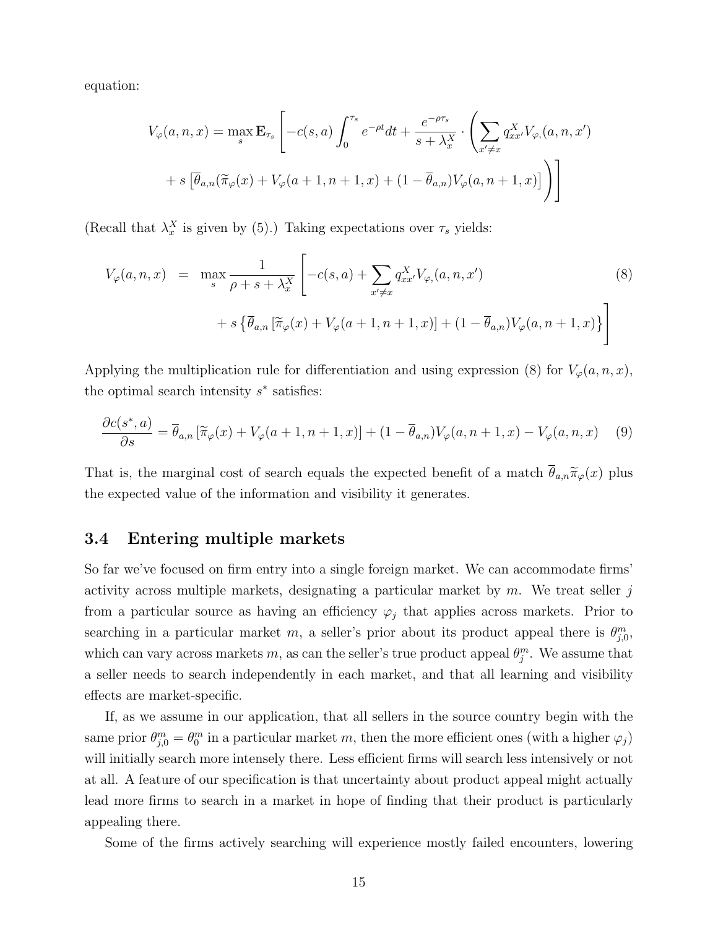equation:

$$
V_{\varphi}(a, n, x) = \max_{s} \mathbf{E}_{\tau_{s}} \left[ -c(s, a) \int_{0}^{\tau_{s}} e^{-\rho t} dt + \frac{e^{-\rho \tau_{s}}}{s + \lambda_{x}^{X}} \cdot \left( \sum_{x' \neq x} q_{xx'}^{X} V_{\varphi}(a, n, x') \right) + s \left[ \overline{\theta}_{a,n} (\widetilde{\pi}_{\varphi}(x) + V_{\varphi}(a+1, n+1, x) + (1 - \overline{\theta}_{a,n}) V_{\varphi}(a, n+1, x)) \right] \right]
$$

(Recall that  $\lambda_x^X$  is given by [\(5\)](#page-12-0).) Taking expectations over  $\tau_s$  yields:

<span id="page-15-1"></span>
$$
V_{\varphi}(a, n, x) = \max_{s} \frac{1}{\rho + s + \lambda_{x}^{X}} \left[ -c(s, a) + \sum_{x' \neq x} q_{xx'}^{X} V_{\varphi}(a, n, x') \right]
$$
(8)  
+  $s \left\{ \overline{\theta}_{a,n} \left[ \widetilde{\pi}_{\varphi}(x) + V_{\varphi}(a+1, n+1, x) \right] + (1 - \overline{\theta}_{a,n}) V_{\varphi}(a, n+1, x) \right\}$ 

Applying the multiplication rule for differentiation and using expression [\(8\)](#page-15-1) for  $V_{\varphi}(a, n, x)$ , the optimal search intensity  $s^*$  satisfies:

<span id="page-15-2"></span>
$$
\frac{\partial c(s^*,a)}{\partial s} = \overline{\theta}_{a,n} \left[ \widetilde{\pi}_{\varphi}(x) + V_{\varphi}(a+1,n+1,x) \right] + (1 - \overline{\theta}_{a,n}) V_{\varphi}(a,n+1,x) - V_{\varphi}(a,n,x) \tag{9}
$$

That is, the marginal cost of search equals the expected benefit of a match  $\bar{\theta}_{a,n}\tilde{\pi}_{\varphi}(x)$  plus the expected value of the information and visibility it generates.

#### <span id="page-15-0"></span>3.4 Entering multiple markets

So far we've focused on firm entry into a single foreign market. We can accommodate firms' activity across multiple markets, designating a particular market by  $m$ . We treat seller j from a particular source as having an efficiency  $\varphi_j$  that applies across markets. Prior to searching in a particular market m, a seller's prior about its product appeal there is  $\theta_{j,0}^m$ , which can vary across markets m, as can the seller's true product appeal  $\theta_j^m$ . We assume that a seller needs to search independently in each market, and that all learning and visibility effects are market-specific.

If, as we assume in our application, that all sellers in the source country begin with the same prior  $\theta_{j,0}^m = \theta_0^m$  in a particular market m, then the more efficient ones (with a higher  $\varphi_j$ ) will initially search more intensely there. Less efficient firms will search less intensively or not at all. A feature of our specification is that uncertainty about product appeal might actually lead more firms to search in a market in hope of finding that their product is particularly appealing there.

Some of the firms actively searching will experience mostly failed encounters, lowering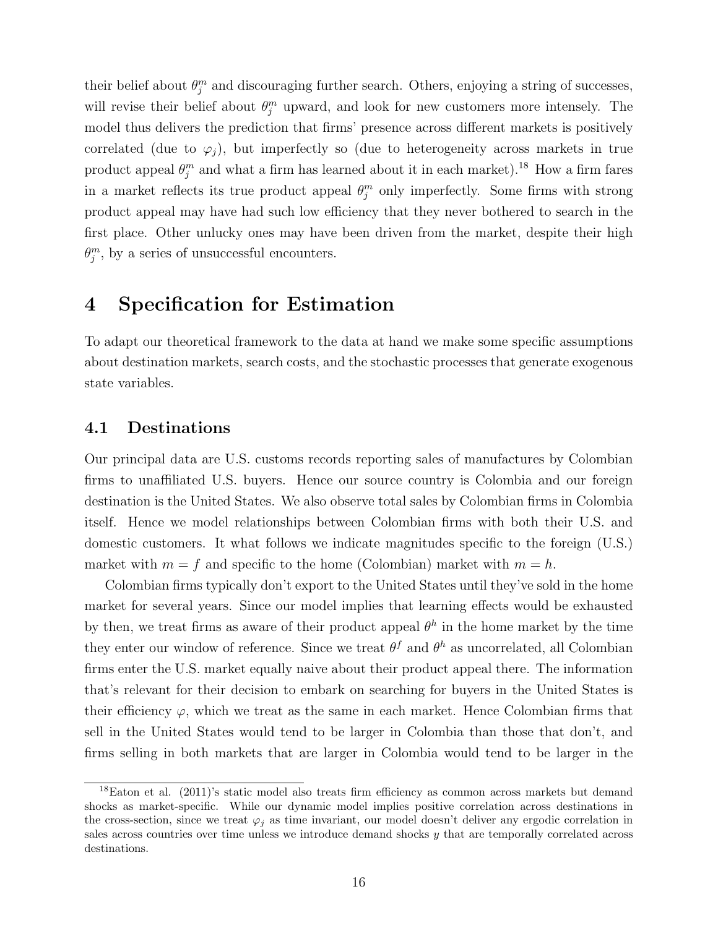their belief about  $\theta_j^m$  and discouraging further search. Others, enjoying a string of successes, will revise their belief about  $\theta_j^m$  upward, and look for new customers more intensely. The model thus delivers the prediction that firms' presence across different markets is positively correlated (due to  $\varphi_i$ ), but imperfectly so (due to heterogeneity across markets in true product appeal  $\theta_j^m$  and what a firm has learned about it in each market).<sup>[18](#page-0-0)</sup> How a firm fares in a market reflects its true product appeal  $\theta_j^m$  only imperfectly. Some firms with strong product appeal may have had such low efficiency that they never bothered to search in the first place. Other unlucky ones may have been driven from the market, despite their high  $\theta_j^m$ , by a series of unsuccessful encounters.

### 4 Specification for Estimation

To adapt our theoretical framework to the data at hand we make some specific assumptions about destination markets, search costs, and the stochastic processes that generate exogenous state variables.

### <span id="page-16-0"></span>4.1 Destinations

Our principal data are U.S. customs records reporting sales of manufactures by Colombian firms to unaffiliated U.S. buyers. Hence our source country is Colombia and our foreign destination is the United States. We also observe total sales by Colombian firms in Colombia itself. Hence we model relationships between Colombian firms with both their U.S. and domestic customers. It what follows we indicate magnitudes specific to the foreign (U.S.) market with  $m = f$  and specific to the home (Colombian) market with  $m = h$ .

Colombian firms typically don't export to the United States until they've sold in the home market for several years. Since our model implies that learning effects would be exhausted by then, we treat firms as aware of their product appeal  $\theta^h$  in the home market by the time they enter our window of reference. Since we treat  $\theta^f$  and  $\theta^h$  as uncorrelated, all Colombian firms enter the U.S. market equally naive about their product appeal there. The information that's relevant for their decision to embark on searching for buyers in the United States is their efficiency  $\varphi$ , which we treat as the same in each market. Hence Colombian firms that sell in the United States would tend to be larger in Colombia than those that don't, and firms selling in both markets that are larger in Colombia would tend to be larger in the

<sup>&</sup>lt;sup>18</sup>Eaton et al. (2011)'s static model also treats firm efficiency as common across markets but demand shocks as market-specific. While our dynamic model implies positive correlation across destinations in the cross-section, since we treat  $\varphi_i$  as time invariant, our model doesn't deliver any ergodic correlation in sales across countries over time unless we introduce demand shocks y that are temporally correlated across destinations.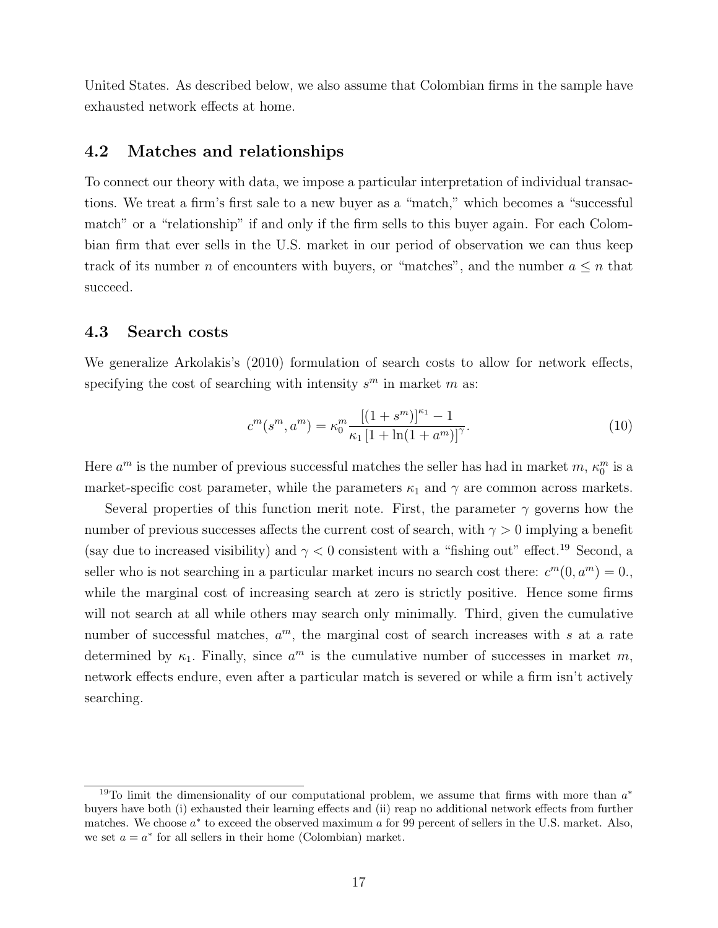United States. As described below, we also assume that Colombian firms in the sample have exhausted network effects at home.

### 4.2 Matches and relationships

To connect our theory with data, we impose a particular interpretation of individual transactions. We treat a firm's first sale to a new buyer as a "match," which becomes a "successful match" or a "relationship" if and only if the firm sells to this buyer again. For each Colombian firm that ever sells in the U.S. market in our period of observation we can thus keep track of its number n of encounters with buyers, or "matches", and the number  $a \leq n$  that succeed.

#### 4.3 Search costs

We generalize Arkolakis's (2010) formulation of search costs to allow for network effects, specifying the cost of searching with intensity  $s^m$  in market m as:

<span id="page-17-0"></span>
$$
c^{m}(s^{m}, a^{m}) = \kappa_0^{m} \frac{[(1+s^{m})]^{\kappa_1} - 1}{\kappa_1 [1 + \ln(1 + a^{m})]^{\gamma}}.
$$
\n(10)

Here  $a^m$  is the number of previous successful matches the seller has had in market  $m$ ,  $\kappa_0^m$  is a market-specific cost parameter, while the parameters  $\kappa_1$  and  $\gamma$  are common across markets.

Several properties of this function merit note. First, the parameter  $\gamma$  governs how the number of previous successes affects the current cost of search, with  $\gamma > 0$  implying a benefit (say due to increased visibility) and  $\gamma < 0$  consistent with a "fishing out" effect.<sup>[19](#page-0-0)</sup> Second, a seller who is not searching in a particular market incurs no search cost there:  $c^m(0, a^m) = 0$ . while the marginal cost of increasing search at zero is strictly positive. Hence some firms will not search at all while others may search only minimally. Third, given the cumulative number of successful matches,  $a^m$ , the marginal cost of search increases with s at a rate determined by  $\kappa_1$ . Finally, since  $a^m$  is the cumulative number of successes in market m, network effects endure, even after a particular match is severed or while a firm isn't actively searching.

<sup>&</sup>lt;sup>19</sup>To limit the dimensionality of our computational problem, we assume that firms with more than  $a^*$ buyers have both (i) exhausted their learning effects and (ii) reap no additional network effects from further matches. We choose  $a^*$  to exceed the observed maximum  $a$  for 99 percent of sellers in the U.S. market. Also, we set  $a = a^*$  for all sellers in their home (Colombian) market.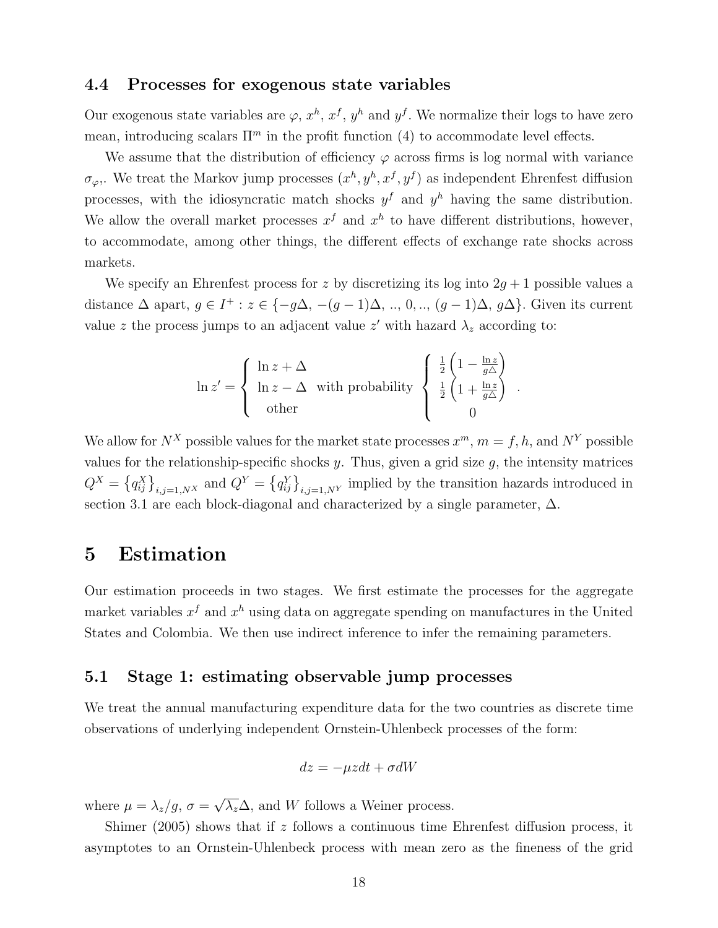### 4.4 Processes for exogenous state variables

Our exogenous state variables are  $\varphi$ ,  $x^h$ ,  $x^f$ ,  $y^h$  and  $y^f$ . We normalize their logs to have zero mean, introducing scalars  $\Pi^m$  in the profit function [\(4\)](#page-11-1) to accommodate level effects.

We assume that the distribution of efficiency  $\varphi$  across firms is log normal with variance  $\sigma_{\varphi}$ . We treat the Markov jump processes  $(x^h, y^h, x^f, y^f)$  as independent Ehrenfest diffusion processes, with the idiosyncratic match shocks  $y<sup>f</sup>$  and  $y<sup>h</sup>$  having the same distribution. We allow the overall market processes  $x^f$  and  $x^h$  to have different distributions, however, to accommodate, among other things, the different effects of exchange rate shocks across markets.

We specify an Ehrenfest process for z by discretizing its log into  $2g + 1$  possible values a distance  $\Delta$  apart,  $g \in I^+ : z \in \{-g\Delta, -(g-1)\Delta, ..., 0, ..., (g-1)\Delta, g\Delta\}$ . Given its current value z the process jumps to an adjacent value  $z'$  with hazard  $\lambda_z$  according to:

$$
\ln z' = \begin{cases} \ln z + \Delta \\ \ln z - \Delta \quad \text{with probability} \\ \text{other} \end{cases} \begin{cases} \frac{1}{2} \left( 1 - \frac{\ln z}{g\Delta} \right) \\ \frac{1}{2} \left( 1 + \frac{\ln z}{g\Delta} \right) \\ 0 \end{cases}
$$

.

We allow for  $N^X$  possible values for the market state processes  $x^m$ ,  $m = f, h$ , and  $N^Y$  possible values for the relationship-specific shocks  $y$ . Thus, given a grid size  $g$ , the intensity matrices  $Q^X = \left\{q_{ij}^X\right\}_{i,j=1,N^X}$  and  $Q^Y = \left\{q_{ij}^Y\right\}_{i,j=1,N^Y}$  implied by the transition hazards introduced in section 3.1 are each block-diagonal and characterized by a single parameter,  $\Delta$ .

### 5 Estimation

Our estimation proceeds in two stages. We first estimate the processes for the aggregate market variables  $x^f$  and  $x^h$  using data on aggregate spending on manufactures in the United States and Colombia. We then use indirect inference to infer the remaining parameters.

### 5.1 Stage 1: estimating observable jump processes

We treat the annual manufacturing expenditure data for the two countries as discrete time observations of underlying independent Ornstein-Uhlenbeck processes of the form:

$$
dz = -\mu z dt + \sigma dW
$$

where  $\mu = \lambda_z/g, \sigma =$ √  $\overline{\lambda_z} \Delta$ , and W follows a Weiner process.

Shimer (2005) shows that if  $z$  follows a continuous time Ehrenfest diffusion process, it asymptotes to an Ornstein-Uhlenbeck process with mean zero as the fineness of the grid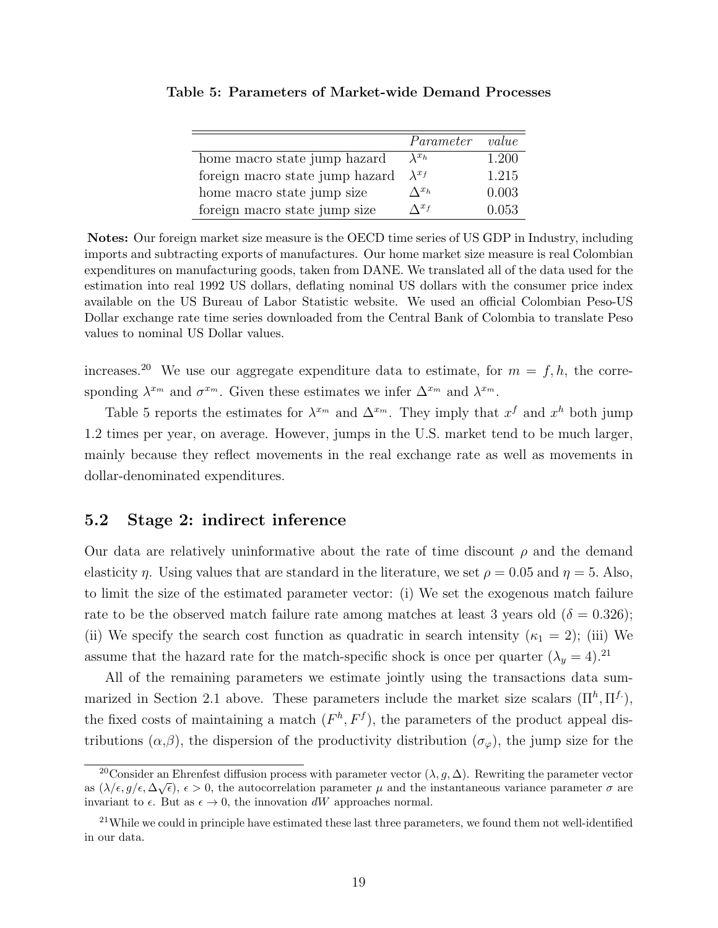|                                 | Parameter       | value |
|---------------------------------|-----------------|-------|
| home macro state jump hazard    | $\lambda^{x_h}$ | 1.200 |
| foreign macro state jump hazard | $\lambda^{x}$ f | 1.215 |
| home macro state jump size      | $\Lambda^{x_h}$ | 0.003 |
| foreign macro state jump size   | $\Lambda^{x_f}$ | 0.053 |

<span id="page-19-0"></span>Table 5: Parameters of Market-wide Demand Processes

Notes: Our foreign market size measure is the OECD time series of US GDP in Industry, including imports and subtracting exports of manufactures. Our home market size measure is real Colombian expenditures on manufacturing goods, taken from DANE. We translated all of the data used for the estimation into real 1992 US dollars, deflating nominal US dollars with the consumer price index available on the US Bureau of Labor Statistic website. We used an official Colombian Peso-US Dollar exchange rate time series downloaded from the Central Bank of Colombia to translate Peso values to nominal US Dollar values.

increases.<sup>[20](#page-0-0)</sup> We use our aggregate expenditure data to estimate, for  $m = f, h$ , the corresponding  $\lambda^{x_m}$  and  $\sigma^{x_m}$ . Given these estimates we infer  $\Delta^{x_m}$  and  $\lambda^{x_m}$ .

Table [5](#page-19-0) reports the estimates for  $\lambda^{x_m}$  and  $\Delta^{x_m}$ . They imply that  $x^f$  and  $x^h$  both jump 1.2 times per year, on average. However, jumps in the U.S. market tend to be much larger, mainly because they reflect movements in the real exchange rate as well as movements in dollar-denominated expenditures.

### 5.2 Stage 2: indirect inference

Our data are relatively uninformative about the rate of time discount  $\rho$  and the demand elasticity  $\eta$ . Using values that are standard in the literature, we set  $\rho = 0.05$  and  $\eta = 5$ . Also, to limit the size of the estimated parameter vector: (i) We set the exogenous match failure rate to be the observed match failure rate among matches at least 3 years old ( $\delta = 0.326$ ); (ii) We specify the search cost function as quadratic in search intensity  $(\kappa_1 = 2)$ ; (iii) We assume that the hazard rate for the match-specific shock is once per quarter  $(\lambda_y = 4)^{21}$  $(\lambda_y = 4)^{21}$  $(\lambda_y = 4)^{21}$ .

All of the remaining parameters we estimate jointly using the transactions data sum-marized in Section [2.1](#page-4-0) above. These parameters include the market size scalars  $(\Pi^h, \Pi^f)$ , the fixed costs of maintaining a match  $(F<sup>h</sup>, F<sup>f</sup>)$ , the parameters of the product appeal distributions  $(\alpha,\beta)$ , the dispersion of the productivity distribution  $(\sigma_{\varphi})$ , the jump size for the

<sup>&</sup>lt;sup>20</sup>Consider an Ehrenfest diffusion process with parameter vector  $(\lambda, g, \Delta)$ . Rewriting the parameter vector as  $(\lambda/\epsilon, g/\epsilon, \Delta\sqrt{\epsilon}), \epsilon > 0$ , the autocorrelation parameter  $\mu$  and the instantaneous variance parameter  $\sigma$  are invariant to  $\epsilon$ . But as  $\epsilon \to 0$ , the innovation dW approaches normal.

 $21$ While we could in principle have estimated these last three parameters, we found them not well-identified in our data.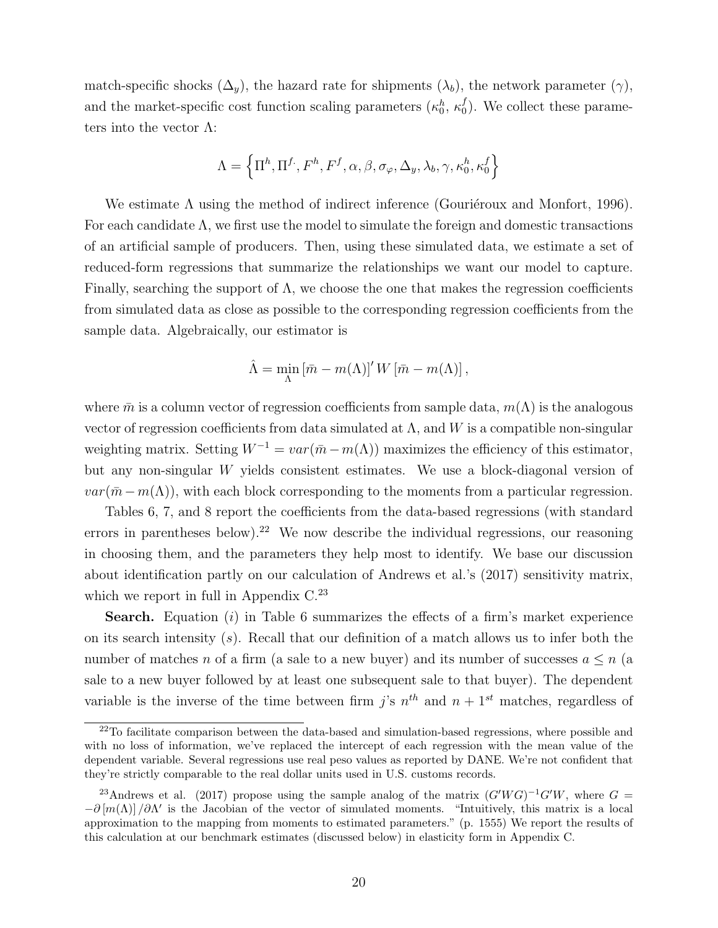match-specific shocks  $(\Delta_y)$ , the hazard rate for shipments  $(\lambda_b)$ , the network parameter  $(\gamma)$ , and the market-specific cost function scaling parameters  $(\kappa_0^h, \kappa_0^f)$  $_{0}^{J}$ ). We collect these parameters into the vector  $\Lambda$ :

$$
\Lambda = \left\{ \Pi^h, \Pi^f, F^h, F^f, \alpha, \beta, \sigma_\varphi, \Delta_y, \lambda_b, \gamma, \kappa_0^h, \kappa_0^f \right\}
$$

We estimate  $\Lambda$  using the method of indirect inference (Gouriéroux and Monfort, 1996). For each candidate  $\Lambda$ , we first use the model to simulate the foreign and domestic transactions of an artificial sample of producers. Then, using these simulated data, we estimate a set of reduced-form regressions that summarize the relationships we want our model to capture. Finally, searching the support of  $\Lambda$ , we choose the one that makes the regression coefficients from simulated data as close as possible to the corresponding regression coefficients from the sample data. Algebraically, our estimator is

$$
\hat{\Lambda} = \min_{\Lambda} \left[ \bar{m} - m(\Lambda) \right]^{\prime} W \left[ \bar{m} - m(\Lambda) \right],
$$

where  $\bar{m}$  is a column vector of regression coefficients from sample data,  $m(\Lambda)$  is the analogous vector of regression coefficients from data simulated at  $\Lambda$ , and W is a compatible non-singular weighting matrix. Setting  $W^{-1} = var(\bar{m} - m(\Lambda))$  maximizes the efficiency of this estimator, but any non-singular W yields consistent estimates. We use a block-diagonal version of  $var(\bar{m}-m(\Lambda))$ , with each block corresponding to the moments from a particular regression.

Tables [6,](#page-24-0) [7,](#page-25-0) and [8](#page-25-1) report the coefficients from the data-based regressions (with standard errors in parentheses below).<sup>[22](#page-0-0)</sup> We now describe the individual regressions, our reasoning in choosing them, and the parameters they help most to identify. We base our discussion about identification partly on our calculation of Andrews et al.'s (2017) sensitivity matrix, which we report in full in Appendix  $C<sup>23</sup>$  $C<sup>23</sup>$  $C<sup>23</sup>$ 

**Search.** Equation  $(i)$  in Table [6](#page-24-0) summarizes the effects of a firm's market experience on its search intensity  $(s)$ . Recall that our definition of a match allows us to infer both the number of matches n of a firm (a sale to a new buyer) and its number of successes  $a \leq n$  (a sale to a new buyer followed by at least one subsequent sale to that buyer). The dependent variable is the inverse of the time between firm j's  $n^{th}$  and  $n + 1^{st}$  matches, regardless of

 $22$ To facilitate comparison between the data-based and simulation-based regressions, where possible and with no loss of information, we've replaced the intercept of each regression with the mean value of the dependent variable. Several regressions use real peso values as reported by DANE. We're not confident that they're strictly comparable to the real dollar units used in U.S. customs records.

<sup>&</sup>lt;sup>23</sup>Andrews et al. (2017) propose using the sample analog of the matrix  $(G'WG)^{-1}G'W$ , where  $G =$  $-\partial [m(\Lambda)]/\partial \Lambda'$  is the Jacobian of the vector of simulated moments. "Intuitively, this matrix is a local approximation to the mapping from moments to estimated parameters." (p. 1555) We report the results of this calculation at our benchmark estimates (discussed below) in elasticity form in Appendix [C.](#page-49-0)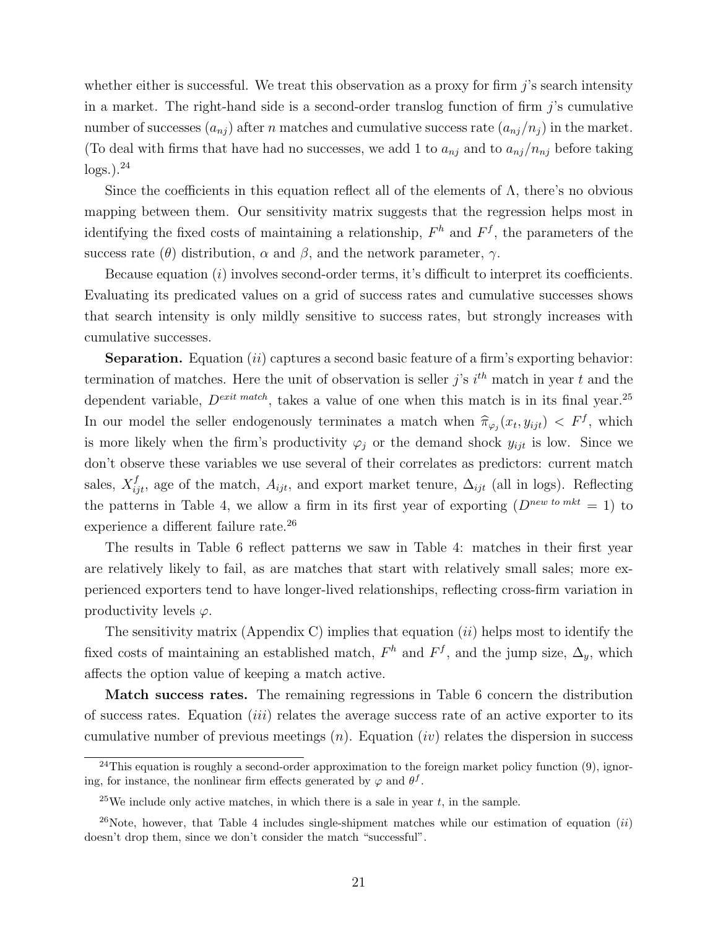whether either is successful. We treat this observation as a proxy for firm  $j$ 's search intensity in a market. The right-hand side is a second-order translog function of firm  $j$ 's cumulative number of successes  $(a_{nj})$  after n matches and cumulative success rate  $(a_{nj}/n_j)$  in the market. (To deal with firms that have had no successes, we add 1 to  $a_{nj}$  and to  $a_{nj}/n_{nj}$  before taking  $\log s$ .).<sup>[24](#page-0-0)</sup>

Since the coefficients in this equation reflect all of the elements of  $\Lambda$ , there's no obvious mapping between them. Our sensitivity matrix suggests that the regression helps most in identifying the fixed costs of maintaining a relationship,  $F<sup>h</sup>$  and  $F<sup>f</sup>$ , the parameters of the success rate ( $\theta$ ) distribution,  $\alpha$  and  $\beta$ , and the network parameter,  $\gamma$ .

Because equation  $(i)$  involves second-order terms, it's difficult to interpret its coefficients. Evaluating its predicated values on a grid of success rates and cumulative successes shows that search intensity is only mildly sensitive to success rates, but strongly increases with cumulative successes.

**Separation.** Equation  $(ii)$  captures a second basic feature of a firm's exporting behavior: termination of matches. Here the unit of observation is seller j's  $i^{th}$  match in year t and the dependent variable,  $D^{exit \text{ match}}$ , takes a value of one when this match is in its final year.<sup>[25](#page-0-0)</sup> In our model the seller endogenously terminates a match when  $\hat{\pi}_{\varphi_j}(x_t, y_{ijt}) < F^f$ , which is more likely when the firm's productivity  $\varphi_j$  or the demand shock  $y_{ijt}$  is low. Since we don't observe these variables we use several of their correlates as predictors: current match sales,  $X_{ijt}^f$ , age of the match,  $A_{ijt}$ , and export market tenure,  $\Delta_{ijt}$  (all in logs). Reflecting the patterns in Table [4,](#page-8-2) we allow a firm in its first year of exporting  $(D^{new\;to\;mkt} = 1)$  to experience a different failure rate.<sup>[26](#page-0-0)</sup>

The results in Table [6](#page-24-0) reflect patterns we saw in Table [4:](#page-8-2) matches in their first year are relatively likely to fail, as are matches that start with relatively small sales; more experienced exporters tend to have longer-lived relationships, reflecting cross-firm variation in productivity levels  $\varphi$ .

The sensitivity matrix (Appendix C) implies that equation  $(ii)$  helps most to identify the fixed costs of maintaining an established match,  $F<sup>h</sup>$  and  $F<sup>f</sup>$ , and the jump size,  $\Delta_y$ , which affects the option value of keeping a match active.

Match success rates. The remaining regressions in Table [6](#page-24-0) concern the distribution of success rates. Equation (iii) relates the average success rate of an active exporter to its cumulative number of previous meetings  $(n)$ . Equation  $(iv)$  relates the dispersion in success

<sup>&</sup>lt;sup>24</sup>This equation is roughly a second-order approximation to the foreign market policy function  $(9)$ , ignoring, for instance, the nonlinear firm effects generated by  $\varphi$  and  $\theta^f$ .

<sup>&</sup>lt;sup>25</sup>We include only active matches, in which there is a sale in year  $t$ , in the sample.

<sup>&</sup>lt;sup>26</sup>Note, however, that Table [4](#page-8-2) includes single-shipment matches while our estimation of equation (*ii*) doesn't drop them, since we don't consider the match "successful".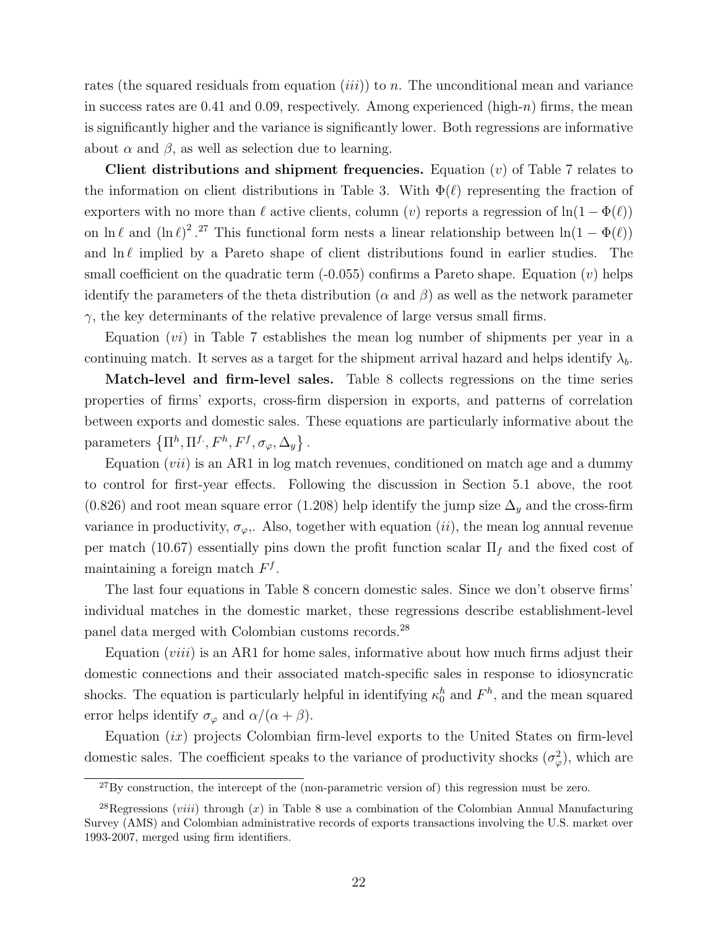rates (the squared residuals from equation *(iii)*) to n. The unconditional mean and variance in success rates are 0.41 and 0.09, respectively. Among experienced (high-n) firms, the mean is significantly higher and the variance is significantly lower. Both regressions are informative about  $\alpha$  and  $\beta$ , as well as selection due to learning.

Client distributions and shipment frequencies. Equation  $(v)$  of Table [7](#page-25-0) relates to the information on client distributions in Table [3.](#page-8-1) With  $\Phi(\ell)$  representing the fraction of exporters with no more than  $\ell$  active clients, column (v) reports a regression of  $\ln(1 - \Phi(\ell))$ on  $\ln \ell$  and  $(\ln \ell)^2$ .<sup>[27](#page-0-0)</sup> This functional form nests a linear relationship between  $\ln(1 - \Phi(\ell))$ and  $\ln \ell$  implied by a Pareto shape of client distributions found in earlier studies. The small coefficient on the quadratic term  $(-0.055)$  confirms a Pareto shape. Equation (v) helps identify the parameters of the theta distribution ( $\alpha$  and  $\beta$ ) as well as the network parameter  $\gamma$ , the key determinants of the relative prevalence of large versus small firms.

Equation (vi) in Table [7](#page-25-0) establishes the mean log number of shipments per year in a continuing match. It serves as a target for the shipment arrival hazard and helps identify  $\lambda_b$ .

Match-level and firm-level sales. Table [8](#page-25-1) collects regressions on the time series properties of firms' exports, cross-firm dispersion in exports, and patterns of correlation between exports and domestic sales. These equations are particularly informative about the parameters  $\{\Pi^h, \Pi^f, F^h, F^f, \sigma_\varphi, \Delta_y\}$ .

Equation  $(vii)$  is an AR1 in log match revenues, conditioned on match age and a dummy to control for first-year effects. Following the discussion in Section 5.1 above, the root (0.826) and root mean square error (1.208) help identify the jump size  $\Delta_y$  and the cross-firm variance in productivity,  $\sigma_{\varphi}$ . Also, together with equation (*ii*), the mean log annual revenue per match (10.67) essentially pins down the profit function scalar  $\Pi_f$  and the fixed cost of maintaining a foreign match  $F<sup>f</sup>$ .

The last four equations in Table [8](#page-25-1) concern domestic sales. Since we don't observe firms' individual matches in the domestic market, these regressions describe establishment-level panel data merged with Colombian customs records.[28](#page-0-0)

Equation (*viii*) is an AR1 for home sales, informative about how much firms adjust their domestic connections and their associated match-specific sales in response to idiosyncratic shocks. The equation is particularly helpful in identifying  $\kappa_0^h$  and  $F^h$ , and the mean squared error helps identify  $\sigma_{\varphi}$  and  $\alpha/(\alpha + \beta)$ .

Equation  $(ix)$  projects Colombian firm-level exports to the United States on firm-level domestic sales. The coefficient speaks to the variance of productivity shocks  $(\sigma_{\varphi}^2)$ , which are

 $^{27}$ By construction, the intercept of the (non-parametric version of) this regression must be zero.

<sup>&</sup>lt;sup>2[8](#page-25-1)</sup>Regressions (*viii*) through  $(x)$  in Table 8 use a combination of the Colombian Annual Manufacturing Survey (AMS) and Colombian administrative records of exports transactions involving the U.S. market over 1993-2007, merged using firm identifiers.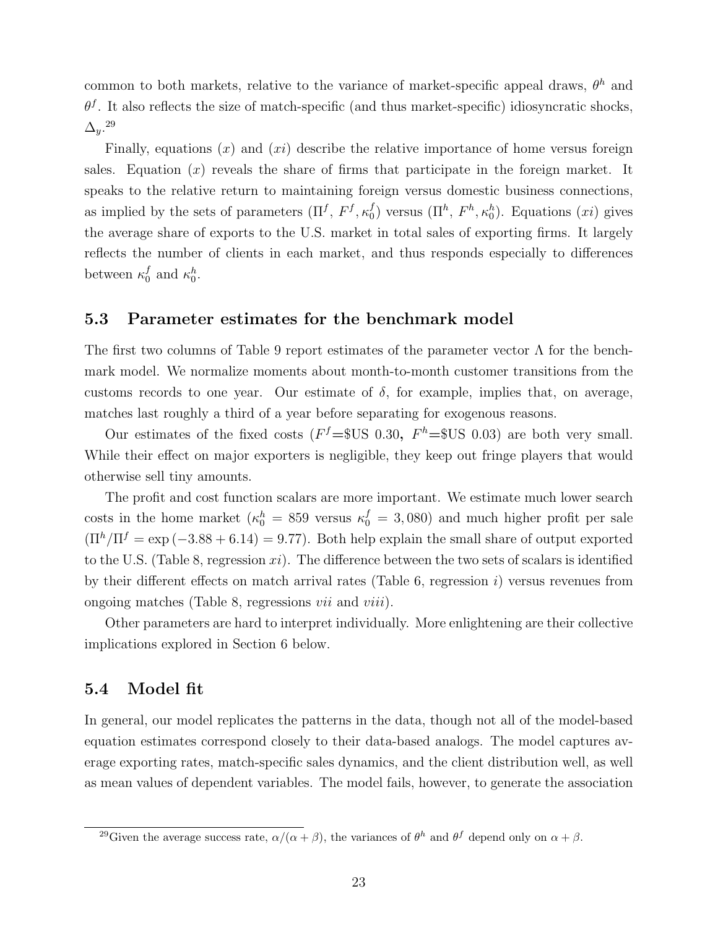common to both markets, relative to the variance of market-specific appeal draws,  $\theta^h$  and  $\theta^f$ . It also reflects the size of match-specific (and thus market-specific) idiosyncratic shocks,  $\Delta_y$ .<sup>[29](#page-0-0)</sup>

Finally, equations  $(x)$  and  $(xi)$  describe the relative importance of home versus foreign sales. Equation  $(x)$  reveals the share of firms that participate in the foreign market. It speaks to the relative return to maintaining foreign versus domestic business connections, as implied by the sets of parameters  $(\Pi^f, F^f, \kappa_0^f)$  $\binom{f}{0}$  versus  $(\Pi^h, F^h, \kappa_0^h)$ . Equations  $(xi)$  gives the average share of exports to the U.S. market in total sales of exporting firms. It largely reflects the number of clients in each market, and thus responds especially to differences between  $\kappa_0^f$ f and  $\kappa_0^h$ .

#### 5.3 Parameter estimates for the benchmark model

The first two columns of Table [9](#page-26-0) report estimates of the parameter vector  $\Lambda$  for the benchmark model. We normalize moments about month-to-month customer transitions from the customs records to one year. Our estimate of  $\delta$ , for example, implies that, on average, matches last roughly a third of a year before separating for exogenous reasons.

Our estimates of the fixed costs ( $F<sup>f</sup>$  = \$US 0.30,  $F<sup>h</sup>$  = \$US 0.03) are both very small. While their effect on major exporters is negligible, they keep out fringe players that would otherwise sell tiny amounts.

The profit and cost function scalars are more important. We estimate much lower search costs in the home market ( $\kappa_0^h = 859$  versus  $\kappa_0^f = 3,080$ ) and much higher profit per sale  $(\Pi^h/\Pi^f = \exp(-3.88 + 6.14) = 9.77)$ . Both help explain the small share of output exported to the U.S. (Table [8,](#page-25-1) regression  $xi$ ). The difference between the two sets of scalars is identified by their different effects on match arrival rates (Table [6,](#page-24-0) regression  $i$ ) versus revenues from ongoing matches (Table [8,](#page-25-1) regressions vii and viii).

Other parameters are hard to interpret individually. More enlightening are their collective implications explored in Section [6](#page-29-0) below.

### 5.4 Model fit

In general, our model replicates the patterns in the data, though not all of the model-based equation estimates correspond closely to their data-based analogs. The model captures average exporting rates, match-specific sales dynamics, and the client distribution well, as well as mean values of dependent variables. The model fails, however, to generate the association

<sup>&</sup>lt;sup>29</sup>Given the average success rate,  $\alpha/(\alpha + \beta)$ , the variances of  $\theta^h$  and  $\theta^f$  depend only on  $\alpha + \beta$ .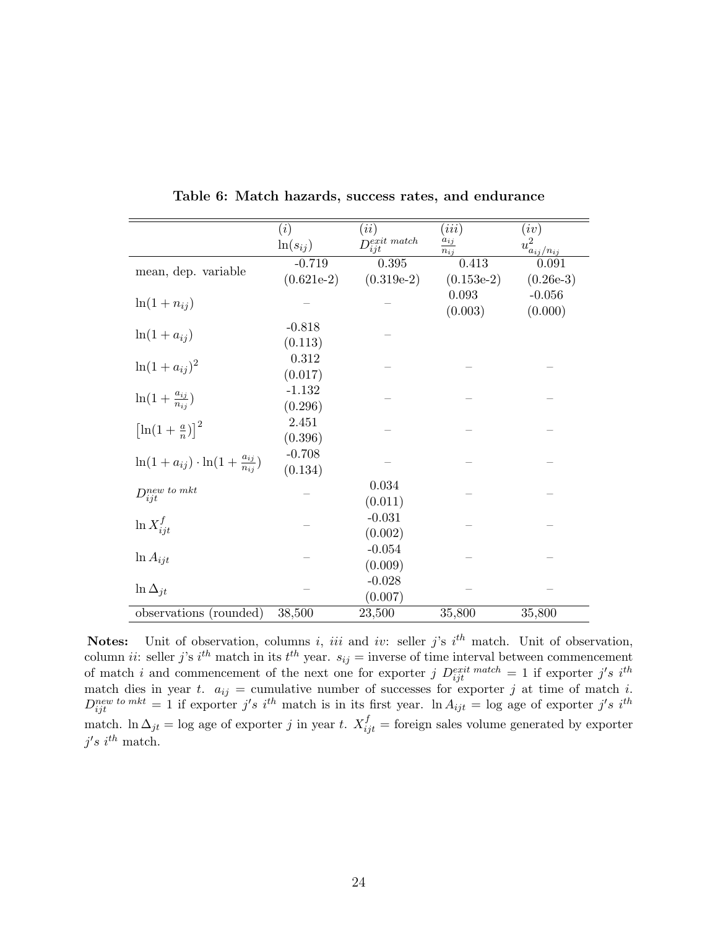<span id="page-24-0"></span>

|                                                        | (i)          | (ii)                             | (iii)                | (iv)                                 |  |
|--------------------------------------------------------|--------------|----------------------------------|----------------------|--------------------------------------|--|
|                                                        | $ln(s_{ij})$ | $D_{i}^{exit}$ match<br>$_{ijt}$ | $a_{ij}$<br>$n_{ij}$ | $u^2_{\frac{a_{ij}/n_{ij}}{\Omega}}$ |  |
| mean, dep. variable                                    | $-0.719$     | 0.395                            | 0.413                | 0.091                                |  |
|                                                        | $(0.621e-2)$ | $(0.319e-2)$                     | $(0.153e-2)$         | $(0.26e-3)$                          |  |
|                                                        |              |                                  | 0.093                | $-0.056$                             |  |
| $ln(1+n_{ij})$                                         |              |                                  | (0.003)              | (0.000)                              |  |
|                                                        | $-0.818$     |                                  |                      |                                      |  |
| $\ln(1+a_{ij})$                                        | (0.113)      |                                  |                      |                                      |  |
|                                                        | 0.312        |                                  |                      |                                      |  |
| $\ln(1 + a_{ij})^2$                                    | (0.017)      |                                  |                      |                                      |  |
|                                                        | $-1.132$     |                                  |                      |                                      |  |
| $\ln(1+\frac{a_{ij}}{n_{ii}})$                         | (0.296)      |                                  |                      |                                      |  |
| $\left[\ln(1+\frac{a}{n})\right]^2$                    | 2.451        |                                  |                      |                                      |  |
|                                                        | (0.396)      |                                  |                      |                                      |  |
|                                                        | $-0.708$     |                                  |                      |                                      |  |
| $\ln(1 + a_{ij}) \cdot \ln(1 + \frac{a_{ij}}{n_{ij}})$ | (0.134)      |                                  |                      |                                      |  |
| $D_{ijt}^{new\;to\;mkt}$                               |              | 0.034                            |                      |                                      |  |
|                                                        |              | (0.011)                          |                      |                                      |  |
| $\ln X_{iit}^f$                                        |              | $-0.031$                         |                      |                                      |  |
|                                                        |              | (0.002)                          |                      |                                      |  |
| $\ln A_{ijt}$                                          |              | $-0.054$                         |                      |                                      |  |
|                                                        |              | (0.009)                          |                      |                                      |  |
| $\ln \Delta_{it}$                                      |              | $-0.028$                         |                      |                                      |  |
|                                                        |              | (0.007)                          |                      |                                      |  |
| observations (rounded)                                 | 38,500       | 23,500                           | 35,800               | 35,800                               |  |

Table 6: Match hazards, success rates, and endurance

**Notes:** Unit of observation, columns i, iii and iv: seller j's i<sup>th</sup> match. Unit of observation, column *ii*: seller *j*'s *i*<sup>th</sup> match in its *t*<sup>th</sup> year.  $s_{ij}$  = inverse of time interval between commencement of match i and commencement of the next one for exporter j  $D_{ijt}^{exit \; match} = 1$  if exporter j's i<sup>th</sup> match dies in year t.  $a_{ij}$  = cumulative number of successes for exporter j at time of match i.  $D_{ijt}^{new\;to\;mkt} = 1$  if exporter j's i<sup>th</sup> match is in its first year.  $\ln A_{ijt} = \log$  age of exporter j's i<sup>th</sup> match. In  $\Delta_{jt} = \log$  age of exporter j in year t.  $X_{ijt}^f =$  foreign sales volume generated by exporter  $j's\ i^{th}$  match.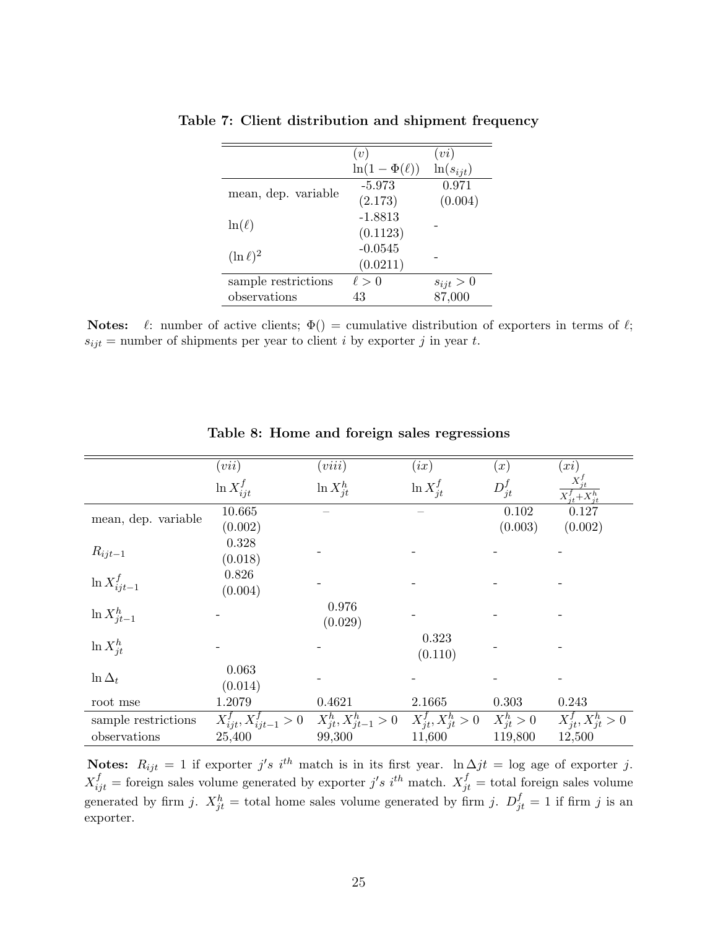|                     | (v)                 | (vi)          |
|---------------------|---------------------|---------------|
|                     | $\ln(1-\Phi(\ell))$ | $ln(s_{ijt})$ |
| mean, dep. variable | $-5.973$            | 0.971         |
|                     | (2.173)             | (0.004)       |
|                     | $-1.8813$           |               |
| $\ln(\ell)$         | (0.1123)            |               |
|                     | $-0.0545$           |               |
| $(\ln \ell)^2$      | (0.0211)            |               |
| sample restrictions | $\ell > 0$          | $s_{ijt} > 0$ |
| observations        | 43                  | 87,000        |

<span id="page-25-0"></span>Table 7: Client distribution and shipment frequency

Notes:  $\ell$ : number of active clients;  $\Phi() =$  cumulative distribution of exporters in terms of  $\ell$ ;  $s_{ijt}$  = number of shipments per year to client *i* by exporter *j* in year *t*.

<span id="page-25-1"></span>

|                     | (vii)                            | (viii)                     | (ix)                     | (x)            | (xi)                     |
|---------------------|----------------------------------|----------------------------|--------------------------|----------------|--------------------------|
|                     | $\ln X_{iit}^f$                  | $\ln X_{it}^h$             | $\ln X_{it}^f$           | $D_{jt}^f$     | $X^f_{it}+X^h_{it}$      |
| mean, dep. variable | 10.665                           |                            |                          | 0.102          | 0.127                    |
|                     | (0.002)                          |                            |                          | (0.003)        | (0.002)                  |
|                     | 0.328                            |                            |                          |                |                          |
| $R_{ijt-1}$         | (0.018)                          |                            |                          |                |                          |
| $\ln X^f_{ijt-1}$   | 0.826                            |                            |                          |                |                          |
|                     | (0.004)                          |                            |                          |                |                          |
| $\ln X_{jt-1}^h$    |                                  | 0.976                      |                          |                |                          |
|                     |                                  | (0.029)                    |                          |                |                          |
| $\ln X_{it}^h$      |                                  |                            | 0.323                    |                |                          |
|                     |                                  |                            | (0.110)                  |                |                          |
| $\ln \Delta_t$      | 0.063                            |                            |                          |                |                          |
|                     | (0.014)                          |                            |                          |                |                          |
| root mse            | 1.2079                           | 0.4621                     | 2.1665                   | 0.303          | 0.243                    |
| sample restrictions | $X_{ijt}^{f}, X_{ijt-1}^{f} > 0$ | $X_{jt}^h, X_{jt-1}^h > 0$ | $X_{it}^f, X_{it}^h > 0$ | $X_{jt}^h > 0$ | $X_{it}^f, X_{it}^h > 0$ |
| observations        | 25,400                           | 99,300                     | 11,600                   | 119,800        | 12,500                   |

Table 8: Home and foreign sales regressions

Notes:  $R_{ijt} = 1$  if exporter j's i<sup>th</sup> match is in its first year. ln  $\Delta jt = \log$  age of exporter j.  $X_{ijt}^f$  = foreign sales volume generated by exporter j's i<sup>th</sup> match.  $X_{jt}^f$  = total foreign sales volume generated by firm j.  $X_{jt}^h$  = total home sales volume generated by firm j.  $D_{jt}^f = 1$  if firm j is an exporter.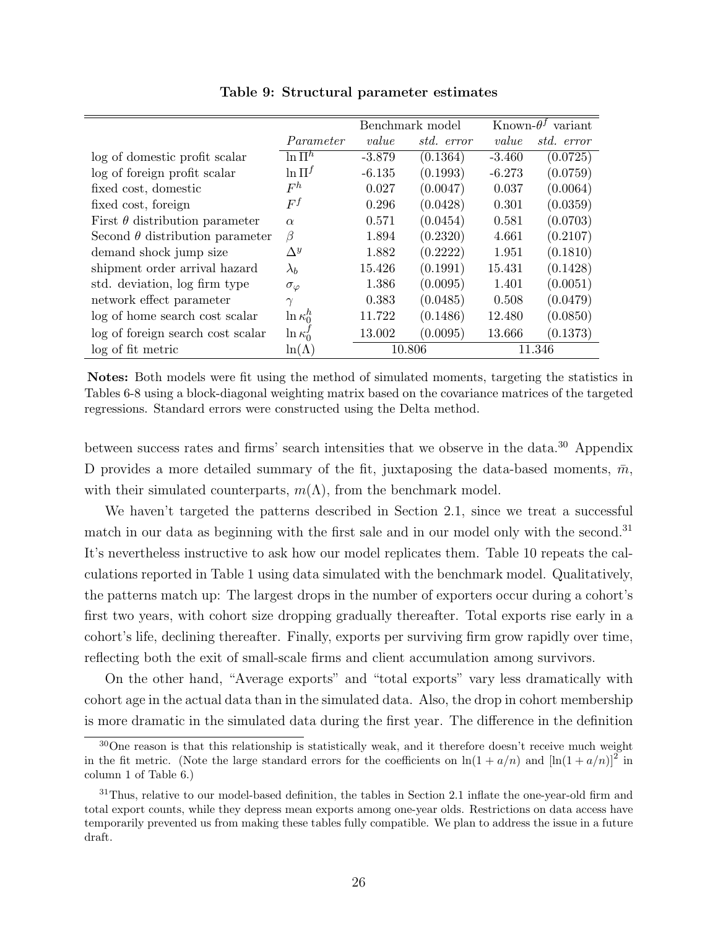<span id="page-26-0"></span>

|                                        |                    |          | Benchmark model |          | Known- $\theta^f$ variant |
|----------------------------------------|--------------------|----------|-----------------|----------|---------------------------|
|                                        | Parameter          | value    | std. error      | value    | std. error                |
| log of domestic profit scalar          | $\ln \Pi^h$        | $-3.879$ | (0.1364)        | $-3.460$ | (0.0725)                  |
| log of foreign profit scalar           | $\ln \Pi^f$        | $-6.135$ | (0.1993)        | $-6.273$ | (0.0759)                  |
| fixed cost, domestic                   | $F^h$              | 0.027    | (0.0047)        | 0.037    | (0.0064)                  |
| fixed cost, foreign                    | $F^f$              | 0.296    | (0.0428)        | 0.301    | (0.0359)                  |
| First $\theta$ distribution parameter  | $\alpha$           | 0.571    | (0.0454)        | 0.581    | (0.0703)                  |
| Second $\theta$ distribution parameter | $\beta$            | 1.894    | (0.2320)        | 4.661    | (0.2107)                  |
| demand shock jump size                 | $\Lambda^{y}$      | 1.882    | (0.2222)        | 1.951    | (0.1810)                  |
| shipment order arrival hazard          | $\lambda_b$        | 15.426   | (0.1991)        | 15.431   | (0.1428)                  |
| std. deviation, log firm type          | $\sigma_{\varphi}$ | 1.386    | (0.0095)        | 1.401    | (0.0051)                  |
| network effect parameter               | $\gamma$           | 0.383    | (0.0485)        | 0.508    | (0.0479)                  |
| log of home search cost scalar         | $\ln \kappa_0^h$   | 11.722   | (0.1486)        | 12.480   | (0.0850)                  |
| log of foreign search cost scalar      | $\ln \kappa_0'$    | 13.002   | (0.0095)        | 13.666   | (0.1373)                  |
| log of fit metric                      | $\ln(\Lambda)$     | 10.806   |                 | 11.346   |                           |

Table 9: Structural parameter estimates

Notes: Both models were fit using the method of simulated moments, targeting the statistics in Tables [6-](#page-24-0)[8](#page-25-1) using a block-diagonal weighting matrix based on the covariance matrices of the targeted regressions. Standard errors were constructed using the Delta method.

between success rates and firms' search intensities that we observe in the data.<sup>[30](#page-0-0)</sup> Appendix [D](#page-51-0) provides a more detailed summary of the fit, juxtaposing the data-based moments,  $\bar{m}$ , with their simulated counterparts,  $m(\Lambda)$ , from the benchmark model.

We haven't targeted the patterns described in Section [2.1,](#page-4-0) since we treat a successful match in our data as beginning with the first sale and in our model only with the second.<sup>[31](#page-0-0)</sup> It's nevertheless instructive to ask how our model replicates them. Table [10](#page-27-0) repeats the calculations reported in Table [1](#page-5-0) using data simulated with the benchmark model. Qualitatively, the patterns match up: The largest drops in the number of exporters occur during a cohort's first two years, with cohort size dropping gradually thereafter. Total exports rise early in a cohort's life, declining thereafter. Finally, exports per surviving firm grow rapidly over time, reflecting both the exit of small-scale firms and client accumulation among survivors.

On the other hand, "Average exports" and "total exports" vary less dramatically with cohort age in the actual data than in the simulated data. Also, the drop in cohort membership is more dramatic in the simulated data during the first year. The difference in the definition

<sup>&</sup>lt;sup>30</sup>One reason is that this relationship is statistically weak, and it therefore doesn't receive much weight in the fit metric. (Note the large standard errors for the coefficients on  $\ln(1 + a/n)$  and  $\left[\ln(1 + a/n)\right]^2$  in column 1 of Table [6.](#page-24-0))

<sup>&</sup>lt;sup>31</sup>Thus, relative to our model-based definition, the tables in Section [2.1](#page-4-0) inflate the one-year-old firm and total export counts, while they depress mean exports among one-year olds. Restrictions on data access have temporarily prevented us from making these tables fully compatible. We plan to address the issue in a future draft.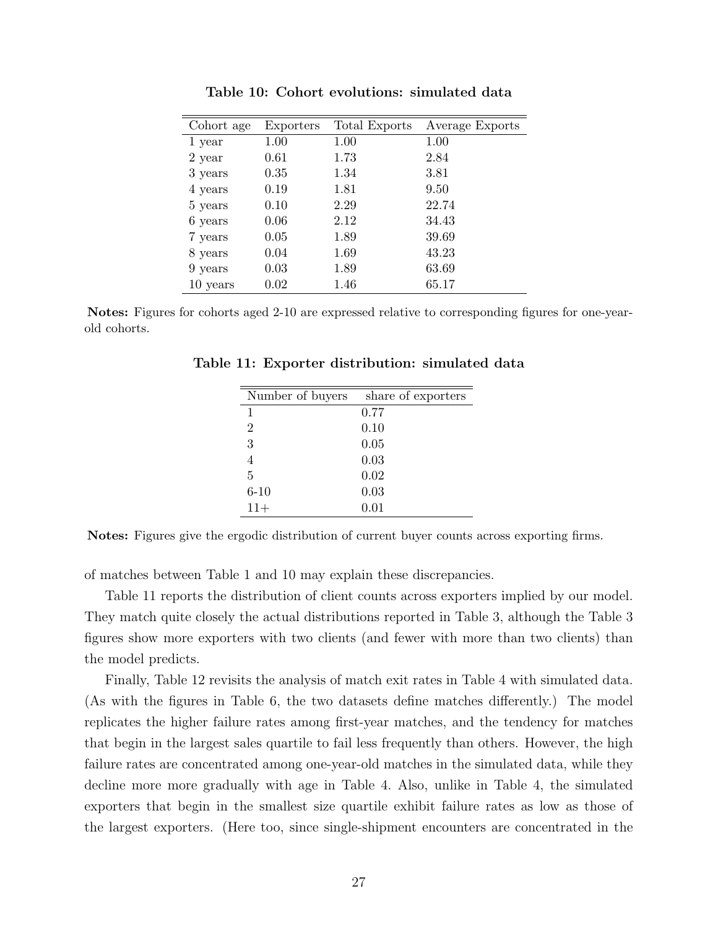<span id="page-27-0"></span>

| Cohort age | Exporters | Total Exports | Average Exports |
|------------|-----------|---------------|-----------------|
| 1 year     | 1.00      | 1.00          | 1.00            |
| 2 year     | 0.61      | 1.73          | 2.84            |
| 3 years    | 0.35      | 1.34          | 3.81            |
| 4 years    | 0.19      | 1.81          | 9.50            |
| 5 years    | 0.10      | 2.29          | 22.74           |
| 6 years    | 0.06      | 2.12          | 34.43           |
| 7 years    | 0.05      | 1.89          | 39.69           |
| 8 years    | 0.04      | 1.69          | 43.23           |
| 9 years    | 0.03      | 1.89          | 63.69           |
| 10 years   | 0.02      | 1.46          | 65.17           |
|            |           |               |                 |

Table 10: Cohort evolutions: simulated data

<span id="page-27-1"></span>Notes: Figures for cohorts aged 2-10 are expressed relative to corresponding figures for one-yearold cohorts.

| Number of buyers | share of exporters |
|------------------|--------------------|
|                  | 0.77               |
| 2                | 0.10               |
| 3                | 0.05               |
| 4                | 0.03               |
| 5                | 0.02               |
| $6 - 10$         | 0.03               |
| $11+$            | 0.01               |

Table 11: Exporter distribution: simulated data

Notes: Figures give the ergodic distribution of current buyer counts across exporting firms.

of matches between Table [1](#page-5-0) and [10](#page-27-0) may explain these discrepancies.

Table [11](#page-27-1) reports the distribution of client counts across exporters implied by our model. They match quite closely the actual distributions reported in Table [3,](#page-8-1) although the Table [3](#page-8-1) figures show more exporters with two clients (and fewer with more than two clients) than the model predicts.

Finally, Table [12](#page-28-0) revisits the analysis of match exit rates in Table [4](#page-8-2) with simulated data. (As with the figures in Table [6,](#page-24-0) the two datasets define matches differently.) The model replicates the higher failure rates among first-year matches, and the tendency for matches that begin in the largest sales quartile to fail less frequently than others. However, the high failure rates are concentrated among one-year-old matches in the simulated data, while they decline more more gradually with age in Table [4.](#page-8-2) Also, unlike in Table [4,](#page-8-2) the simulated exporters that begin in the smallest size quartile exhibit failure rates as low as those of the largest exporters. (Here too, since single-shipment encounters are concentrated in the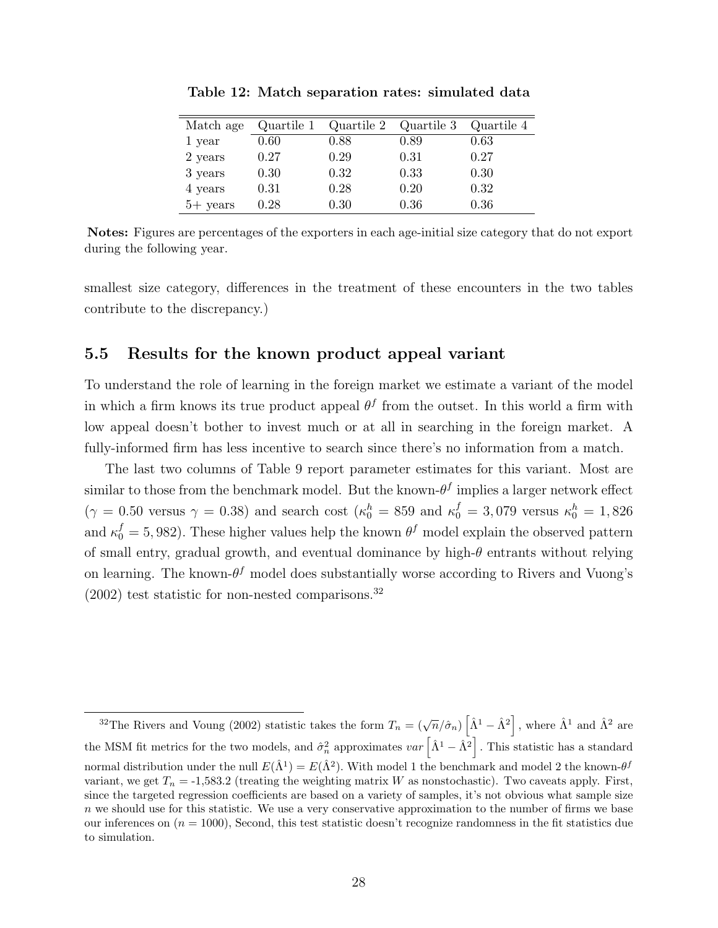<span id="page-28-0"></span>

| Match age  | Quartile 1 | Quartile 2 | Quartile 3 | Quartile 4 |
|------------|------------|------------|------------|------------|
| 1 year     | 0.60       | 0.88       | 0.89       | 0.63       |
| 2 years    | 0.27       | 0.29       | 0.31       | 0.27       |
| 3 years    | 0.30       | 0.32       | 0.33       | 0.30       |
| 4 years    | 0.31       | 0.28       | 0.20       | 0.32       |
| $5+$ years | 0.28       | 0.30       | 0.36       | 0.36       |

Table 12: Match separation rates: simulated data

Notes: Figures are percentages of the exporters in each age-initial size category that do not export during the following year.

smallest size category, differences in the treatment of these encounters in the two tables contribute to the discrepancy.)

### 5.5 Results for the known product appeal variant

To understand the role of learning in the foreign market we estimate a variant of the model in which a firm knows its true product appeal  $\theta^f$  from the outset. In this world a firm with low appeal doesn't bother to invest much or at all in searching in the foreign market. A fully-informed firm has less incentive to search since there's no information from a match.

The last two columns of Table [9](#page-26-0) report parameter estimates for this variant. Most are similar to those from the benchmark model. But the known- $\theta^f$  implies a larger network effect  $(\gamma = 0.50 \text{ versus } \gamma = 0.38)$  and search cost  $(\kappa_0^h = 859 \text{ and } \kappa_0^f = 3,079 \text{ versus } \kappa_0^h = 1,826$ and  $\kappa_0^f = 5,982$ ). These higher values help the known  $\theta^f$  model explain the observed pattern of small entry, gradual growth, and eventual dominance by high- $\theta$  entrants without relying on learning. The known- $\theta^f$  model does substantially worse according to Rivers and Vuong's  $(2002)$  test statistic for non-nested comparisons.<sup>[32](#page-0-0)</sup>

<sup>&</sup>lt;sup>32</sup>The Rivers and Voung (2002) statistic takes the form  $T_n = (\sqrt{n}/\hat{\sigma}_n) \left[ \hat{\Lambda}^1 - \hat{\Lambda}^2 \right]$ , where  $\hat{\Lambda}^1$  and  $\hat{\Lambda}^2$  are the MSM fit metrics for the two models, and  $\hat{\sigma}_n^2$  approximates  $var\left[\hat{\Lambda}^1 - \hat{\Lambda}^2\right]$ . This statistic has a standard normal distribution under the null  $E(\hat{\Lambda}^1) = E(\hat{\Lambda}^2)$ . With model 1 the benchmark and model 2 the known- $\theta^f$ variant, we get  $T_n = -1,583.2$  (treating the weighting matrix W as nonstochastic). Two caveats apply. First, since the targeted regression coefficients are based on a variety of samples, it's not obvious what sample size n we should use for this statistic. We use a very conservative approximation to the number of firms we base our inferences on  $(n = 1000)$ , Second, this test statistic doesn't recognize randomness in the fit statistics due to simulation.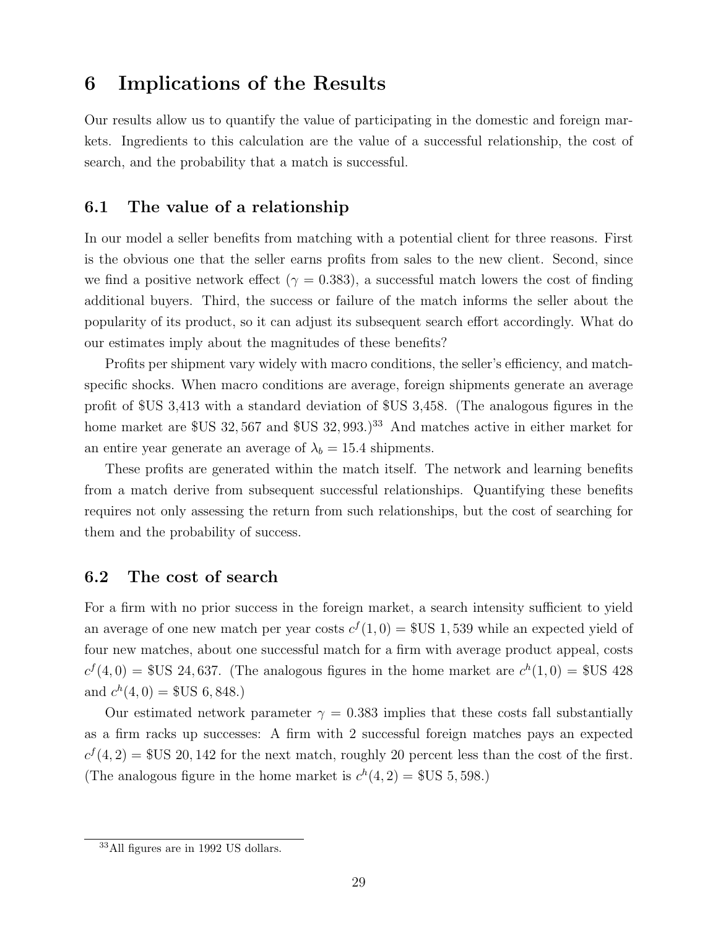### <span id="page-29-0"></span>6 Implications of the Results

Our results allow us to quantify the value of participating in the domestic and foreign markets. Ingredients to this calculation are the value of a successful relationship, the cost of search, and the probability that a match is successful.

### 6.1 The value of a relationship

In our model a seller benefits from matching with a potential client for three reasons. First is the obvious one that the seller earns profits from sales to the new client. Second, since we find a positive network effect ( $\gamma = 0.383$ ), a successful match lowers the cost of finding additional buyers. Third, the success or failure of the match informs the seller about the popularity of its product, so it can adjust its subsequent search effort accordingly. What do our estimates imply about the magnitudes of these benefits?

Profits per shipment vary widely with macro conditions, the seller's efficiency, and matchspecific shocks. When macro conditions are average, foreign shipments generate an average profit of \$US 3,413 with a standard deviation of \$US 3,458. (The analogous figures in the home market are \$US 32, 567 and \$US 32, 993.)<sup>[33](#page-0-0)</sup> And matches active in either market for an entire year generate an average of  $\lambda_b = 15.4$  shipments.

These profits are generated within the match itself. The network and learning benefits from a match derive from subsequent successful relationships. Quantifying these benefits requires not only assessing the return from such relationships, but the cost of searching for them and the probability of success.

#### 6.2 The cost of search

For a firm with no prior success in the foreign market, a search intensity sufficient to yield an average of one new match per year costs  $c^{f}(1,0) =$  \$US 1,539 while an expected yield of four new matches, about one successful match for a firm with average product appeal, costs  $c^{f}(4,0) =$  \$US 24,637. (The analogous figures in the home market are  $c^{h}(1,0) =$  \$US 428 and  $c^h(4,0) =$  \$US 6, 848.)

Our estimated network parameter  $\gamma = 0.383$  implies that these costs fall substantially as a firm racks up successes: A firm with 2 successful foreign matches pays an expected  $c^{f}(4, 2) =$  \$US 20, 142 for the next match, roughly 20 percent less than the cost of the first. (The analogous figure in the home market is  $c^h(4, 2) =$  \$US 5, 598.)

<sup>33</sup>All figures are in 1992 US dollars.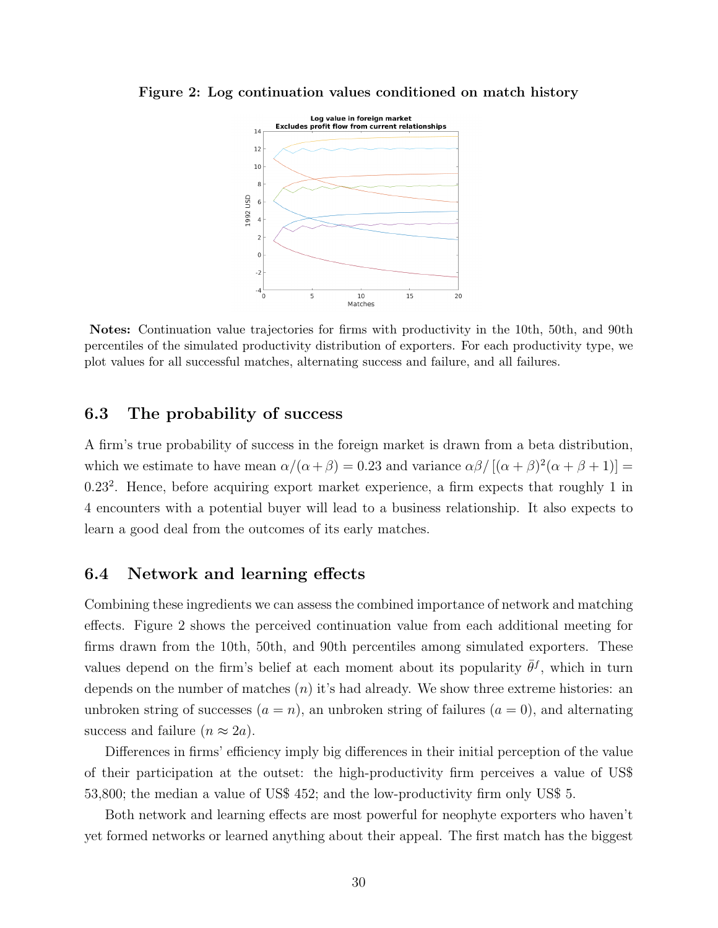

<span id="page-30-0"></span>Figure 2: Log continuation values conditioned on match history

Notes: Continuation value trajectories for firms with productivity in the 10th, 50th, and 90th percentiles of the simulated productivity distribution of exporters. For each productivity type, we plot values for all successful matches, alternating success and failure, and all failures.

### 6.3 The probability of success

A firm's true probability of success in the foreign market is drawn from a beta distribution, which we estimate to have mean  $\alpha/(\alpha+\beta) = 0.23$  and variance  $\alpha\beta/[(\alpha+\beta)^2(\alpha+\beta+1)] =$ 0.23<sup>2</sup>. Hence, before acquiring export market experience, a firm expects that roughly 1 in 4 encounters with a potential buyer will lead to a business relationship. It also expects to learn a good deal from the outcomes of its early matches.

#### 6.4 Network and learning effects

Combining these ingredients we can assess the combined importance of network and matching effects. Figure [2](#page-30-0) shows the perceived continuation value from each additional meeting for firms drawn from the 10th, 50th, and 90th percentiles among simulated exporters. These values depend on the firm's belief at each moment about its popularity  $\bar{\theta}^f$ , which in turn depends on the number of matches  $(n)$  it's had already. We show three extreme histories: an unbroken string of successes  $(a = n)$ , an unbroken string of failures  $(a = 0)$ , and alternating success and failure  $(n \approx 2a)$ .

Differences in firms' efficiency imply big differences in their initial perception of the value of their participation at the outset: the high-productivity firm perceives a value of US\$ 53,800; the median a value of US\$ 452; and the low-productivity firm only US\$ 5.

Both network and learning effects are most powerful for neophyte exporters who haven't yet formed networks or learned anything about their appeal. The first match has the biggest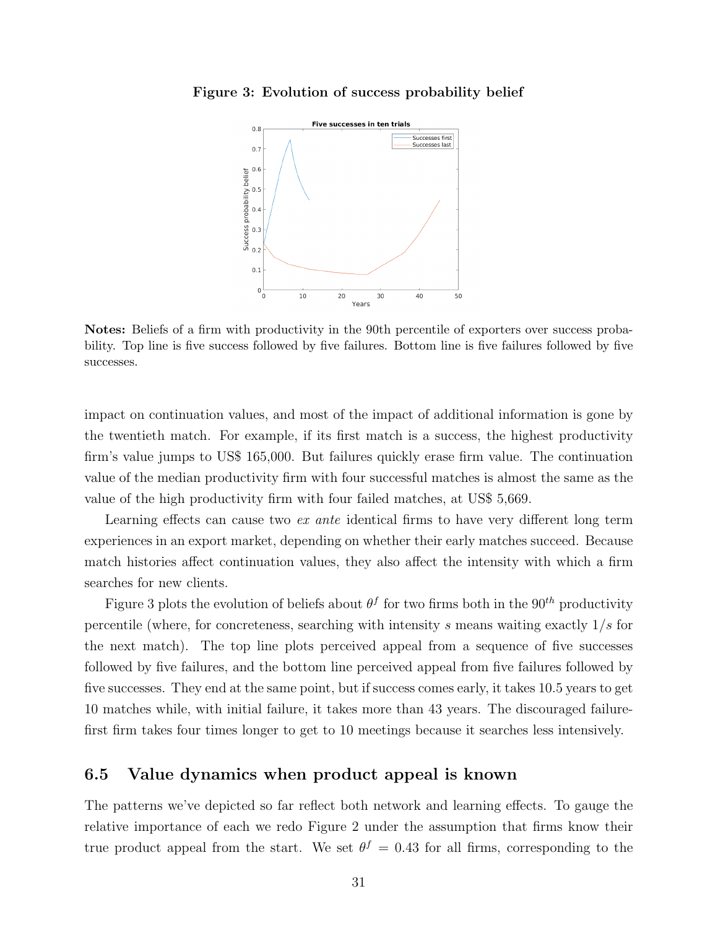

<span id="page-31-0"></span>Figure 3: Evolution of success probability belief

Notes: Beliefs of a firm with productivity in the 90th percentile of exporters over success probability. Top line is five success followed by five failures. Bottom line is five failures followed by five successes.

impact on continuation values, and most of the impact of additional information is gone by the twentieth match. For example, if its first match is a success, the highest productivity firm's value jumps to US\$ 165,000. But failures quickly erase firm value. The continuation value of the median productivity firm with four successful matches is almost the same as the value of the high productivity firm with four failed matches, at US\$ 5,669.

Learning effects can cause two *ex ante* identical firms to have very different long term experiences in an export market, depending on whether their early matches succeed. Because match histories affect continuation values, they also affect the intensity with which a firm searches for new clients.

Figure [3](#page-31-0) plots the evolution of beliefs about  $\theta^f$  for two firms both in the 90<sup>th</sup> productivity percentile (where, for concreteness, searching with intensity s means waiting exactly  $1/s$  for the next match). The top line plots perceived appeal from a sequence of five successes followed by five failures, and the bottom line perceived appeal from five failures followed by five successes. They end at the same point, but if success comes early, it takes 10.5 years to get 10 matches while, with initial failure, it takes more than 43 years. The discouraged failurefirst firm takes four times longer to get to 10 meetings because it searches less intensively.

### 6.5 Value dynamics when product appeal is known

The patterns we've depicted so far reflect both network and learning effects. To gauge the relative importance of each we redo Figure [2](#page-30-0) under the assumption that firms know their true product appeal from the start. We set  $\theta^f = 0.43$  for all firms, corresponding to the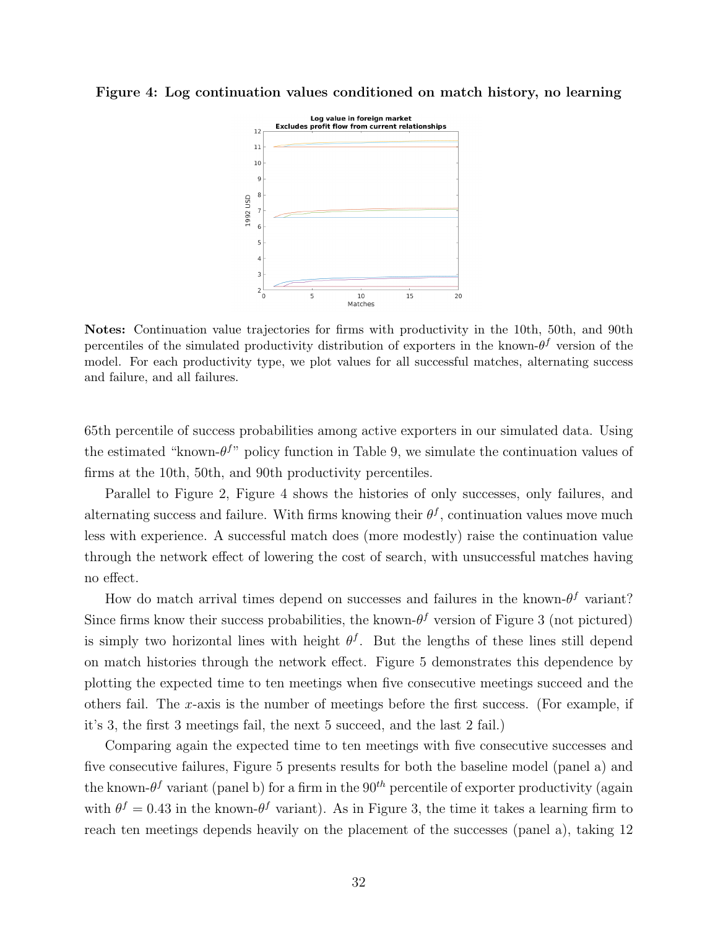

<span id="page-32-0"></span>Figure 4: Log continuation values conditioned on match history, no learning

Notes: Continuation value trajectories for firms with productivity in the 10th, 50th, and 90th percentiles of the simulated productivity distribution of exporters in the known- $\theta^f$  version of the model. For each productivity type, we plot values for all successful matches, alternating success and failure, and all failures.

65th percentile of success probabilities among active exporters in our simulated data. Using the estimated "known- $\theta^{f}$ " policy function in Table [9,](#page-26-0) we simulate the continuation values of firms at the 10th, 50th, and 90th productivity percentiles.

Parallel to Figure [2,](#page-30-0) Figure [4](#page-32-0) shows the histories of only successes, only failures, and alternating success and failure. With firms knowing their  $\theta^f$ , continuation values move much less with experience. A successful match does (more modestly) raise the continuation value through the network effect of lowering the cost of search, with unsuccessful matches having no effect.

How do match arrival times depend on successes and failures in the known- $\theta^f$  variant? Since firms know their success probabilities, the known- $\theta^f$  version of Figure [3](#page-31-0) (not pictured) is simply two horizontal lines with height  $\theta^f$ . But the lengths of these lines still depend on match histories through the network effect. Figure [5](#page-33-0) demonstrates this dependence by plotting the expected time to ten meetings when five consecutive meetings succeed and the others fail. The x-axis is the number of meetings before the first success. (For example, if it's 3, the first 3 meetings fail, the next 5 succeed, and the last 2 fail.)

Comparing again the expected time to ten meetings with five consecutive successes and five consecutive failures, Figure [5](#page-33-0) presents results for both the baseline model (panel a) and the known- $\theta^f$  variant (panel b) for a firm in the  $90^{th}$  percentile of exporter productivity (again with  $\theta^f = 0.43$  in the known- $\theta^f$  variant). As in Figure [3,](#page-31-0) the time it takes a learning firm to reach ten meetings depends heavily on the placement of the successes (panel a), taking 12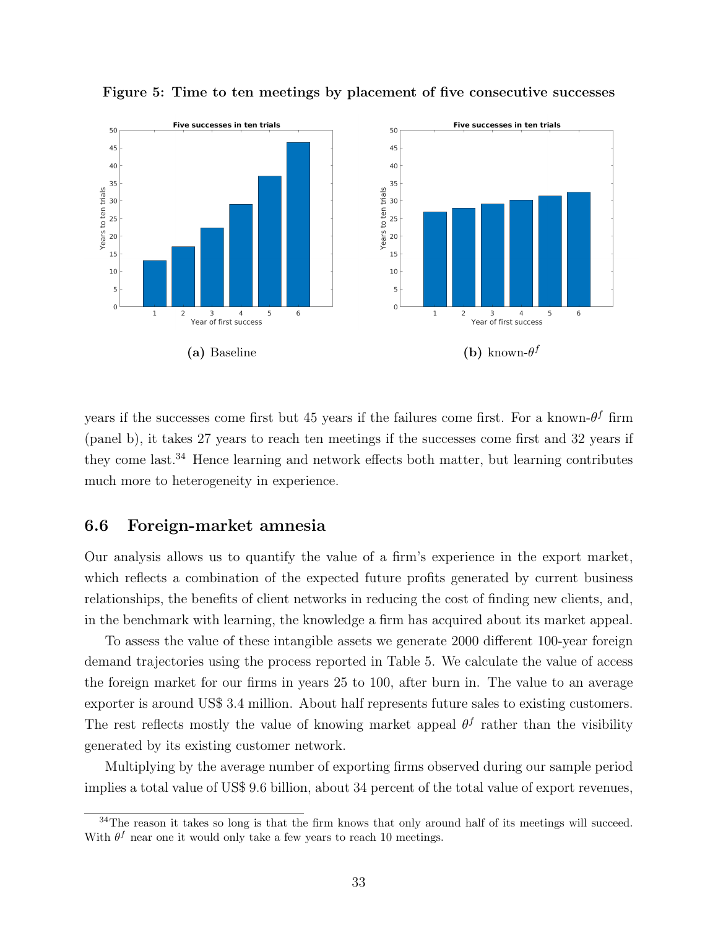

<span id="page-33-0"></span>Figure 5: Time to ten meetings by placement of five consecutive successes

years if the successes come first but 45 years if the failures come first. For a known- $\theta^f$  firm (panel b), it takes 27 years to reach ten meetings if the successes come first and 32 years if they come last.[34](#page-0-0) Hence learning and network effects both matter, but learning contributes much more to heterogeneity in experience.

#### <span id="page-33-1"></span>6.6 Foreign-market amnesia

Our analysis allows us to quantify the value of a firm's experience in the export market, which reflects a combination of the expected future profits generated by current business relationships, the benefits of client networks in reducing the cost of finding new clients, and, in the benchmark with learning, the knowledge a firm has acquired about its market appeal.

To assess the value of these intangible assets we generate 2000 different 100-year foreign demand trajectories using the process reported in Table [5.](#page-19-0) We calculate the value of access the foreign market for our firms in years 25 to 100, after burn in. The value to an average exporter is around US\$ 3.4 million. About half represents future sales to existing customers. The rest reflects mostly the value of knowing market appeal  $\theta^f$  rather than the visibility generated by its existing customer network.

Multiplying by the average number of exporting firms observed during our sample period implies a total value of US\$ 9.6 billion, about 34 percent of the total value of export revenues,

 $34$ The reason it takes so long is that the firm knows that only around half of its meetings will succeed. With  $\theta^f$  near one it would only take a few years to reach 10 meetings.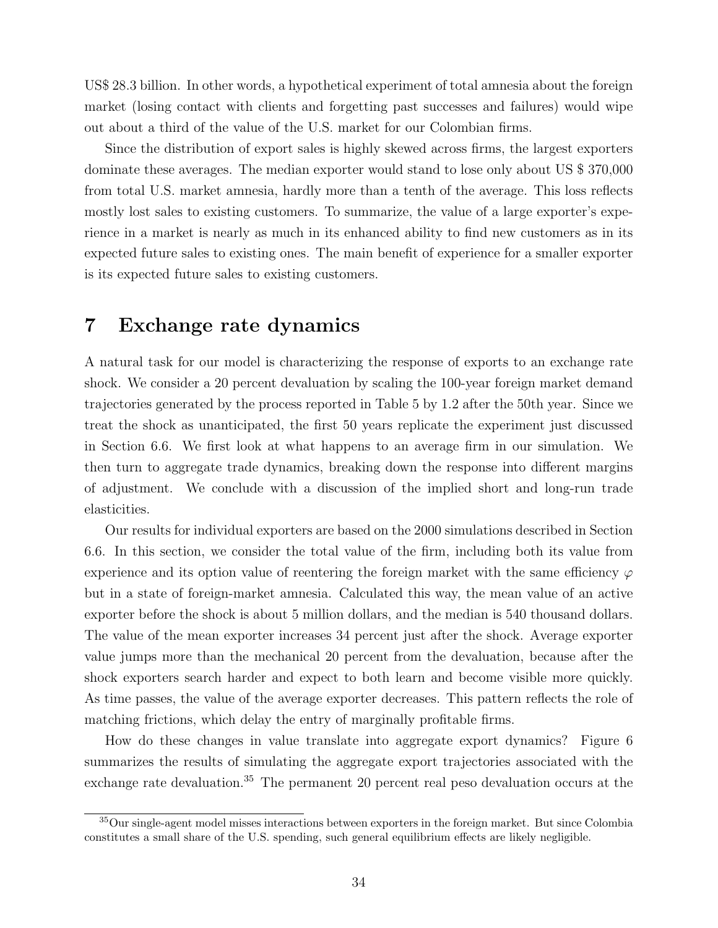US\$ 28.3 billion. In other words, a hypothetical experiment of total amnesia about the foreign market (losing contact with clients and forgetting past successes and failures) would wipe out about a third of the value of the U.S. market for our Colombian firms.

Since the distribution of export sales is highly skewed across firms, the largest exporters dominate these averages. The median exporter would stand to lose only about US \$ 370,000 from total U.S. market amnesia, hardly more than a tenth of the average. This loss reflects mostly lost sales to existing customers. To summarize, the value of a large exporter's experience in a market is nearly as much in its enhanced ability to find new customers as in its expected future sales to existing ones. The main benefit of experience for a smaller exporter is its expected future sales to existing customers.

### 7 Exchange rate dynamics

A natural task for our model is characterizing the response of exports to an exchange rate shock. We consider a 20 percent devaluation by scaling the 100-year foreign market demand trajectories generated by the process reported in Table [5](#page-19-0) by 1.2 after the 50th year. Since we treat the shock as unanticipated, the first 50 years replicate the experiment just discussed in Section [6.6.](#page-33-1) We first look at what happens to an average firm in our simulation. We then turn to aggregate trade dynamics, breaking down the response into different margins of adjustment. We conclude with a discussion of the implied short and long-run trade elasticities.

Our results for individual exporters are based on the 2000 simulations described in Section [6.6.](#page-33-1) In this section, we consider the total value of the firm, including both its value from experience and its option value of reentering the foreign market with the same efficiency  $\varphi$ but in a state of foreign-market amnesia. Calculated this way, the mean value of an active exporter before the shock is about 5 million dollars, and the median is 540 thousand dollars. The value of the mean exporter increases 34 percent just after the shock. Average exporter value jumps more than the mechanical 20 percent from the devaluation, because after the shock exporters search harder and expect to both learn and become visible more quickly. As time passes, the value of the average exporter decreases. This pattern reflects the role of matching frictions, which delay the entry of marginally profitable firms.

How do these changes in value translate into aggregate export dynamics? Figure [6](#page-35-0) summarizes the results of simulating the aggregate export trajectories associated with the exchange rate devaluation.<sup>[35](#page-0-0)</sup> The permanent 20 percent real peso devaluation occurs at the

<sup>&</sup>lt;sup>35</sup>Our single-agent model misses interactions between exporters in the foreign market. But since Colombia constitutes a small share of the U.S. spending, such general equilibrium effects are likely negligible.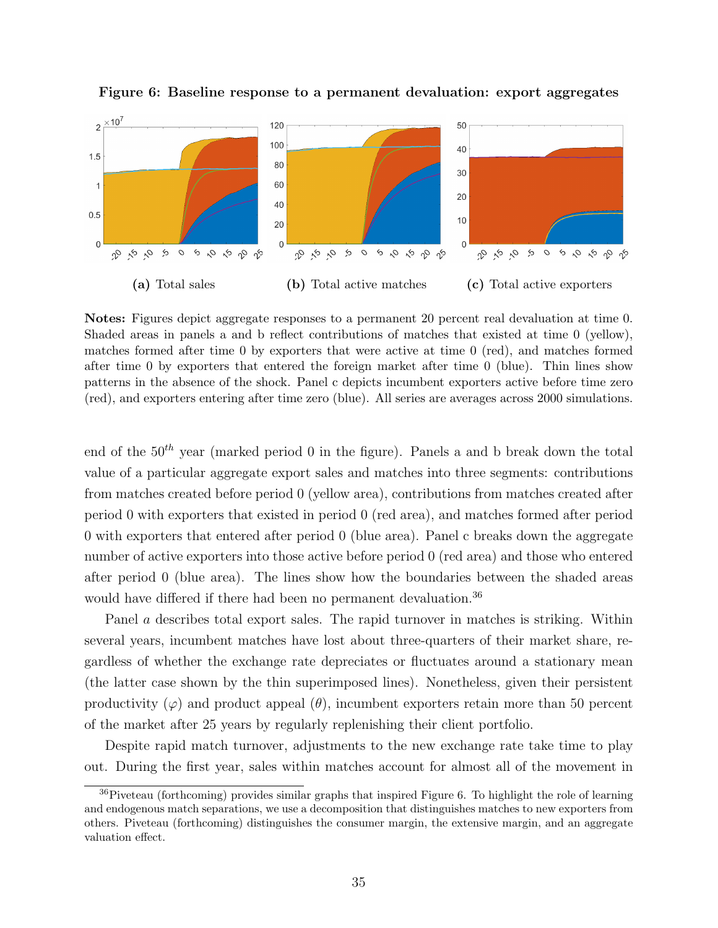

<span id="page-35-0"></span>Figure 6: Baseline response to a permanent devaluation: export aggregates

Notes: Figures depict aggregate responses to a permanent 20 percent real devaluation at time 0. Shaded areas in panels a and b reflect contributions of matches that existed at time 0 (yellow), matches formed after time 0 by exporters that were active at time 0 (red), and matches formed after time 0 by exporters that entered the foreign market after time 0 (blue). Thin lines show patterns in the absence of the shock. Panel c depicts incumbent exporters active before time zero (red), and exporters entering after time zero (blue). All series are averages across 2000 simulations.

end of the  $50<sup>th</sup>$  year (marked period 0 in the figure). Panels a and b break down the total value of a particular aggregate export sales and matches into three segments: contributions from matches created before period 0 (yellow area), contributions from matches created after period 0 with exporters that existed in period 0 (red area), and matches formed after period 0 with exporters that entered after period 0 (blue area). Panel c breaks down the aggregate number of active exporters into those active before period 0 (red area) and those who entered after period 0 (blue area). The lines show how the boundaries between the shaded areas would have differed if there had been no permanent devaluation.<sup>[36](#page-0-0)</sup>

Panel a describes total export sales. The rapid turnover in matches is striking. Within several years, incumbent matches have lost about three-quarters of their market share, regardless of whether the exchange rate depreciates or fluctuates around a stationary mean (the latter case shown by the thin superimposed lines). Nonetheless, given their persistent productivity  $(\varphi)$  and product appeal  $(\theta)$ , incumbent exporters retain more than 50 percent of the market after 25 years by regularly replenishing their client portfolio.

Despite rapid match turnover, adjustments to the new exchange rate take time to play out. During the first year, sales within matches account for almost all of the movement in

<sup>36</sup>Piveteau (forthcoming) provides similar graphs that inspired Figure [6.](#page-35-0) To highlight the role of learning and endogenous match separations, we use a decomposition that distinguishes matches to new exporters from others. Piveteau (forthcoming) distinguishes the consumer margin, the extensive margin, and an aggregate valuation effect.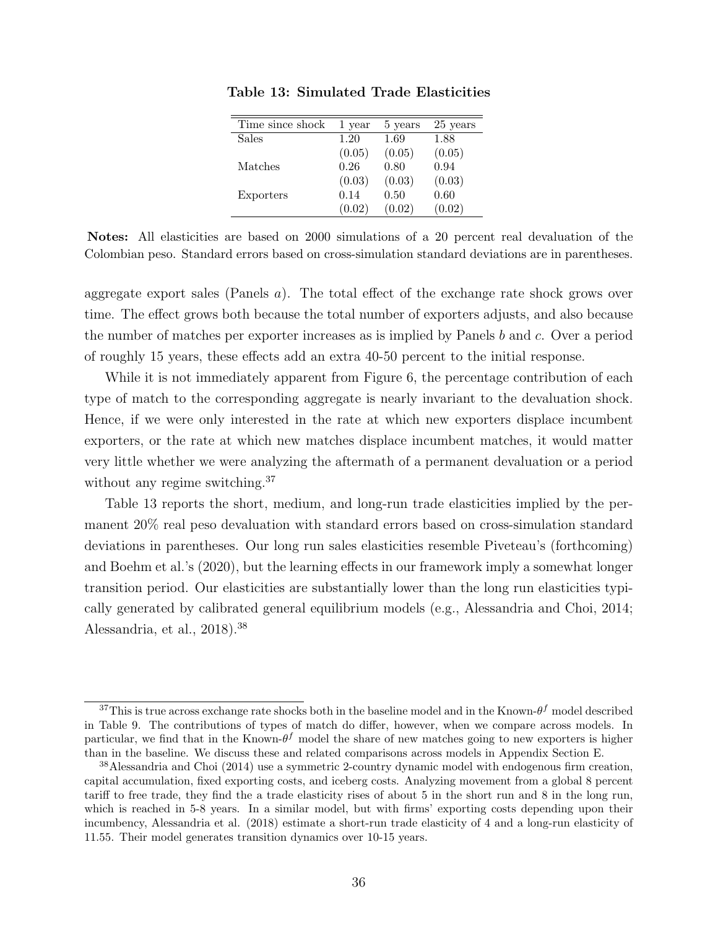| Time since shock | 1 year | 5 years | 25 years |
|------------------|--------|---------|----------|
| <b>Sales</b>     | 1.20   | 1.69    | 1.88     |
|                  | (0.05) | (0.05)  | (0.05)   |
| Matches          | 0.26   | 0.80    | 0.94     |
|                  | (0.03) | (0.03)  | (0.03)   |
| Exporters        | 0.14   | 0.50    | 0.60     |
|                  | (0.02) | (0.02)  | (0.02)   |
|                  |        |         |          |

<span id="page-36-0"></span>Table 13: Simulated Trade Elasticities

Notes: All elasticities are based on 2000 simulations of a 20 percent real devaluation of the Colombian peso. Standard errors based on cross-simulation standard deviations are in parentheses.

aggregate export sales (Panels a). The total effect of the exchange rate shock grows over time. The effect grows both because the total number of exporters adjusts, and also because the number of matches per exporter increases as is implied by Panels b and c. Over a period of roughly 15 years, these effects add an extra 40-50 percent to the initial response.

While it is not immediately apparent from Figure [6,](#page-35-0) the percentage contribution of each type of match to the corresponding aggregate is nearly invariant to the devaluation shock. Hence, if we were only interested in the rate at which new exporters displace incumbent exporters, or the rate at which new matches displace incumbent matches, it would matter very little whether we were analyzing the aftermath of a permanent devaluation or a period without any regime switching.<sup>[37](#page-0-0)</sup>

Table [13](#page-36-0) reports the short, medium, and long-run trade elasticities implied by the permanent 20% real peso devaluation with standard errors based on cross-simulation standard deviations in parentheses. Our long run sales elasticities resemble Piveteau's (forthcoming) and Boehm et al.'s (2020), but the learning effects in our framework imply a somewhat longer transition period. Our elasticities are substantially lower than the long run elasticities typically generated by calibrated general equilibrium models (e.g., Alessandria and Choi, 2014; Alessandria, et al., 2018).[38](#page-0-0)

<sup>&</sup>lt;sup>37</sup>This is true across exchange rate shocks both in the baseline model and in the Known- $\theta^f$  model described in Table [9.](#page-26-0) The contributions of types of match do differ, however, when we compare across models. In particular, we find that in the Known- $\theta^f$  model the share of new matches going to new exporters is higher than in the baseline. We discuss these and related comparisons across models in Appendix Section [E.](#page-55-0)

<sup>38</sup>Alessandria and Choi (2014) use a symmetric 2-country dynamic model with endogenous firm creation, capital accumulation, fixed exporting costs, and iceberg costs. Analyzing movement from a global 8 percent tariff to free trade, they find the a trade elasticity rises of about 5 in the short run and 8 in the long run, which is reached in 5-8 years. In a similar model, but with firms' exporting costs depending upon their incumbency, Alessandria et al. (2018) estimate a short-run trade elasticity of 4 and a long-run elasticity of 11.55. Their model generates transition dynamics over 10-15 years.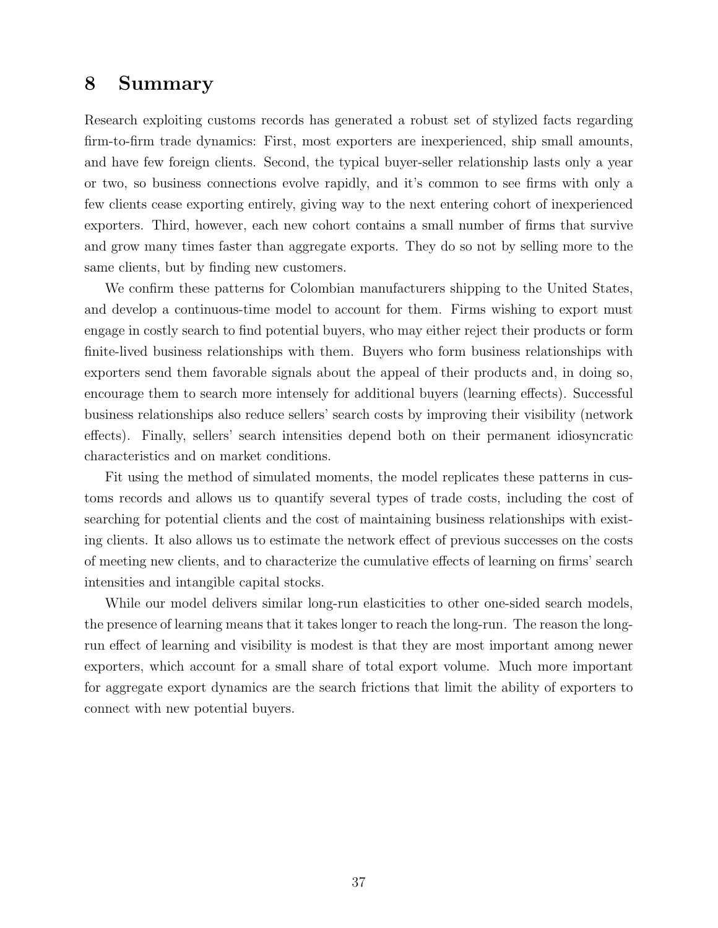## 8 Summary

Research exploiting customs records has generated a robust set of stylized facts regarding firm-to-firm trade dynamics: First, most exporters are inexperienced, ship small amounts, and have few foreign clients. Second, the typical buyer-seller relationship lasts only a year or two, so business connections evolve rapidly, and it's common to see firms with only a few clients cease exporting entirely, giving way to the next entering cohort of inexperienced exporters. Third, however, each new cohort contains a small number of firms that survive and grow many times faster than aggregate exports. They do so not by selling more to the same clients, but by finding new customers.

We confirm these patterns for Colombian manufacturers shipping to the United States, and develop a continuous-time model to account for them. Firms wishing to export must engage in costly search to find potential buyers, who may either reject their products or form finite-lived business relationships with them. Buyers who form business relationships with exporters send them favorable signals about the appeal of their products and, in doing so, encourage them to search more intensely for additional buyers (learning effects). Successful business relationships also reduce sellers' search costs by improving their visibility (network effects). Finally, sellers' search intensities depend both on their permanent idiosyncratic characteristics and on market conditions.

Fit using the method of simulated moments, the model replicates these patterns in customs records and allows us to quantify several types of trade costs, including the cost of searching for potential clients and the cost of maintaining business relationships with existing clients. It also allows us to estimate the network effect of previous successes on the costs of meeting new clients, and to characterize the cumulative effects of learning on firms' search intensities and intangible capital stocks.

While our model delivers similar long-run elasticities to other one-sided search models, the presence of learning means that it takes longer to reach the long-run. The reason the longrun effect of learning and visibility is modest is that they are most important among newer exporters, which account for a small share of total export volume. Much more important for aggregate export dynamics are the search frictions that limit the ability of exporters to connect with new potential buyers.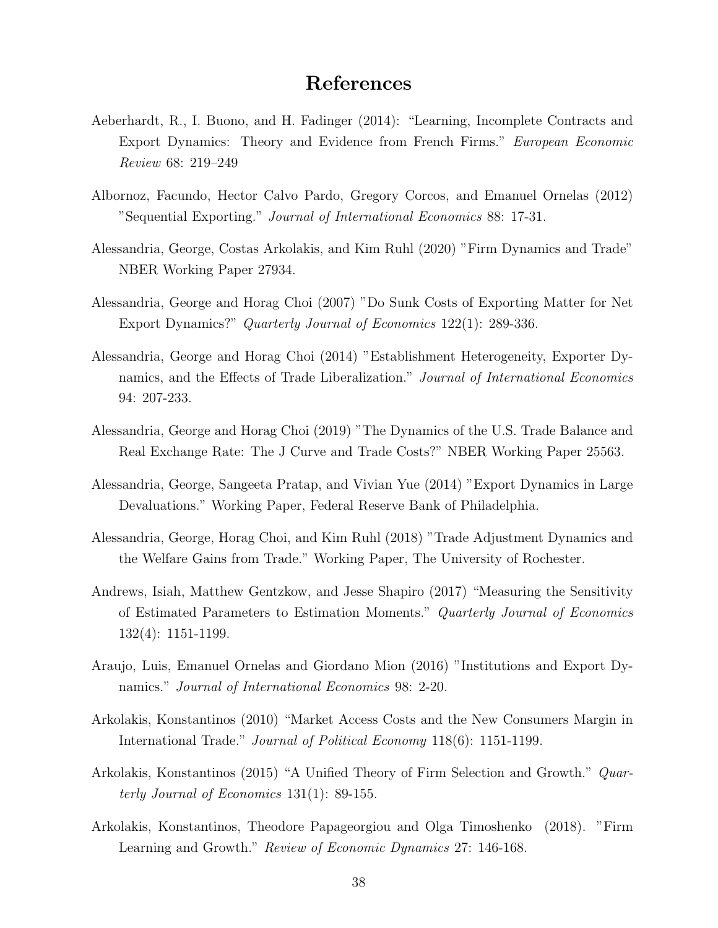## References

- Aeberhardt, R., I. Buono, and H. Fadinger (2014): "Learning, Incomplete Contracts and Export Dynamics: Theory and Evidence from French Firms." European Economic Review 68: 219–249
- Albornoz, Facundo, Hector Calvo Pardo, Gregory Corcos, and Emanuel Ornelas (2012) "Sequential Exporting." Journal of International Economics 88: 17-31.
- Alessandria, George, Costas Arkolakis, and Kim Ruhl (2020) "Firm Dynamics and Trade" NBER Working Paper 27934.
- Alessandria, George and Horag Choi (2007) "Do Sunk Costs of Exporting Matter for Net Export Dynamics?" Quarterly Journal of Economics 122(1): 289-336.
- Alessandria, George and Horag Choi (2014) "Establishment Heterogeneity, Exporter Dynamics, and the Effects of Trade Liberalization." Journal of International Economics 94: 207-233.
- Alessandria, George and Horag Choi (2019) "The Dynamics of the U.S. Trade Balance and Real Exchange Rate: The J Curve and Trade Costs?" NBER Working Paper 25563.
- Alessandria, George, Sangeeta Pratap, and Vivian Yue (2014) "Export Dynamics in Large Devaluations." Working Paper, Federal Reserve Bank of Philadelphia.
- Alessandria, George, Horag Choi, and Kim Ruhl (2018) "Trade Adjustment Dynamics and the Welfare Gains from Trade." Working Paper, The University of Rochester.
- Andrews, Isiah, Matthew Gentzkow, and Jesse Shapiro (2017) "Measuring the Sensitivity of Estimated Parameters to Estimation Moments." Quarterly Journal of Economics 132(4): 1151-1199.
- Araujo, Luis, Emanuel Ornelas and Giordano Mion (2016) "Institutions and Export Dynamics." *Journal of International Economics* 98: 2-20.
- Arkolakis, Konstantinos (2010) "Market Access Costs and the New Consumers Margin in International Trade." Journal of Political Economy 118(6): 1151-1199.
- Arkolakis, Konstantinos (2015) "A Unified Theory of Firm Selection and Growth." Quarterly Journal of Economics 131(1): 89-155.
- Arkolakis, Konstantinos, Theodore Papageorgiou and Olga Timoshenko (2018). "Firm Learning and Growth." *Review of Economic Dynamics* 27: 146-168.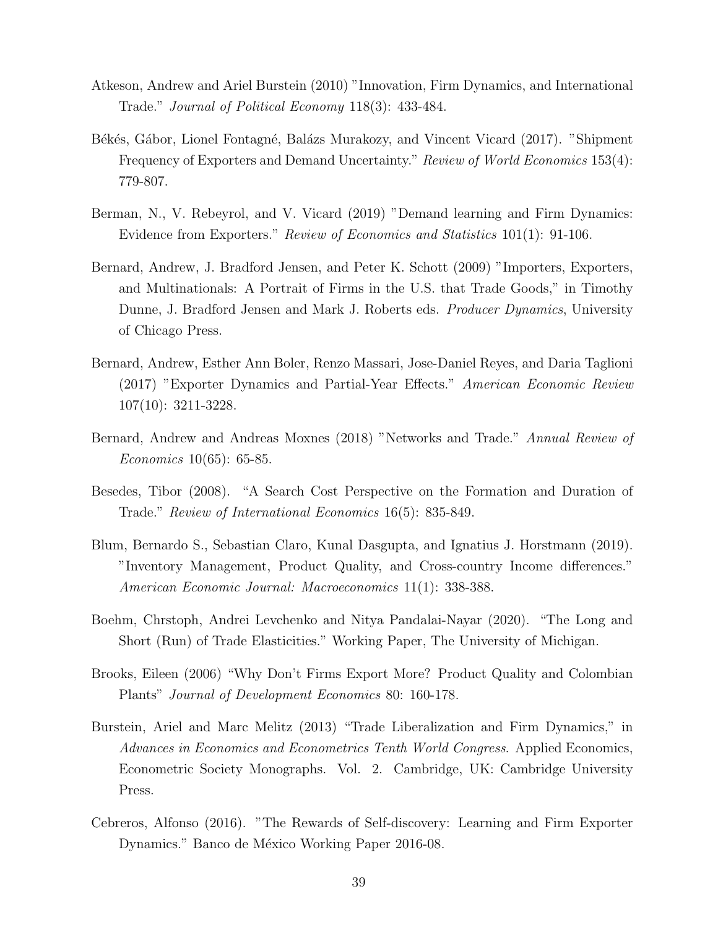- Atkeson, Andrew and Ariel Burstein (2010) "Innovation, Firm Dynamics, and International Trade." Journal of Political Economy 118(3): 433-484.
- Békés, Gábor, Lionel Fontagné, Balázs Murakozy, and Vincent Vicard (2017). "Shipment Frequency of Exporters and Demand Uncertainty." Review of World Economics 153(4): 779-807.
- Berman, N., V. Rebeyrol, and V. Vicard (2019) "Demand learning and Firm Dynamics: Evidence from Exporters." Review of Economics and Statistics 101(1): 91-106.
- Bernard, Andrew, J. Bradford Jensen, and Peter K. Schott (2009) "Importers, Exporters, and Multinationals: A Portrait of Firms in the U.S. that Trade Goods," in Timothy Dunne, J. Bradford Jensen and Mark J. Roberts eds. Producer Dynamics, University of Chicago Press.
- Bernard, Andrew, Esther Ann Boler, Renzo Massari, Jose-Daniel Reyes, and Daria Taglioni (2017) "Exporter Dynamics and Partial-Year Effects." American Economic Review 107(10): 3211-3228.
- Bernard, Andrew and Andreas Moxnes (2018) "Networks and Trade." Annual Review of Economics 10(65): 65-85.
- Besedes, Tibor (2008). "A Search Cost Perspective on the Formation and Duration of Trade." Review of International Economics 16(5): 835-849.
- Blum, Bernardo S., Sebastian Claro, Kunal Dasgupta, and Ignatius J. Horstmann (2019). "Inventory Management, Product Quality, and Cross-country Income differences." American Economic Journal: Macroeconomics 11(1): 338-388.
- Boehm, Chrstoph, Andrei Levchenko and Nitya Pandalai-Nayar (2020). "The Long and Short (Run) of Trade Elasticities." Working Paper, The University of Michigan.
- Brooks, Eileen (2006) "Why Don't Firms Export More? Product Quality and Colombian Plants" Journal of Development Economics 80: 160-178.
- Burstein, Ariel and Marc Melitz (2013) "Trade Liberalization and Firm Dynamics," in Advances in Economics and Econometrics Tenth World Congress. Applied Economics, Econometric Society Monographs. Vol. 2. Cambridge, UK: Cambridge University Press.
- Cebreros, Alfonso (2016). "The Rewards of Self-discovery: Learning and Firm Exporter Dynamics." Banco de México Working Paper 2016-08.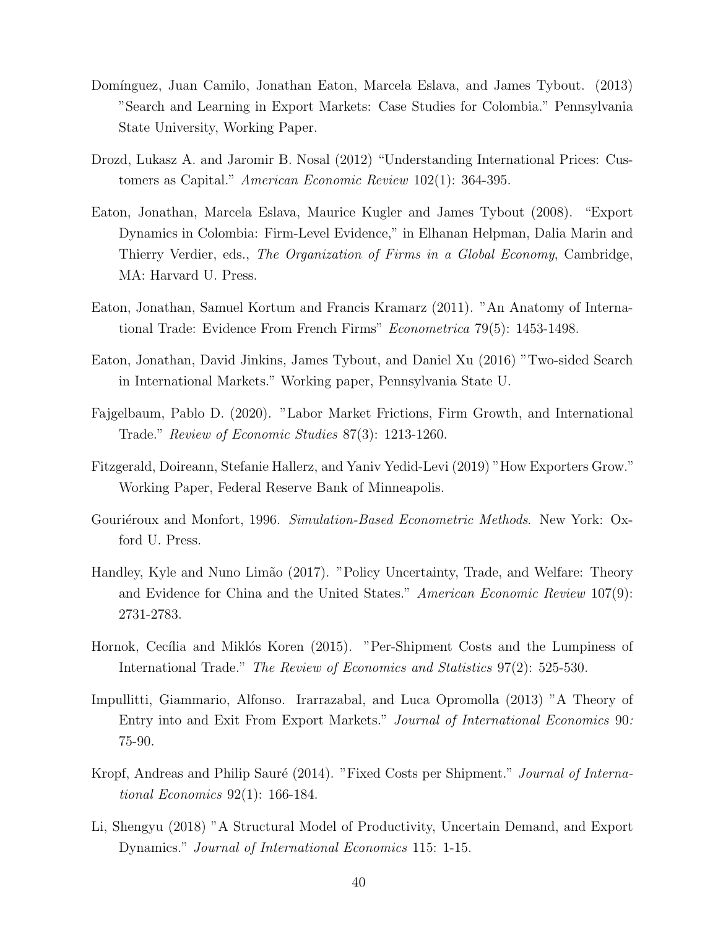- Domínguez, Juan Camilo, Jonathan Eaton, Marcela Eslava, and James Tybout. (2013) "Search and Learning in Export Markets: Case Studies for Colombia." Pennsylvania State University, Working Paper.
- Drozd, Lukasz A. and Jaromir B. Nosal (2012) "Understanding International Prices: Customers as Capital." American Economic Review 102(1): 364-395.
- Eaton, Jonathan, Marcela Eslava, Maurice Kugler and James Tybout (2008). "Export Dynamics in Colombia: Firm-Level Evidence," in Elhanan Helpman, Dalia Marin and Thierry Verdier, eds., The Organization of Firms in a Global Economy, Cambridge, MA: Harvard U. Press.
- Eaton, Jonathan, Samuel Kortum and Francis Kramarz (2011). "An Anatomy of International Trade: Evidence From French Firms" Econometrica 79(5): 1453-1498.
- Eaton, Jonathan, David Jinkins, James Tybout, and Daniel Xu (2016) "Two-sided Search in International Markets." Working paper, Pennsylvania State U.
- Fajgelbaum, Pablo D. (2020). "Labor Market Frictions, Firm Growth, and International Trade." Review of Economic Studies 87(3): 1213-1260.
- Fitzgerald, Doireann, Stefanie Hallerz, and Yaniv Yedid-Levi (2019) "How Exporters Grow." Working Paper, Federal Reserve Bank of Minneapolis.
- Gouriéroux and Monfort, 1996. Simulation-Based Econometric Methods. New York: Oxford U. Press.
- Handley, Kyle and Nuno Limão (2017). "Policy Uncertainty, Trade, and Welfare: Theory and Evidence for China and the United States." American Economic Review 107(9): 2731-2783.
- Hornok, Cecília and Miklós Koren (2015). "Per-Shipment Costs and the Lumpiness of International Trade." The Review of Economics and Statistics 97(2): 525-530.
- Impullitti, Giammario, Alfonso. Irarrazabal, and Luca Opromolla (2013) "A Theory of Entry into and Exit From Export Markets." Journal of International Economics 90: 75-90.
- Kropf, Andreas and Philip Sauré (2014). "Fixed Costs per Shipment." Journal of International Economics 92(1): 166-184.
- Li, Shengyu (2018) "A Structural Model of Productivity, Uncertain Demand, and Export Dynamics." Journal of International Economics 115: 1-15.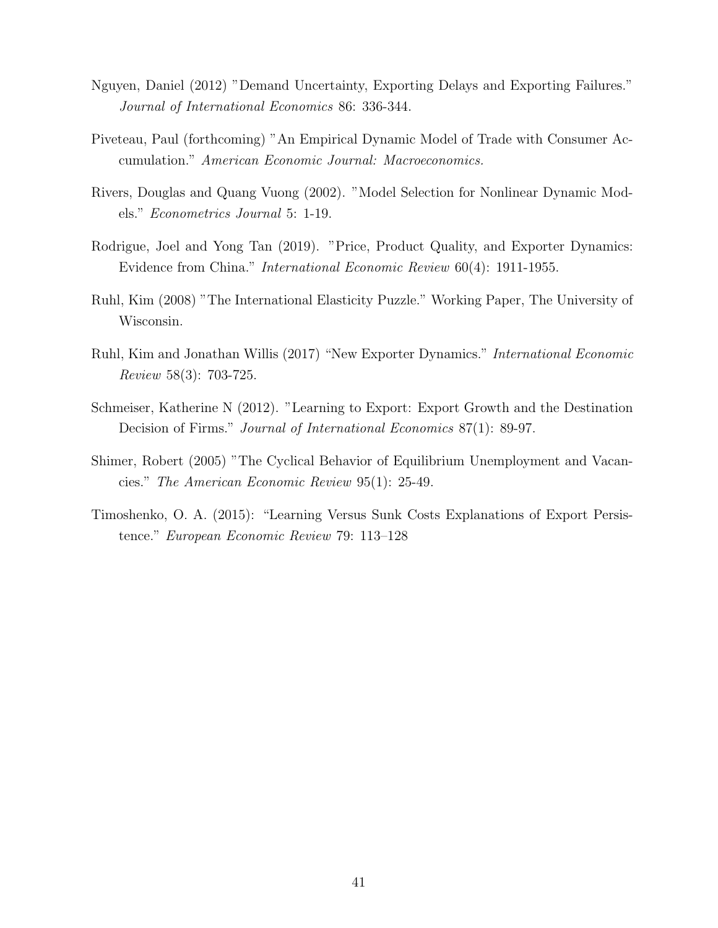- Nguyen, Daniel (2012) "Demand Uncertainty, Exporting Delays and Exporting Failures." Journal of International Economics 86: 336-344.
- Piveteau, Paul (forthcoming) "An Empirical Dynamic Model of Trade with Consumer Accumulation." American Economic Journal: Macroeconomics.
- Rivers, Douglas and Quang Vuong (2002). "Model Selection for Nonlinear Dynamic Models." Econometrics Journal 5: 1-19.
- Rodrigue, Joel and Yong Tan (2019). "Price, Product Quality, and Exporter Dynamics: Evidence from China." International Economic Review 60(4): 1911-1955.
- Ruhl, Kim (2008) "The International Elasticity Puzzle." Working Paper, The University of Wisconsin.
- Ruhl, Kim and Jonathan Willis (2017) "New Exporter Dynamics." International Economic Review 58(3): 703-725.
- Schmeiser, Katherine N (2012). "Learning to Export: Export Growth and the Destination Decision of Firms." *Journal of International Economics* 87(1): 89-97.
- Shimer, Robert (2005) "The Cyclical Behavior of Equilibrium Unemployment and Vacancies." The American Economic Review 95(1): 25-49.
- Timoshenko, O. A. (2015): "Learning Versus Sunk Costs Explanations of Export Persistence." European Economic Review 79: 113–128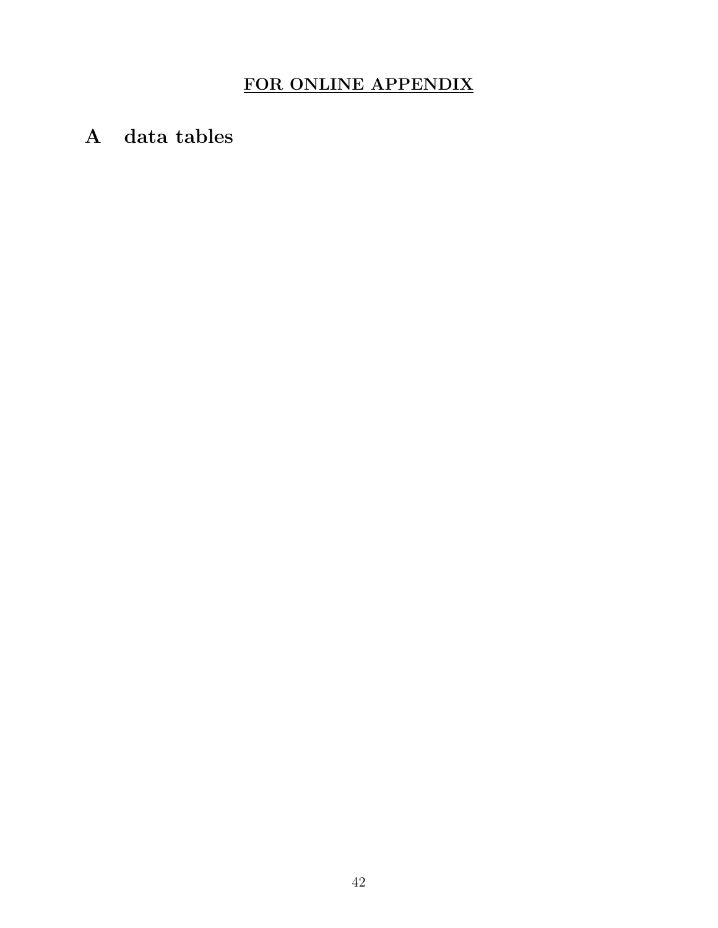# FOR ONLINE APPENDIX

<span id="page-42-0"></span>A data tables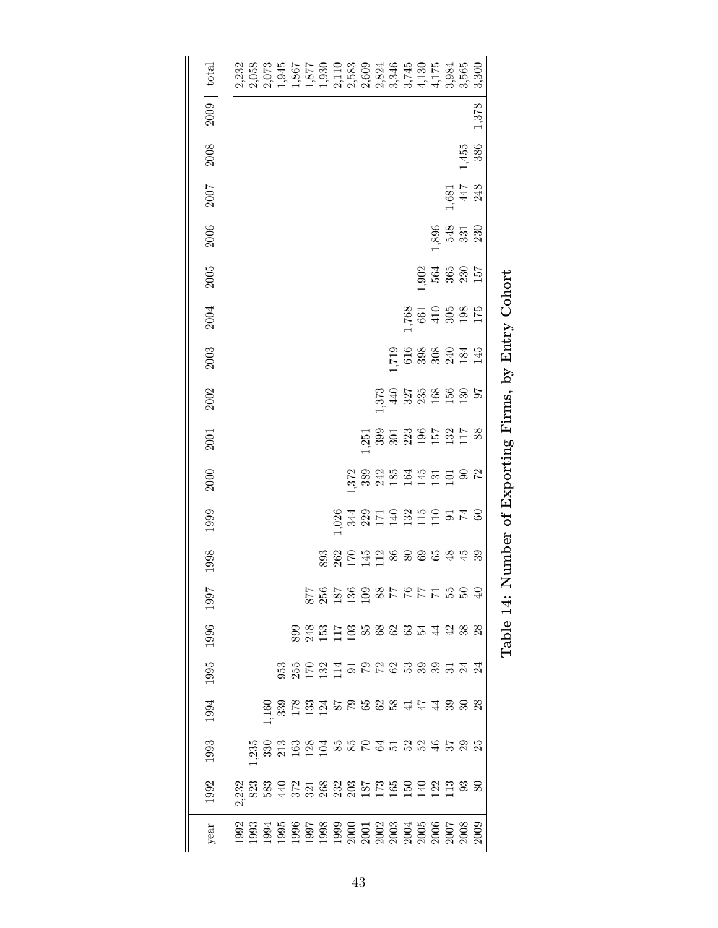| total |  | $2,332$<br>$2,658$<br>$2,658$<br>$3,865$<br>$5,750$<br>$6,87$<br>$7,750$<br>$7,750$<br>$8,87$<br>$8,87$<br>$8,87$<br>$8,87$<br>$8,87$<br>$8,87$<br>$8,87$<br>$8,87$<br>$8,87$<br>$8,87$<br>$8,87$<br>$8,87$<br>$8,87$<br>$8,87$<br>$8,87$<br>$8,87$<br>$8,87$<br>$8,87$<br>$8,87$<br>$8,87$<br>$8,87$<br>$8,87$<br>$8,8$ |  |  |  |  |  |                                                                                                                                                                                                                                                                                                                                                                                                                   |                                                    |       |
|-------|--|--------------------------------------------------------------------------------------------------------------------------------------------------------------------------------------------------------------------------------------------------------------------------------------------------------------------------|--|--|--|--|--|-------------------------------------------------------------------------------------------------------------------------------------------------------------------------------------------------------------------------------------------------------------------------------------------------------------------------------------------------------------------------------------------------------------------|----------------------------------------------------|-------|
| 2009  |  |                                                                                                                                                                                                                                                                                                                          |  |  |  |  |  |                                                                                                                                                                                                                                                                                                                                                                                                                   |                                                    | 1,378 |
| 2008  |  |                                                                                                                                                                                                                                                                                                                          |  |  |  |  |  |                                                                                                                                                                                                                                                                                                                                                                                                                   | $1,455$<br>386                                     |       |
| 2007  |  |                                                                                                                                                                                                                                                                                                                          |  |  |  |  |  |                                                                                                                                                                                                                                                                                                                                                                                                                   | $\begin{array}{c} 1,681 \\ 447 \\ 248 \end{array}$ |       |
| 2006  |  |                                                                                                                                                                                                                                                                                                                          |  |  |  |  |  |                                                                                                                                                                                                                                                                                                                                                                                                                   | $1,896$<br>548<br>531<br>530                       |       |
| 2005  |  |                                                                                                                                                                                                                                                                                                                          |  |  |  |  |  | 964<br>965<br>965<br>9757                                                                                                                                                                                                                                                                                                                                                                                         |                                                    |       |
| 2004  |  |                                                                                                                                                                                                                                                                                                                          |  |  |  |  |  | $1,768$<br>$661$<br>$410$<br>$508$<br>$175$<br>$175$                                                                                                                                                                                                                                                                                                                                                              |                                                    |       |
| 2003  |  |                                                                                                                                                                                                                                                                                                                          |  |  |  |  |  | 196888945145                                                                                                                                                                                                                                                                                                                                                                                                      |                                                    |       |
| 2002  |  |                                                                                                                                                                                                                                                                                                                          |  |  |  |  |  | $373.588$ 327<br>440<br>327<br>328<br>525<br>527                                                                                                                                                                                                                                                                                                                                                                  |                                                    |       |
| 2001  |  |                                                                                                                                                                                                                                                                                                                          |  |  |  |  |  | 1,251<br>390 301 302<br>303 304 51 51 51 62<br>403 51 51 51 52 63                                                                                                                                                                                                                                                                                                                                                 |                                                    |       |
| 2000  |  |                                                                                                                                                                                                                                                                                                                          |  |  |  |  |  | $\begin{array}{l} \ddots \\ \ddots \\ \ddots \end{array} \begin{array}{l} \text{3.83 } \\ \text{4.85 } \\ \text{5.87 } \\ \text{6.89 } \\ \text{7.81 } \\ \text{8.81 } \\ \text{9.82 } \\ \text{10.83 } \\ \text{11.85 } \\ \text{12.81 } \\ \text{13.82 } \\ \text{14.83 } \\ \text{15.84 } \\ \text{16.85 } \\ \text{17.86 } \\ \text{18.87 } \\ \text{19.89 } \\ \text{19.81 } \\ \text{19.81 } \\ \text{19.8$ |                                                    |       |
| 1999  |  |                                                                                                                                                                                                                                                                                                                          |  |  |  |  |  | 1624<br>28482119211111212                                                                                                                                                                                                                                                                                                                                                                                         |                                                    |       |
| 1998  |  |                                                                                                                                                                                                                                                                                                                          |  |  |  |  |  | 88200538866845898888                                                                                                                                                                                                                                                                                                                                                                                              |                                                    |       |
| 1997  |  |                                                                                                                                                                                                                                                                                                                          |  |  |  |  |  | 0698113181868888881                                                                                                                                                                                                                                                                                                                                                                                               |                                                    |       |
| 1996  |  |                                                                                                                                                                                                                                                                                                                          |  |  |  |  |  |                                                                                                                                                                                                                                                                                                                                                                                                                   |                                                    |       |
| 1995  |  |                                                                                                                                                                                                                                                                                                                          |  |  |  |  |  | 36 5 6 5 7 5 6 7 6 9 6 9 6 9 7 7 7                                                                                                                                                                                                                                                                                                                                                                                |                                                    |       |
| 1994  |  |                                                                                                                                                                                                                                                                                                                          |  |  |  |  |  |                                                                                                                                                                                                                                                                                                                                                                                                                   |                                                    |       |
| 1993  |  |                                                                                                                                                                                                                                                                                                                          |  |  |  |  |  |                                                                                                                                                                                                                                                                                                                                                                                                                   |                                                    |       |
| 1992  |  |                                                                                                                                                                                                                                                                                                                          |  |  |  |  |  |                                                                                                                                                                                                                                                                                                                                                                                                                   |                                                    |       |
| year  |  |                                                                                                                                                                                                                                                                                                                          |  |  |  |  |  |                                                                                                                                                                                                                                                                                                                                                                                                                   |                                                    |       |

Table 14: Number of Exporting Firms, by Entry Cohort Table 14: Number of Exporting Firms, by Entry Cohort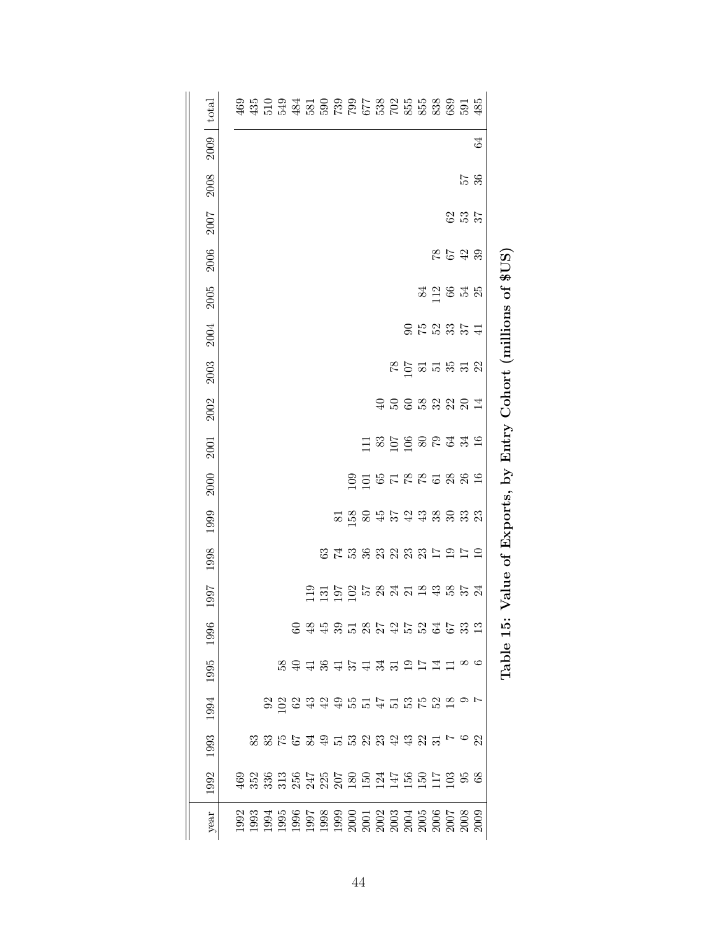| total |  |                                     |  |  |  |  |  |  |                                                                                     |    |                                                      |
|-------|--|-------------------------------------|--|--|--|--|--|--|-------------------------------------------------------------------------------------|----|------------------------------------------------------|
| 2009  |  |                                     |  |  |  |  |  |  |                                                                                     | 64 |                                                      |
| 2008  |  |                                     |  |  |  |  |  |  | $\frac{57}{36}$                                                                     |    |                                                      |
| 2007  |  |                                     |  |  |  |  |  |  | 837                                                                                 |    |                                                      |
| 2006  |  |                                     |  |  |  |  |  |  | 7879                                                                                |    |                                                      |
| 2005  |  |                                     |  |  |  |  |  |  | $\frac{1}{8}$ $\frac{1}{2}$ $\frac{1}{8}$ $\frac{1}{8}$ $\frac{1}{8}$ $\frac{1}{8}$ |    | Value of Exports, by Entry Cohort (millions of \$US) |
| 2004  |  |                                     |  |  |  |  |  |  | <b>9523544</b>                                                                      |    |                                                      |
| 2003  |  |                                     |  |  |  |  |  |  | $R = 52.53$                                                                         |    |                                                      |
| 2002  |  |                                     |  |  |  |  |  |  | 45653224                                                                            |    |                                                      |
| 2001  |  |                                     |  |  |  |  |  |  |                                                                                     |    |                                                      |
| 2000  |  |                                     |  |  |  |  |  |  |                                                                                     |    |                                                      |
| 1999  |  |                                     |  |  |  |  |  |  | 5 5 6 7 5 7 5 8 9 9 9 9 9                                                           |    |                                                      |
| 1998  |  |                                     |  |  |  |  |  |  | 8 7 8 9 8 9 8 9 8 7 9 7 9 7 9                                                       |    |                                                      |
| 1997  |  |                                     |  |  |  |  |  |  |                                                                                     |    |                                                      |
| 1996  |  |                                     |  |  |  |  |  |  | 6 3 4 5 5 5 6 7 4 5 5 5 6 5 7                                                       |    | Table 15:                                            |
| 1995  |  |                                     |  |  |  |  |  |  | $\frac{1}{2}$ $\infty$ $\infty$                                                     |    |                                                      |
| 1994  |  | 3 2 2 3 3 4 5 5 5 5 5 6 7 8 9 9 0 1 |  |  |  |  |  |  |                                                                                     |    |                                                      |
| 1993  |  |                                     |  |  |  |  |  |  |                                                                                     |    |                                                      |
| 1992  |  |                                     |  |  |  |  |  |  |                                                                                     |    |                                                      |
| year  |  |                                     |  |  |  |  |  |  |                                                                                     |    |                                                      |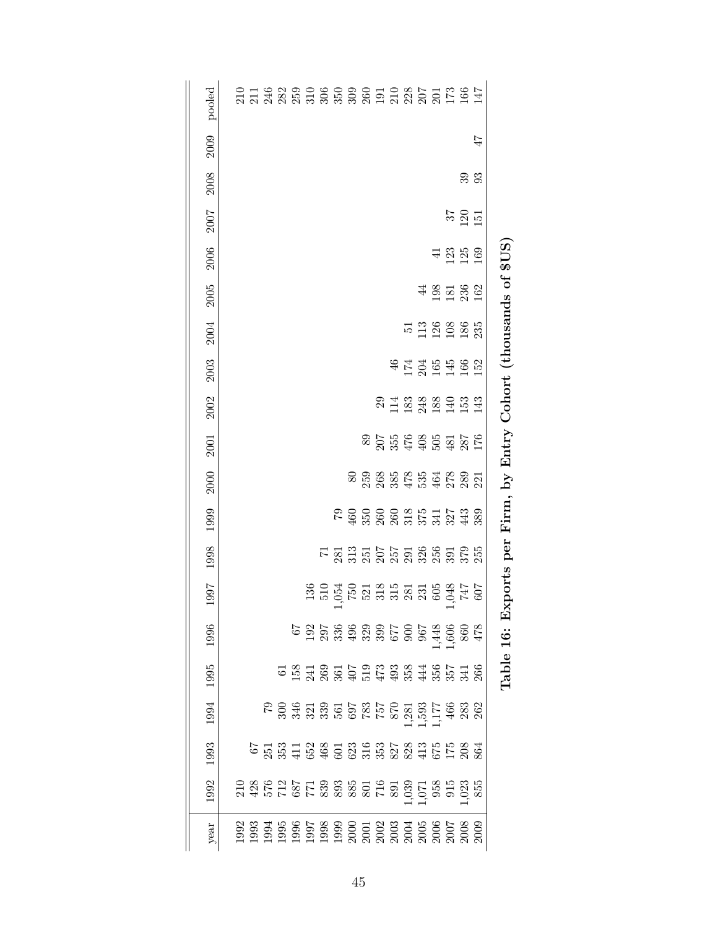| pooled |  |  |                                                                                                                                                                                                                                                                                                     |  |  |  |                                                                             |          |         |    |                   |                 |    |                                                 |
|--------|--|--|-----------------------------------------------------------------------------------------------------------------------------------------------------------------------------------------------------------------------------------------------------------------------------------------------------|--|--|--|-----------------------------------------------------------------------------|----------|---------|----|-------------------|-----------------|----|-------------------------------------------------|
| 2009   |  |  |                                                                                                                                                                                                                                                                                                     |  |  |  |                                                                             |          |         |    |                   |                 | 47 |                                                 |
| 2008   |  |  |                                                                                                                                                                                                                                                                                                     |  |  |  |                                                                             |          |         |    |                   | 33<br>33        |    |                                                 |
| 2007   |  |  |                                                                                                                                                                                                                                                                                                     |  |  |  |                                                                             |          |         |    |                   | $\frac{57}{20}$ |    |                                                 |
| 2006   |  |  |                                                                                                                                                                                                                                                                                                     |  |  |  |                                                                             |          |         | 41 | 125<br>125<br>169 |                 |    | \$US                                            |
| 2005   |  |  |                                                                                                                                                                                                                                                                                                     |  |  |  |                                                                             |          |         |    | 483780            |                 |    | Exports per Firm, by Entry Cohort (thousands of |
| 2004   |  |  |                                                                                                                                                                                                                                                                                                     |  |  |  |                                                                             |          | 5288885 |    |                   |                 |    |                                                 |
| 2003   |  |  |                                                                                                                                                                                                                                                                                                     |  |  |  |                                                                             | 47789482 |         |    |                   |                 |    |                                                 |
| 2002   |  |  |                                                                                                                                                                                                                                                                                                     |  |  |  | 23122889923                                                                 |          |         |    |                   |                 |    |                                                 |
| 2001   |  |  |                                                                                                                                                                                                                                                                                                     |  |  |  | 80556855568556<br>8055685568                                                |          |         |    |                   |                 |    |                                                 |
| 2000   |  |  |                                                                                                                                                                                                                                                                                                     |  |  |  | 8 5 8 9 5 6 5 5 5 6 7 8 9<br>8 5 6 9 5 6 5 6 7 8 9 5<br>8 7 8 9 5 6 7 8 9 7 |          |         |    |                   |                 |    |                                                 |
| 1999   |  |  |                                                                                                                                                                                                                                                                                                     |  |  |  | $7900000000077738000000000000$                                              |          |         |    |                   |                 |    |                                                 |
| 1998   |  |  |                                                                                                                                                                                                                                                                                                     |  |  |  |                                                                             |          |         |    |                   |                 |    |                                                 |
| 1997   |  |  |                                                                                                                                                                                                                                                                                                     |  |  |  |                                                                             |          |         |    |                   |                 |    |                                                 |
| 1996   |  |  |                                                                                                                                                                                                                                                                                                     |  |  |  |                                                                             |          |         |    |                   |                 |    |                                                 |
| 1995   |  |  |                                                                                                                                                                                                                                                                                                     |  |  |  |                                                                             |          |         |    |                   |                 |    | Table 16:                                       |
| 1994   |  |  | $\begin{array}{l} 50.67 \\ 22.67 \\ 23.67 \\ 24.73 \\ 25.67 \\ 26.75 \\ 27.75 \\ 28.75 \\ 29.75 \\ 20.75 \\ 21.75 \\ 22.75 \\ 23.75 \\ 24.75 \\ 25.75 \\ 26.75 \\ 27.75 \\ 28.75 \\ 29.75 \\ 20.75 \\ 21.75 \\ 22.75 \\ 23.75 \\ 24.75 \\ 25.75 \\ 26.75 \\ 27.75 \\ 28.75 \\ 29.75 \\ 21.75 \\ 22$ |  |  |  |                                                                             |          |         |    |                   |                 |    |                                                 |
| 1993   |  |  |                                                                                                                                                                                                                                                                                                     |  |  |  |                                                                             |          |         |    |                   |                 |    |                                                 |
| 1992   |  |  |                                                                                                                                                                                                                                                                                                     |  |  |  |                                                                             |          |         |    |                   |                 |    |                                                 |
| year   |  |  |                                                                                                                                                                                                                                                                                                     |  |  |  |                                                                             |          |         |    |                   |                 |    |                                                 |

| くーー<br>Į<br>$\mathbf{I}$                                     |
|--------------------------------------------------------------|
| $\frac{1}{2}$ at $\frac{1}{2}$ defined in $\frac{1}{2}$<br>ı |
| )<br>1<br>I                                                  |
| i<br>Cacine<br>C<br>้                                        |
| $\sim + -$<br> <br> <br> <br> <br>I                          |
| $\overline{a}$                                               |
| i<br> <br> <br>j                                             |
| í                                                            |
| <b>CONTINUES COLORATION</b><br>I<br>$\frac{1}{1}$<br>ļ       |
| j<br>)<br>I                                                  |
| $\frac{1}{2}$<br>י<br>}<br>-<br> <br>                        |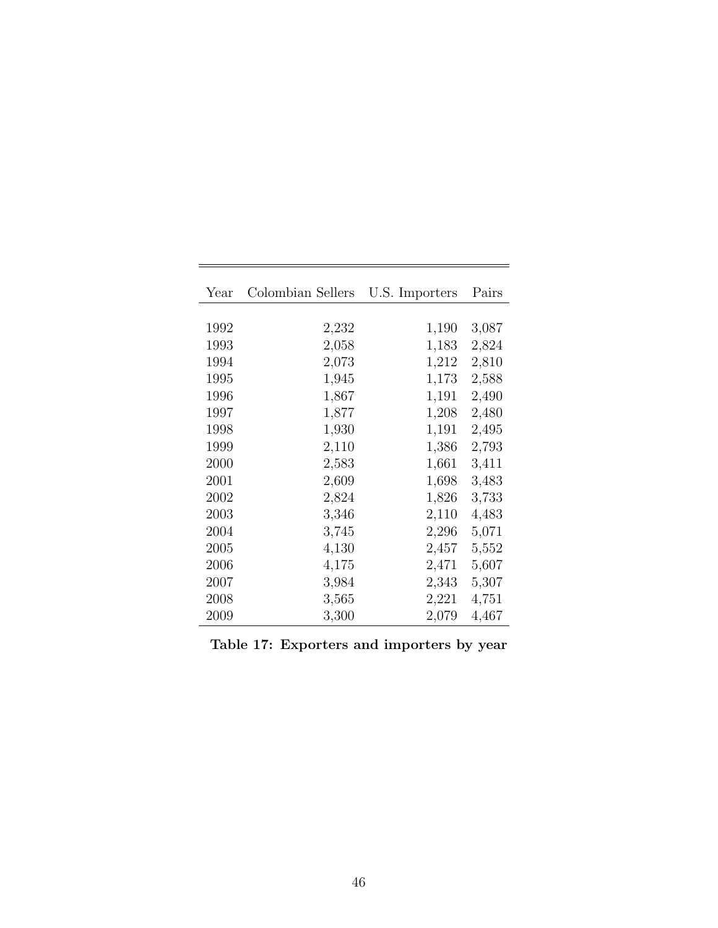<span id="page-46-0"></span>

| Year | Colombian Sellers U.S. Importers |       | Pairs |
|------|----------------------------------|-------|-------|
|      |                                  |       |       |
| 1992 | 2,232                            | 1,190 | 3,087 |
| 1993 | 2,058                            | 1,183 | 2,824 |
| 1994 | 2,073                            | 1,212 | 2,810 |
| 1995 | 1,945                            | 1,173 | 2,588 |
| 1996 | 1,867                            | 1,191 | 2,490 |
| 1997 | 1,877                            | 1,208 | 2,480 |
| 1998 | 1,930                            | 1,191 | 2,495 |
| 1999 | 2,110                            | 1,386 | 2,793 |
| 2000 | 2,583                            | 1,661 | 3,411 |
| 2001 | 2,609                            | 1,698 | 3,483 |
| 2002 | 2,824                            | 1,826 | 3,733 |
| 2003 | 3,346                            | 2,110 | 4,483 |
| 2004 | 3,745                            | 2,296 | 5,071 |
| 2005 | 4,130                            | 2,457 | 5,552 |
| 2006 | 4,175                            | 2,471 | 5,607 |
| 2007 | 3,984                            | 2,343 | 5,307 |
| 2008 | 3,565                            | 2,221 | 4,751 |
| 2009 | 3,300                            | 2,079 | 4,467 |

| Table 17: Exporters and importers by year |  |  |
|-------------------------------------------|--|--|
|                                           |  |  |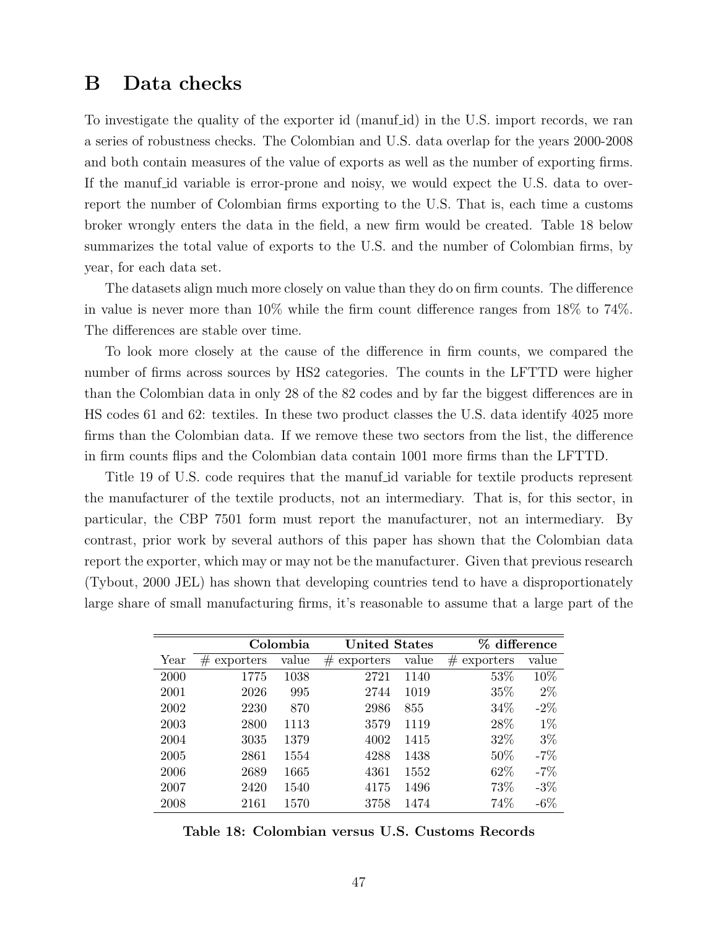## <span id="page-47-0"></span>B Data checks

To investigate the quality of the exporter id (manuf-id) in the U.S. import records, we ran a series of robustness checks. The Colombian and U.S. data overlap for the years 2000-2008 and both contain measures of the value of exports as well as the number of exporting firms. If the manuf-id variable is error-prone and noisy, we would expect the U.S. data to overreport the number of Colombian firms exporting to the U.S. That is, each time a customs broker wrongly enters the data in the field, a new firm would be created. Table [18](#page-47-1) below summarizes the total value of exports to the U.S. and the number of Colombian firms, by year, for each data set.

The datasets align much more closely on value than they do on firm counts. The difference in value is never more than 10% while the firm count difference ranges from 18% to 74%. The differences are stable over time.

To look more closely at the cause of the difference in firm counts, we compared the number of firms across sources by HS2 categories. The counts in the LFTTD were higher than the Colombian data in only 28 of the 82 codes and by far the biggest differences are in HS codes 61 and 62: textiles. In these two product classes the U.S. data identify 4025 more firms than the Colombian data. If we remove these two sectors from the list, the difference in firm counts flips and the Colombian data contain 1001 more firms than the LFTTD.

Title 19 of U.S. code requires that the manuf id variable for textile products represent the manufacturer of the textile products, not an intermediary. That is, for this sector, in particular, the CBP 7501 form must report the manufacturer, not an intermediary. By contrast, prior work by several authors of this paper has shown that the Colombian data report the exporter, which may or may not be the manufacturer. Given that previous research (Tybout, 2000 JEL) has shown that developing countries tend to have a disproportionately large share of small manufacturing firms, it's reasonable to assume that a large part of the

<span id="page-47-1"></span>

|                |       |                |       | %                    | difference |
|----------------|-------|----------------|-------|----------------------|------------|
| #<br>exporters | value | #<br>exporters | value | #<br>exporters       | value      |
| 1775           | 1038  | 2721           | 1140  | 53%                  | 10%        |
| 2026           | 995   | 2744           | 1019  | 35%                  | $2\%$      |
| 2230           | 870   | 2986           | 855   | 34%                  | $-2\%$     |
| 2800           | 1113  | 3579           | 1119  | 28%                  | $1\%$      |
| 3035           | 1379  | 4002           | 1415  | 32%                  | $3\%$      |
| 2861           | 1554  | 4288           | 1438  | 50%                  | $-7%$      |
| 2689           | 1665  | 4361           | 1552  | 62%                  | $-7\%$     |
| 2420           | 1540  | 4175           | 1496  | 73%                  | $-3\%$     |
| 2161           | 1570  | 3758           | 1474  | 74%                  | $-6\%$     |
|                |       | Colombia       |       | <b>United States</b> |            |

Table 18: Colombian versus U.S. Customs Records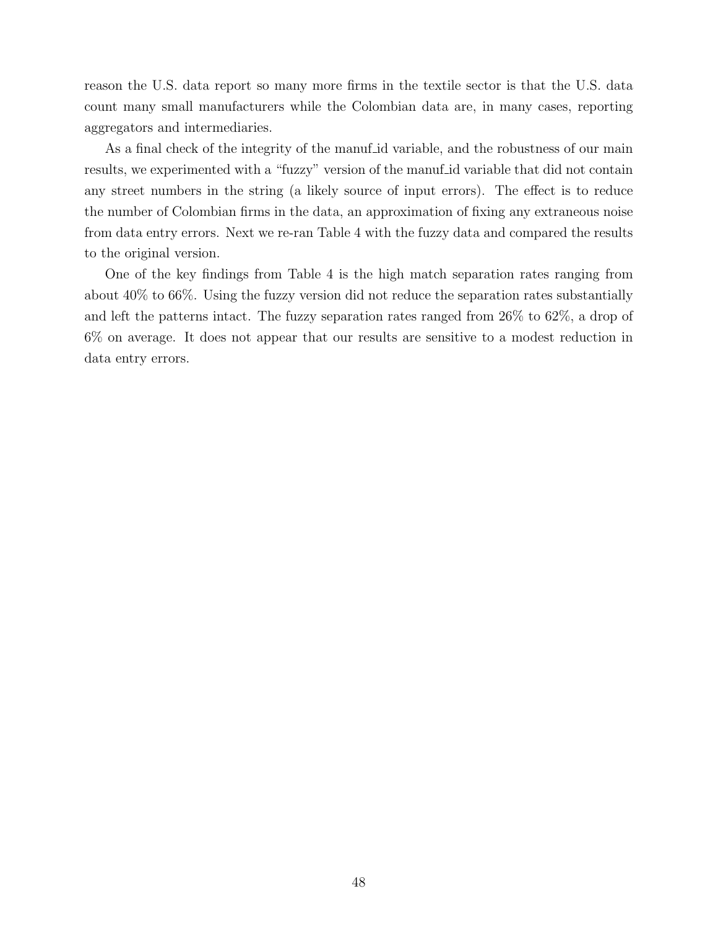reason the U.S. data report so many more firms in the textile sector is that the U.S. data count many small manufacturers while the Colombian data are, in many cases, reporting aggregators and intermediaries.

As a final check of the integrity of the manuf id variable, and the robustness of our main results, we experimented with a "fuzzy" version of the manuf id variable that did not contain any street numbers in the string (a likely source of input errors). The effect is to reduce the number of Colombian firms in the data, an approximation of fixing any extraneous noise from data entry errors. Next we re-ran Table [4](#page-8-2) with the fuzzy data and compared the results to the original version.

One of the key findings from Table [4](#page-8-2) is the high match separation rates ranging from about 40% to 66%. Using the fuzzy version did not reduce the separation rates substantially and left the patterns intact. The fuzzy separation rates ranged from 26% to 62%, a drop of 6% on average. It does not appear that our results are sensitive to a modest reduction in data entry errors.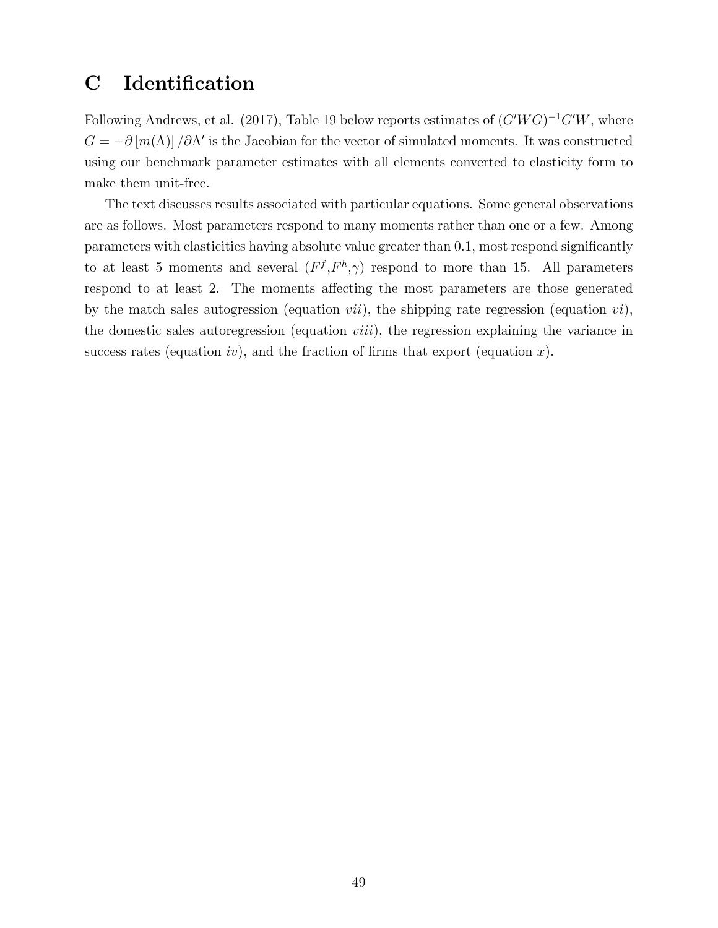## <span id="page-49-0"></span>C Identification

Following Andrews, et al. (2017), Table [19](#page-50-0) below reports estimates of  $(G'WG)^{-1}G'W$ , where  $G = -\partial [m(\Lambda)] / \partial \Lambda'$  is the Jacobian for the vector of simulated moments. It was constructed using our benchmark parameter estimates with all elements converted to elasticity form to make them unit-free.

The text discusses results associated with particular equations. Some general observations are as follows. Most parameters respond to many moments rather than one or a few. Among parameters with elasticities having absolute value greater than 0.1, most respond significantly to at least 5 moments and several  $(F^f, F^h, \gamma)$  respond to more than 15. All parameters respond to at least 2. The moments affecting the most parameters are those generated by the match sales autogression (equation *vii*), the shipping rate regression (equation *vi*), the domestic sales autoregression (equation  $viii$ ), the regression explaining the variance in success rates (equation *iv*), and the fraction of firms that export (equation *x*).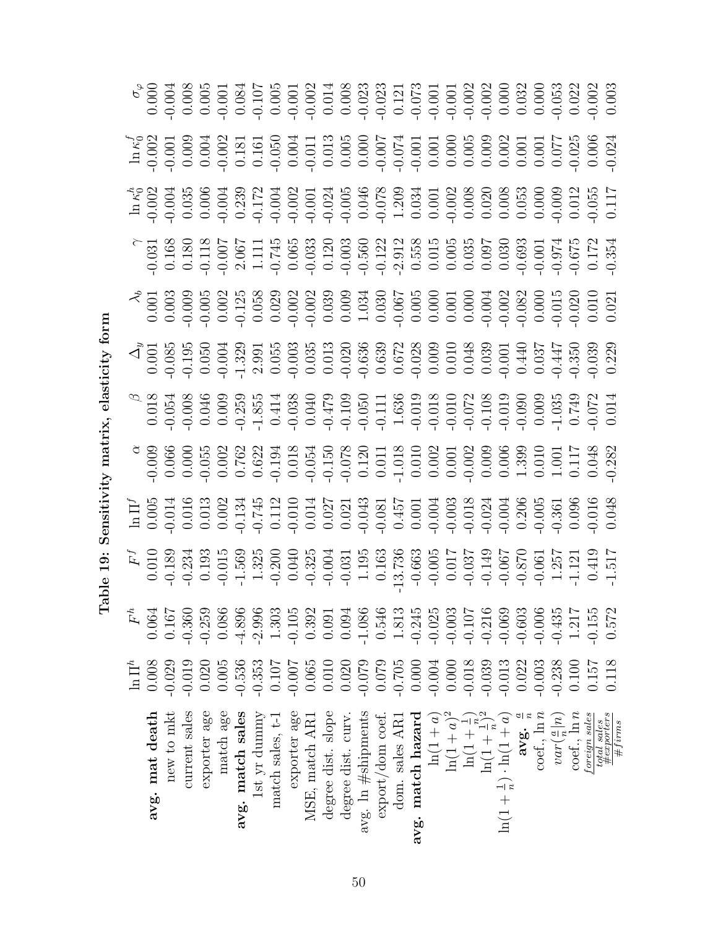<span id="page-50-0"></span>

|                                                                                   | $\ln \Pi^h$ | $F^h$    |  |  |                                                                                                                                                                                                                                                                                                                                                                                                                                  |  |                                                                                                                                                                                                                                                                                                                                             |  |
|-----------------------------------------------------------------------------------|-------------|----------|--|--|----------------------------------------------------------------------------------------------------------------------------------------------------------------------------------------------------------------------------------------------------------------------------------------------------------------------------------------------------------------------------------------------------------------------------------|--|---------------------------------------------------------------------------------------------------------------------------------------------------------------------------------------------------------------------------------------------------------------------------------------------------------------------------------------------|--|
| avg. mat death                                                                    | 0.008       | 0.064    |  |  |                                                                                                                                                                                                                                                                                                                                                                                                                                  |  |                                                                                                                                                                                                                                                                                                                                             |  |
| new to mkt                                                                        | $-0.029$    | 0.167    |  |  |                                                                                                                                                                                                                                                                                                                                                                                                                                  |  |                                                                                                                                                                                                                                                                                                                                             |  |
| current sales                                                                     | $-0.019$    | $-0.360$ |  |  |                                                                                                                                                                                                                                                                                                                                                                                                                                  |  |                                                                                                                                                                                                                                                                                                                                             |  |
| exporter age                                                                      | 0.020       | $-0.259$ |  |  |                                                                                                                                                                                                                                                                                                                                                                                                                                  |  |                                                                                                                                                                                                                                                                                                                                             |  |
| match age                                                                         | 0.005       | 0.086    |  |  |                                                                                                                                                                                                                                                                                                                                                                                                                                  |  |                                                                                                                                                                                                                                                                                                                                             |  |
| avg. match sales                                                                  | $-0.536$    | $-4.896$ |  |  |                                                                                                                                                                                                                                                                                                                                                                                                                                  |  |                                                                                                                                                                                                                                                                                                                                             |  |
| 1st yr dunnny                                                                     | $-0.353$    | $-2.996$ |  |  |                                                                                                                                                                                                                                                                                                                                                                                                                                  |  |                                                                                                                                                                                                                                                                                                                                             |  |
| match sales, t-1                                                                  | 0.107       | 1.303    |  |  |                                                                                                                                                                                                                                                                                                                                                                                                                                  |  |                                                                                                                                                                                                                                                                                                                                             |  |
| exporter age                                                                      | $-0.007$    | $-0.105$ |  |  |                                                                                                                                                                                                                                                                                                                                                                                                                                  |  |                                                                                                                                                                                                                                                                                                                                             |  |
| MSE, match AR1                                                                    | 0.065       | 0.392    |  |  |                                                                                                                                                                                                                                                                                                                                                                                                                                  |  |                                                                                                                                                                                                                                                                                                                                             |  |
| degree dist. slope                                                                | 0.010       | 0.091    |  |  |                                                                                                                                                                                                                                                                                                                                                                                                                                  |  |                                                                                                                                                                                                                                                                                                                                             |  |
| degree dist. curv.                                                                | 0.020       | 0.094    |  |  |                                                                                                                                                                                                                                                                                                                                                                                                                                  |  |                                                                                                                                                                                                                                                                                                                                             |  |
| $avg.$ In $#$ shipments                                                           | $-0.079$    | $-1.086$ |  |  |                                                                                                                                                                                                                                                                                                                                                                                                                                  |  |                                                                                                                                                                                                                                                                                                                                             |  |
| export/dom coef.                                                                  | 0.079       | 0.546    |  |  |                                                                                                                                                                                                                                                                                                                                                                                                                                  |  |                                                                                                                                                                                                                                                                                                                                             |  |
| dom. sales AR1                                                                    | $-0.705$    | 1.813    |  |  |                                                                                                                                                                                                                                                                                                                                                                                                                                  |  |                                                                                                                                                                                                                                                                                                                                             |  |
| avg. match hazard                                                                 | 0.000       | $-0.245$ |  |  |                                                                                                                                                                                                                                                                                                                                                                                                                                  |  |                                                                                                                                                                                                                                                                                                                                             |  |
| $\ln(1+a)$                                                                        | $-0.004$    | $-0.025$ |  |  |                                                                                                                                                                                                                                                                                                                                                                                                                                  |  |                                                                                                                                                                                                                                                                                                                                             |  |
| $\ln(1 + a)^2$                                                                    | 0.000       | $-0.003$ |  |  |                                                                                                                                                                                                                                                                                                                                                                                                                                  |  |                                                                                                                                                                                                                                                                                                                                             |  |
|                                                                                   | $-0.018$    | $-0.107$ |  |  |                                                                                                                                                                                                                                                                                                                                                                                                                                  |  |                                                                                                                                                                                                                                                                                                                                             |  |
|                                                                                   | $-0.039$    | $-0.216$ |  |  |                                                                                                                                                                                                                                                                                                                                                                                                                                  |  |                                                                                                                                                                                                                                                                                                                                             |  |
| $\ln(1+\frac{1}{n})$<br>$\ln(1+\frac{1}{n})^2$<br>$\ln(1+\frac{1}{n})$ $\ln(1+a)$ | $-0.013$    | $-0.069$ |  |  |                                                                                                                                                                                                                                                                                                                                                                                                                                  |  |                                                                                                                                                                                                                                                                                                                                             |  |
|                                                                                   | 0.022       | $-0.603$ |  |  |                                                                                                                                                                                                                                                                                                                                                                                                                                  |  |                                                                                                                                                                                                                                                                                                                                             |  |
| avg. $\frac{a}{n}$<br>coef., $\ln n$                                              | $-0.003$    | $-0.006$ |  |  |                                                                                                                                                                                                                                                                                                                                                                                                                                  |  |                                                                                                                                                                                                                                                                                                                                             |  |
| $var(\frac{a}{n} n)$                                                              | $-0.238$    | $-0.435$ |  |  |                                                                                                                                                                                                                                                                                                                                                                                                                                  |  |                                                                                                                                                                                                                                                                                                                                             |  |
| $\cot$ , $\ln n$                                                                  | 0.100       | 1.217    |  |  |                                                                                                                                                                                                                                                                                                                                                                                                                                  |  |                                                                                                                                                                                                                                                                                                                                             |  |
| foreign sales                                                                     | 0.157       | $-0.155$ |  |  | $\begin{array}{r} \texttt{4}^{\texttt{a}}\\ \texttt{5}^{\texttt{b}}\\ \texttt{6}^{\texttt{b}}\\ \texttt{7}^{\texttt{b}}\\ \texttt{8}^{\texttt{b}}\\ \texttt{9}^{\texttt{b}}\\ \texttt{9}^{\texttt{b}}\\ \texttt{1}^{\texttt{b}}\\ \texttt{1}^{\texttt{b}}\\ \texttt{1}^{\texttt{b}}\\ \texttt{2}^{\texttt{b}}\\ \texttt{3}^{\texttt{b}}\\ \texttt{4}^{\texttt{b}}\\ \texttt{5}^{\texttt{b}}\\ \texttt{6}^{\texttt{b}}\\ \texttt$ |  | $\begin{array}{l} \mbox{48\%} \\ \mbox{49\%} \\ \mbox{50\%} \\ \mbox{60\%} \\ \mbox{70\%} \\ \mbox{81\%} \\ \mbox{91\%} \\ \mbox{1.7\%} \\ \mbox{1.7\%} \\ \mbox{1.7\%} \\ \mbox{1.7\%} \\ \mbox{1.7\%} \\ \mbox{1.7\%} \\ \mbox{1.7\%} \\ \mbox{1.7\%} \\ \mbox{1.7\%} \\ \mbox{1.7\%} \\ \mbox{1.7\%} \\ \mbox{1.7\%} \\ \mbox{1.7\%} \\$ |  |
| $\begin{array}{c} total\; sales\\ \#exporters \end{array}$<br>$\#finns$           | 0.118       | 0.572    |  |  |                                                                                                                                                                                                                                                                                                                                                                                                                                  |  |                                                                                                                                                                                                                                                                                                                                             |  |

Table 19: Sensitivity matrix, elasticity form Table 19: Sensitivity matrix, elasticity form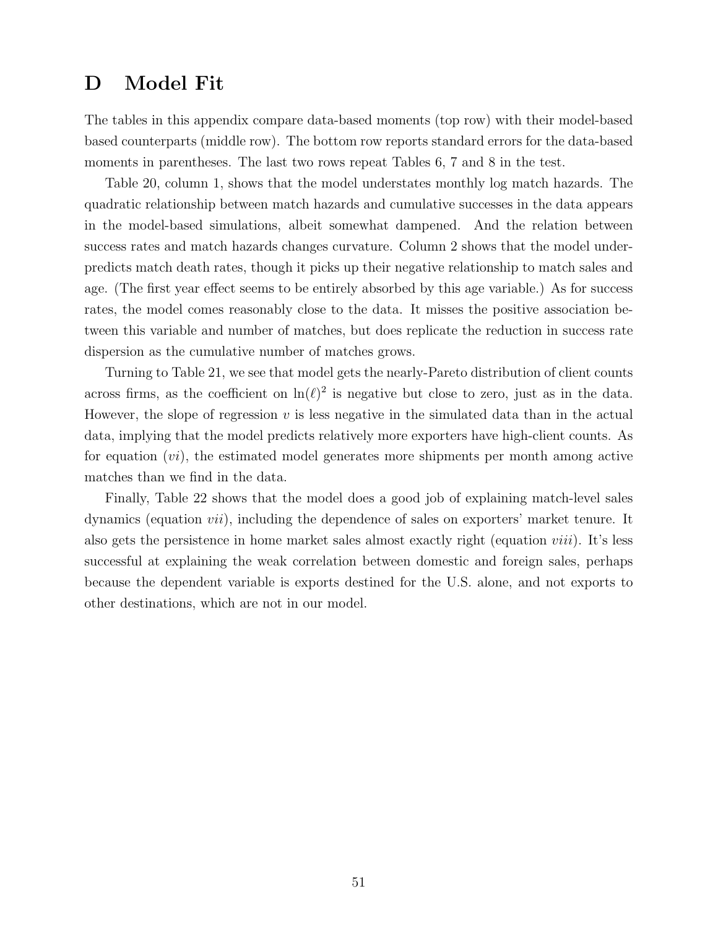## <span id="page-51-0"></span>D Model Fit

The tables in this appendix compare data-based moments (top row) with their model-based based counterparts (middle row). The bottom row reports standard errors for the data-based moments in parentheses. The last two rows repeat Tables [6,](#page-24-0) [7](#page-25-0) and [8](#page-25-1) in the test.

Table [20,](#page-52-0) column 1, shows that the model understates monthly log match hazards. The quadratic relationship between match hazards and cumulative successes in the data appears in the model-based simulations, albeit somewhat dampened. And the relation between success rates and match hazards changes curvature. Column 2 shows that the model underpredicts match death rates, though it picks up their negative relationship to match sales and age. (The first year effect seems to be entirely absorbed by this age variable.) As for success rates, the model comes reasonably close to the data. It misses the positive association between this variable and number of matches, but does replicate the reduction in success rate dispersion as the cumulative number of matches grows.

Turning to Table [21,](#page-53-0) we see that model gets the nearly-Pareto distribution of client counts across firms, as the coefficient on  $\ln(\ell)^2$  is negative but close to zero, just as in the data. However, the slope of regression  $v$  is less negative in the simulated data than in the actual data, implying that the model predicts relatively more exporters have high-client counts. As for equation  $(v_i)$ , the estimated model generates more shipments per month among active matches than we find in the data.

Finally, Table [22](#page-54-0) shows that the model does a good job of explaining match-level sales dynamics (equation vii), including the dependence of sales on exporters' market tenure. It also gets the persistence in home market sales almost exactly right (equation viii). It's less successful at explaining the weak correlation between domestic and foreign sales, perhaps because the dependent variable is exports destined for the U.S. alone, and not exports to other destinations, which are not in our model.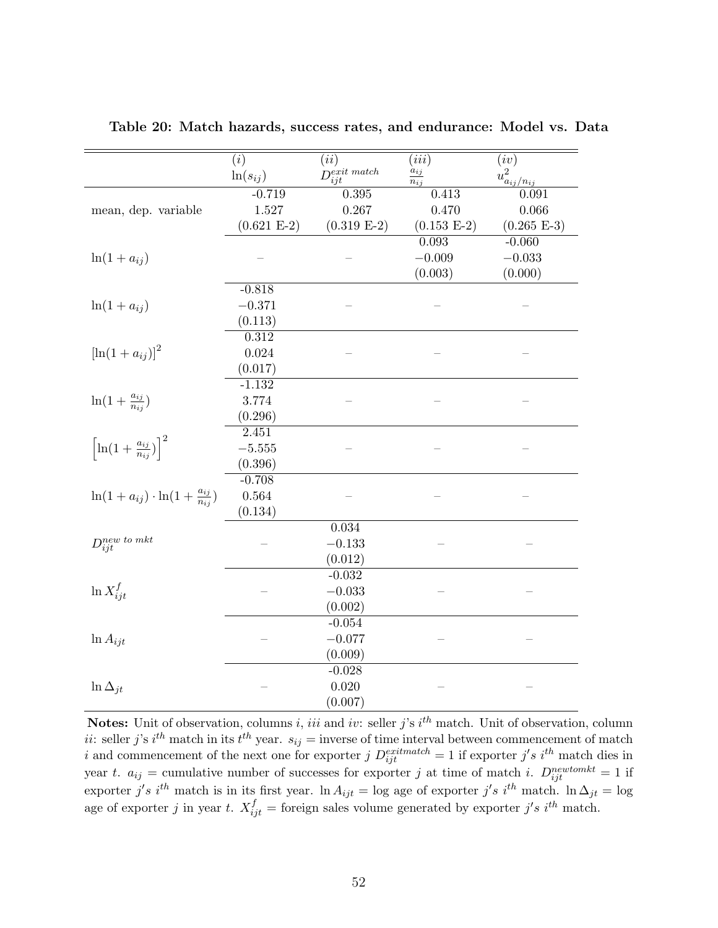|                                                        | $\overline{(i)}$ | $\overline{(ii)}$       | (iii)                | (iv)                                 |
|--------------------------------------------------------|------------------|-------------------------|----------------------|--------------------------------------|
|                                                        | $ln(s_{ij})$     | $D_{ijt}^{exit\ match}$ | $a_{ij}$<br>$n_{ij}$ | $u^2_{\frac{a_{ij}/n_{ij}}{\Omega}}$ |
|                                                        | $-0.719$         | 0.395                   | 0.413                | 0.091                                |
| mean, dep. variable                                    | 1.527            | 0.267                   | 0.470                | 0.066                                |
|                                                        | $(0.621 E-2)$    | $(0.319 E-2)$           | $(0.153 E-2)$        | $(0.265 E-3)$                        |
|                                                        |                  |                         | 0.093                | $-0.060$                             |
| $\ln(1+a_{ij})$                                        |                  |                         | $-0.009$             | $-0.033$                             |
|                                                        |                  |                         | (0.003)              | (0.000)                              |
|                                                        | $-0.818$         |                         |                      |                                      |
| $\ln(1+a_{ij})$                                        | $-0.371$         |                         |                      |                                      |
|                                                        | (0.113)          |                         |                      |                                      |
|                                                        | 0.312            |                         |                      |                                      |
| $[\ln(1 + a_{ij})]^2$                                  | $\,0.024\,$      |                         |                      |                                      |
|                                                        | (0.017)          |                         |                      |                                      |
|                                                        | $-1.132$         |                         |                      |                                      |
| $\ln(1+\frac{a_{ij}}{n_{ii}})$                         | 3.774            |                         |                      |                                      |
|                                                        | (0.296)          |                         |                      |                                      |
|                                                        | 2.451            |                         |                      |                                      |
| $\left[\ln(1+\frac{a_{ij}}{n_{ij}})\right]^2$          | $-5.555$         |                         |                      |                                      |
|                                                        | (0.396)          |                         |                      |                                      |
|                                                        | $-0.708$         |                         |                      |                                      |
| $\ln(1 + a_{ij}) \cdot \ln(1 + \frac{a_{ij}}{n_{ij}})$ | $\,0.564\,$      |                         |                      |                                      |
|                                                        | (0.134)          |                         |                      |                                      |
|                                                        |                  | 0.034                   |                      |                                      |
| $D_{ijt}^{new\;to\;mkt}$                               |                  | $-0.133$                |                      |                                      |
|                                                        |                  | (0.012)                 |                      |                                      |
|                                                        |                  | $-0.032$                |                      |                                      |
| $\ln X_{ijt}^f$                                        |                  | $-0.033$                |                      |                                      |
|                                                        |                  | (0.002)                 |                      |                                      |
|                                                        |                  | $-0.054$                |                      |                                      |
| $\ln A_{ijt}$                                          |                  | $-0.077$                |                      |                                      |
|                                                        |                  | (0.009)                 |                      |                                      |
|                                                        |                  | $-0.028$                |                      |                                      |
| $\ln \Delta_{jt}$                                      |                  | 0.020                   |                      |                                      |
|                                                        |                  | (0.007)                 |                      |                                      |

<span id="page-52-0"></span>Table 20: Match hazards, success rates, and endurance: Model vs. Data

**Notes:** Unit of observation, columns *i*, *iii* and *iv*: seller *j*'s  $i^{th}$  match. Unit of observation, column ii: seller j's i<sup>th</sup> match in its  $t^{th}$  year.  $s_{ij}$  = inverse of time interval between commencement of match i and commencement of the next one for exporter  $j$   $D_{ijt}^{extmatch} = 1$  if exporter  $j's$  i<sup>th</sup> match dies in year t.  $a_{ij}$  = cumulative number of successes for exporter j at time of match i.  $D_{ijt}^{newtomkt} = 1$  if exporter j's i<sup>th</sup> match is in its first year. ln  $A_{ijt} = \log$  age of exporter j's i<sup>th</sup> match. ln  $\Delta_{jt} = \log$ age of exporter j in year t.  $X_{ijt}^f$  = foreign sales volume generated by exporter j's i<sup>th</sup> match.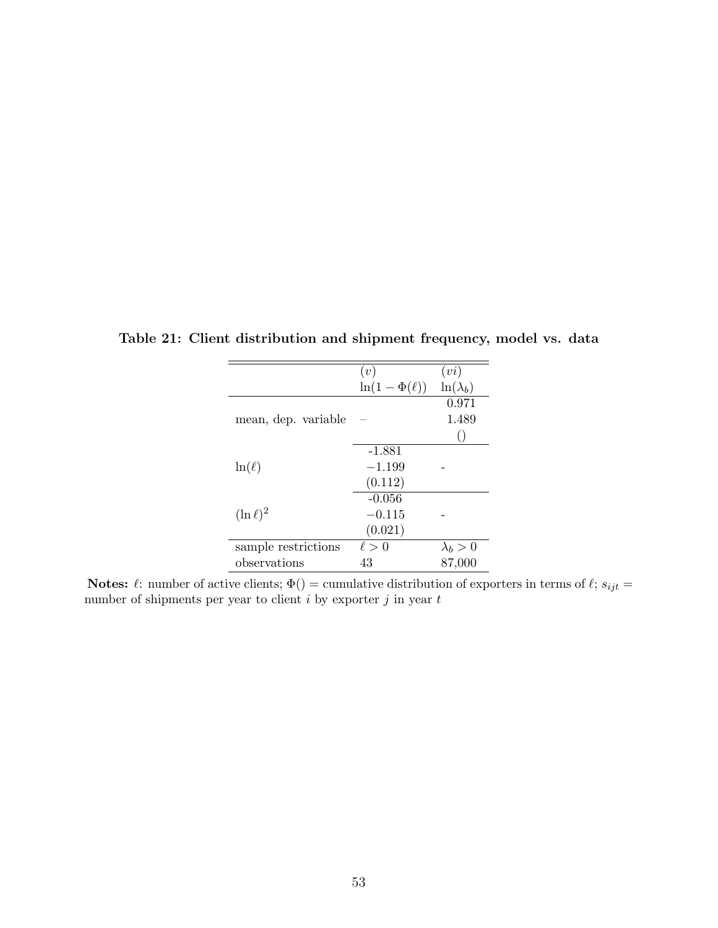|                     | (v)                 | (vi)             |
|---------------------|---------------------|------------------|
|                     | $\ln(1-\Phi(\ell))$ | $\ln(\lambda_b)$ |
|                     |                     | 0.971            |
| mean, dep. variable |                     | 1.489            |
|                     |                     |                  |
|                     | $-1.881$            |                  |
| $\ln(\ell)$         | $-1.199$            |                  |
|                     | (0.112)             |                  |
|                     | $-0.056$            |                  |
| $(\ln \ell)^2$      | $-0.115$            |                  |
|                     | (0.021)             |                  |
| sample restrictions | $\ell > 0$          | $\lambda_b > 0$  |
| observations        | 43                  | 87,000           |

<span id="page-53-0"></span>Table 21: Client distribution and shipment frequency, model vs. data

Notes:  $\ell$ : number of active clients;  $\Phi()$  = cumulative distribution of exporters in terms of  $\ell$ ;  $s_{ijt}$  = number of shipments per year to client  $i$  by exporter  $j$  in year  $t$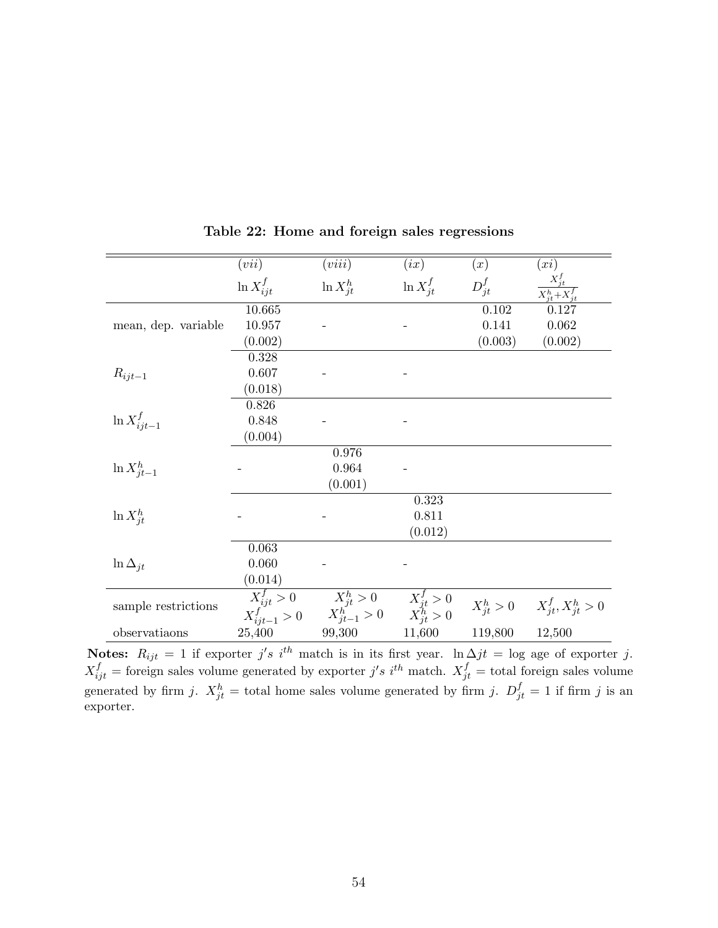<span id="page-54-0"></span>

|                     | (vii)                                                            | (viii)                                                           | (ix)           | (x)        | (xi)                                         |
|---------------------|------------------------------------------------------------------|------------------------------------------------------------------|----------------|------------|----------------------------------------------|
|                     | $\ln X_{ijt}^f$                                                  | $\ln X_{it}^h$                                                   | $\ln X_{it}^f$ | $D_{jt}^f$ | $X_{jt}^f$<br>$\overline{X_{it}^h+X_{it}^f}$ |
| mean, dep. variable | 10.665                                                           |                                                                  |                | 0.102      | 0.127                                        |
|                     | 10.957                                                           |                                                                  |                | 0.141      | 0.062                                        |
|                     | (0.002)                                                          |                                                                  |                | (0.003)    | (0.002)                                      |
|                     | 0.328                                                            |                                                                  |                |            |                                              |
| $R_{ijt-1}$         | 0.607                                                            |                                                                  |                |            |                                              |
|                     | (0.018)                                                          |                                                                  |                |            |                                              |
|                     | 0.826                                                            |                                                                  |                |            |                                              |
| $\ln X^f_{ijt-1}$   | 0.848                                                            |                                                                  |                |            |                                              |
|                     | (0.004)                                                          |                                                                  |                |            |                                              |
| $\ln X_{it-1}^h$    |                                                                  | 0.976                                                            |                |            |                                              |
|                     |                                                                  | 0.964                                                            |                |            |                                              |
|                     |                                                                  | (0.001)                                                          |                |            |                                              |
|                     |                                                                  |                                                                  | 0.323          |            |                                              |
| $\ln X_{it}^h$      |                                                                  |                                                                  | 0.811          |            |                                              |
|                     |                                                                  |                                                                  | (0.012)        |            |                                              |
| $\ln \Delta_{jt}$   | 0.063                                                            |                                                                  |                |            |                                              |
|                     | 0.060                                                            |                                                                  |                |            |                                              |
|                     | (0.014)                                                          |                                                                  |                |            |                                              |
| sample restrictions |                                                                  |                                                                  |                |            |                                              |
|                     | $\begin{array}{c}\nX_{ijt}^f > 0\\ X_{ijt-1}^f > 0\n\end{array}$ | $X_{jt}^h > 0$ $X_{jt}^f > 0$<br>$X_{jt-1}^h > 0$ $X_{jt}^h > 0$ |                |            | $X_{it}^h > 0$ $X_{it}^f, X_{it}^h > 0$      |
| observatiaons       | 25,400                                                           | 99,300                                                           | 11,600         | 119,800    | 12,500                                       |
|                     |                                                                  |                                                                  |                |            |                                              |

Table 22: Home and foreign sales regressions

Notes:  $R_{ijt} = 1$  if exporter j's i<sup>th</sup> match is in its first year. ln  $\Delta jt = \log$  age of exporter j.  $X_{ijt}^f$  = foreign sales volume generated by exporter j's i<sup>th</sup> match.  $X_{jt}^f$  = total foreign sales volume generated by firm j.  $X_{jt}^h$  = total home sales volume generated by firm j.  $D_{jt}^f = 1$  if firm j is an exporter.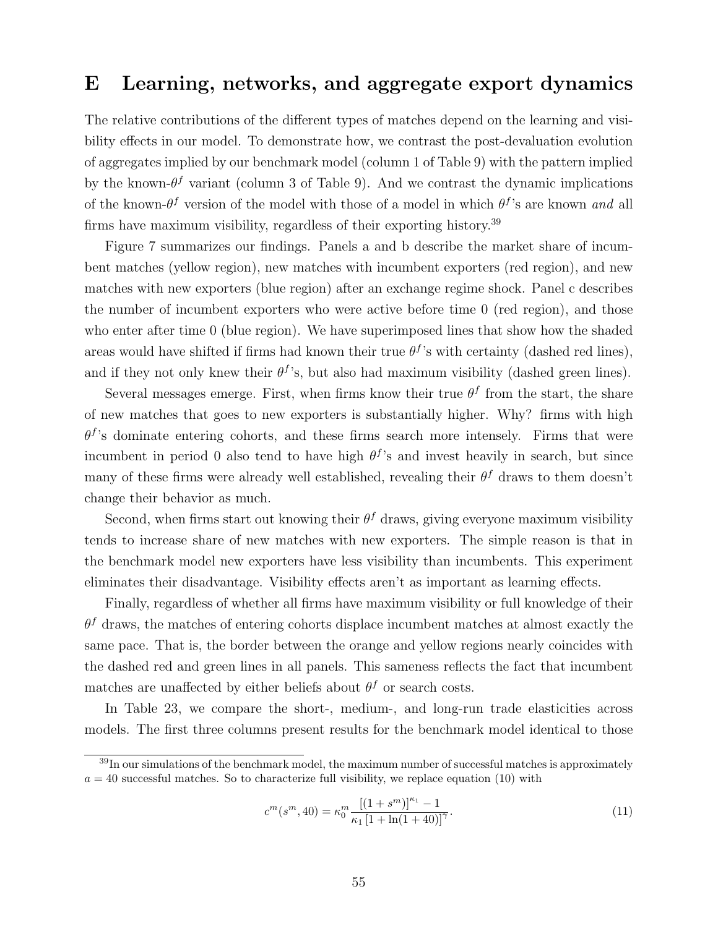## <span id="page-55-0"></span>E Learning, networks, and aggregate export dynamics

The relative contributions of the different types of matches depend on the learning and visibility effects in our model. To demonstrate how, we contrast the post-devaluation evolution of aggregates implied by our benchmark model (column 1 of Table [9\)](#page-26-0) with the pattern implied by the known- $\theta^f$  variant (column 3 of Table [9\)](#page-26-0). And we contrast the dynamic implications of the known- $\theta^f$  version of the model with those of a model in which  $\theta^f$ 's are known and all firms have maximum visibility, regardless of their exporting history.[39](#page-0-0)

Figure [7](#page-56-0) summarizes our findings. Panels a and b describe the market share of incumbent matches (yellow region), new matches with incumbent exporters (red region), and new matches with new exporters (blue region) after an exchange regime shock. Panel c describes the number of incumbent exporters who were active before time 0 (red region), and those who enter after time 0 (blue region). We have superimposed lines that show how the shaded areas would have shifted if firms had known their true  $\theta^f$ 's with certainty (dashed red lines), and if they not only knew their  $\theta^f$ 's, but also had maximum visibility (dashed green lines).

Several messages emerge. First, when firms know their true  $\theta^f$  from the start, the share of new matches that goes to new exporters is substantially higher. Why? firms with high  $\theta$ <sup>f</sup>'s dominate entering cohorts, and these firms search more intensely. Firms that were incumbent in period 0 also tend to have high  $\theta^f$ 's and invest heavily in search, but since many of these firms were already well established, revealing their  $\theta^f$  draws to them doesn't change their behavior as much.

Second, when firms start out knowing their  $\theta^f$  draws, giving everyone maximum visibility tends to increase share of new matches with new exporters. The simple reason is that in the benchmark model new exporters have less visibility than incumbents. This experiment eliminates their disadvantage. Visibility effects aren't as important as learning effects.

Finally, regardless of whether all firms have maximum visibility or full knowledge of their  $\theta^f$  draws, the matches of entering cohorts displace incumbent matches at almost exactly the same pace. That is, the border between the orange and yellow regions nearly coincides with the dashed red and green lines in all panels. This sameness reflects the fact that incumbent matches are unaffected by either beliefs about  $\theta^f$  or search costs.

In Table [23,](#page-56-1) we compare the short-, medium-, and long-run trade elasticities across models. The first three columns present results for the benchmark model identical to those

$$
c^{m}(s^{m},40) = \kappa_0^{m} \frac{[(1+s^{m})]^{\kappa_1} - 1}{\kappa_1 [1 + \ln(1+40)]^{\gamma}}.
$$
\n(11)

 $39$ In our simulations of the benchmark model, the maximum number of successful matches is approximately  $a = 40$  successful matches. So to characterize full visibility, we replace equation [\(10\)](#page-17-0) with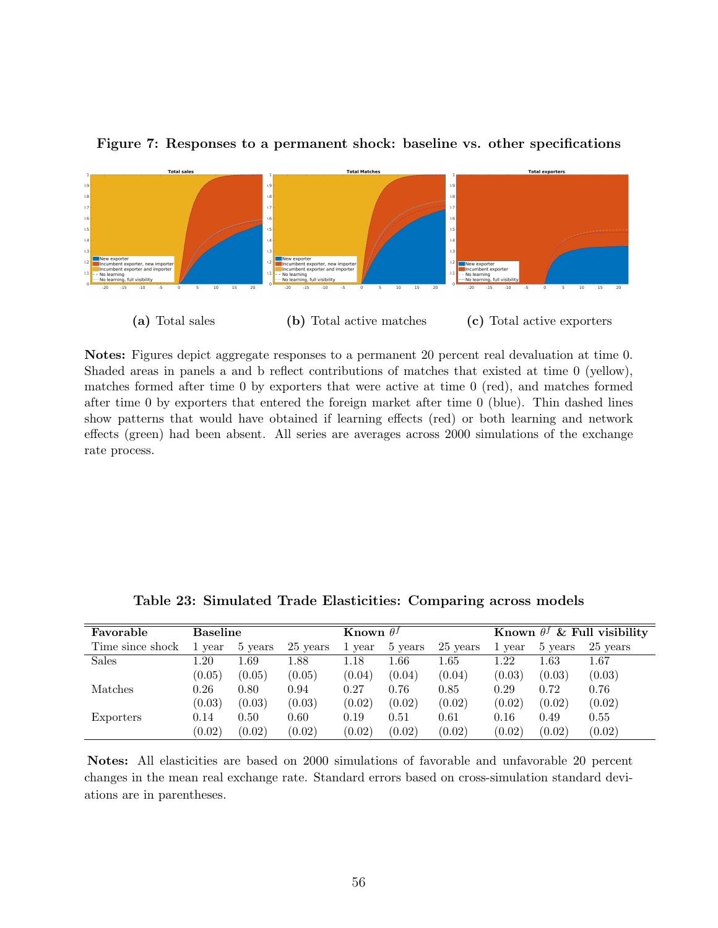

#### <span id="page-56-0"></span>Figure 7: Responses to a permanent shock: baseline vs. other specifications

Notes: Figures depict aggregate responses to a permanent 20 percent real devaluation at time 0. Shaded areas in panels a and b reflect contributions of matches that existed at time 0 (yellow), matches formed after time 0 by exporters that were active at time 0 (red), and matches formed after time 0 by exporters that entered the foreign market after time 0 (blue). Thin dashed lines show patterns that would have obtained if learning effects (red) or both learning and network effects (green) had been absent. All series are averages across 2000 simulations of the exchange rate process.

<span id="page-56-1"></span>

| Favorable        | <b>Baseline</b> |         |          | Known $\theta^f$ |          | Known $\theta^f$ & Full visibility |        |          |          |
|------------------|-----------------|---------|----------|------------------|----------|------------------------------------|--------|----------|----------|
| Time since shock | 1 year          | 5 years | 25 years | vear             | 5 years  | 25 years                           | 1 year | 5 years  | 25 years |
| <b>Sales</b>     | .20             | .69     | 1.88     | 1.18             | $1.66\,$ | $1.65\,$                           | 1.22   | $1.63\,$ | $1.67\,$ |
|                  | (0.05)          | (0.05)  | (0.05)   | (0.04)           | (0.04)   | (0.04)                             | (0.03) | (0.03)   | (0.03)   |
| Matches          | 0.26            | 0.80    | 0.94     | 0.27             | 0.76     | 0.85                               | 0.29   | 0.72     | 0.76     |
|                  | (0.03)          | (0.03)  | (0.03)   | (0.02)           | (0.02)   | (0.02)                             | (0.02) | (0.02)   | (0.02)   |
| Exporters        | 0.14            | 0.50    | 0.60     | 0.19             | 0.51     | 0.61                               | 0.16   | 0.49     | 0.55     |
|                  | (0.02)          | (0.02)  | (0.02)   | (0.02)           | (0.02)   | (0.02)                             | (0.02) | (0.02)   | (0.02)   |

Table 23: Simulated Trade Elasticities: Comparing across models

Notes: All elasticities are based on 2000 simulations of favorable and unfavorable 20 percent changes in the mean real exchange rate. Standard errors based on cross-simulation standard deviations are in parentheses.